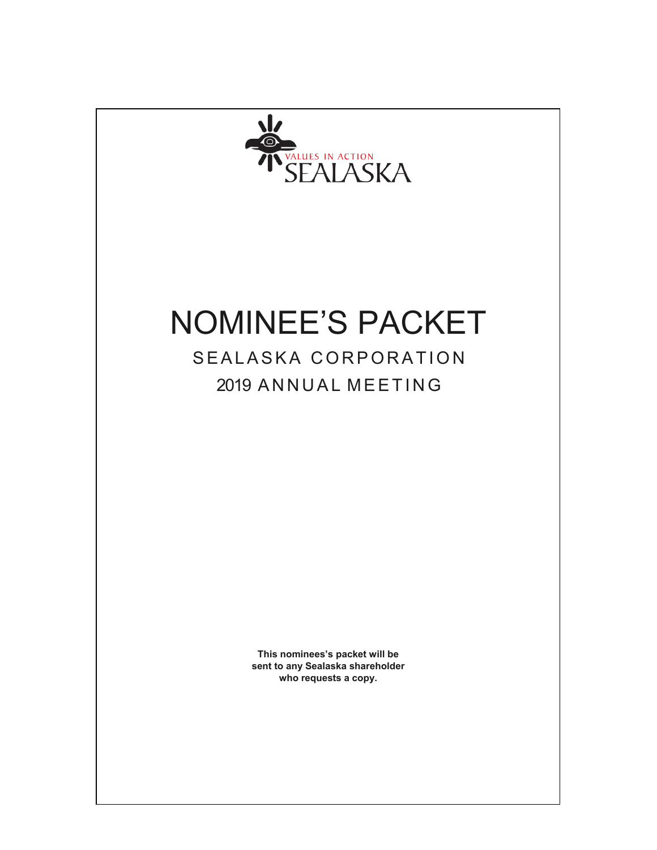

# NOMINEE'S PACKET

## SEALASKA CORPORATION 2019 ANNUAL MEETING

**This nominees's packet will be sent to any Sealaska shareholder who requests a copy.**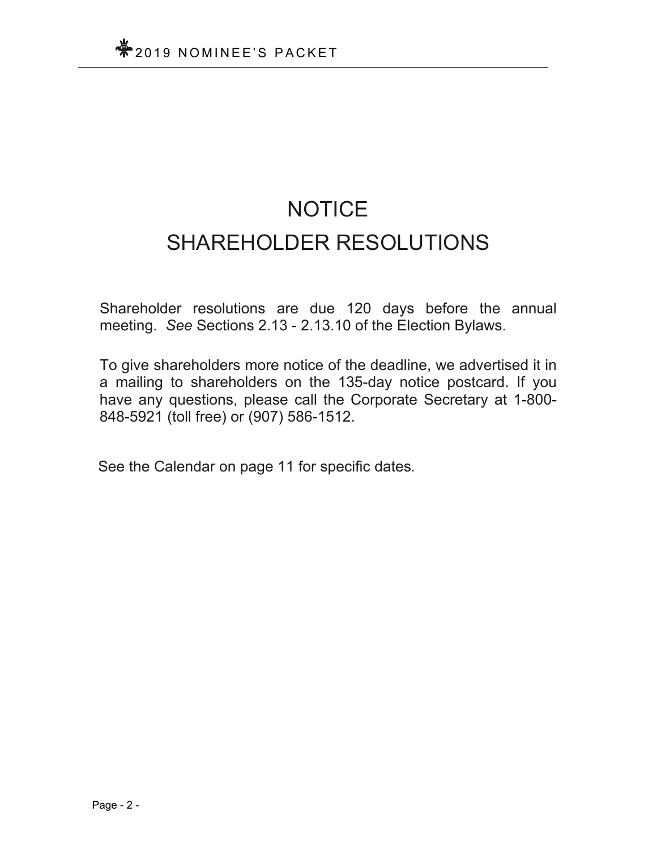# **NOTICE** SHAREHOLDER RESOLUTIONS

Shareholder resolutions are due 120 days before the annual meeting. *See* Sections 2.13 - 2.13.10 of the Election Bylaws.

To give shareholders more notice of the deadline, we advertised it in a mailing to shareholders on the 135-day notice postcard. If you have any questions, please call the Corporate Secretary at 1-800- 848-5921 (toll free) or (907) 586-1512.

See the Calendar on page 11 for specific dates.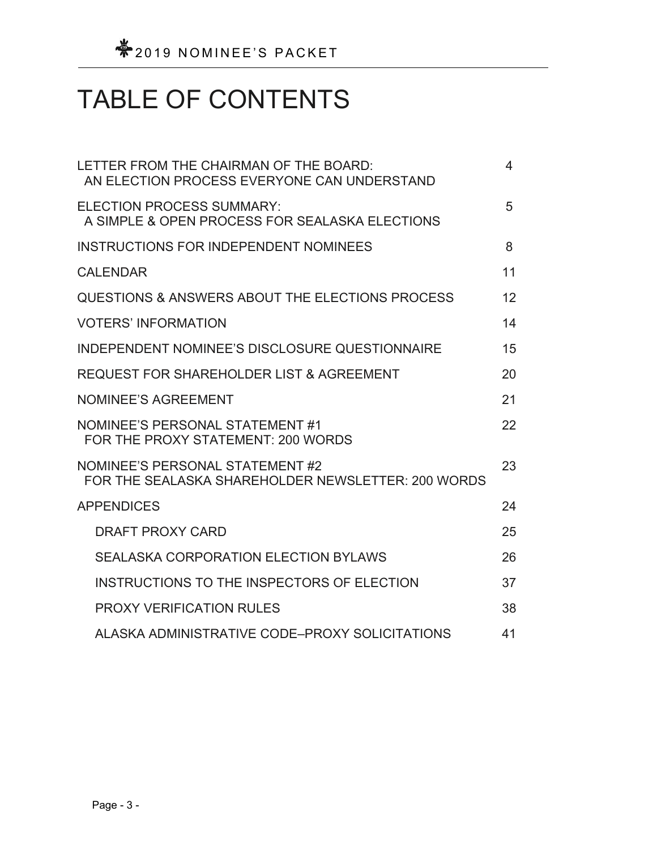# TABLE OF CONTENTS

| LETTER FROM THE CHAIRMAN OF THE BOARD:<br>AN ELECTION PROCESS EVERYONE CAN UNDERSTAND | 4  |
|---------------------------------------------------------------------------------------|----|
| <b>ELECTION PROCESS SUMMARY:</b><br>A SIMPLE & OPEN PROCESS FOR SEALASKA ELECTIONS    | 5  |
| INSTRUCTIONS FOR INDEPENDENT NOMINEES                                                 | 8  |
| <b>CALENDAR</b>                                                                       | 11 |
| QUESTIONS & ANSWERS ABOUT THE ELECTIONS PROCESS                                       | 12 |
| <b>VOTERS' INFORMATION</b>                                                            | 14 |
| INDEPENDENT NOMINEE'S DISCLOSURE QUESTIONNAIRE                                        | 15 |
| <b>REQUEST FOR SHAREHOLDER LIST &amp; AGREEMENT</b>                                   | 20 |
| <b>NOMINEE'S AGREEMENT</b>                                                            | 21 |
| NOMINEE'S PERSONAL STATEMENT #1<br>FOR THE PROXY STATEMENT: 200 WORDS                 | 22 |
| NOMINEE'S PERSONAL STATEMENT #2<br>FOR THE SEALASKA SHAREHOLDER NEWSLETTER: 200 WORDS | 23 |
| <b>APPENDICES</b>                                                                     | 24 |
| <b>DRAFT PROXY CARD</b>                                                               | 25 |
| <b>SEALASKA CORPORATION ELECTION BYLAWS</b>                                           | 26 |
| INSTRUCTIONS TO THE INSPECTORS OF ELECTION                                            | 37 |
| <b>PROXY VERIFICATION RULES</b>                                                       | 38 |
| ALASKA ADMINISTRATIVE CODE-PROXY SOLICITATIONS                                        | 41 |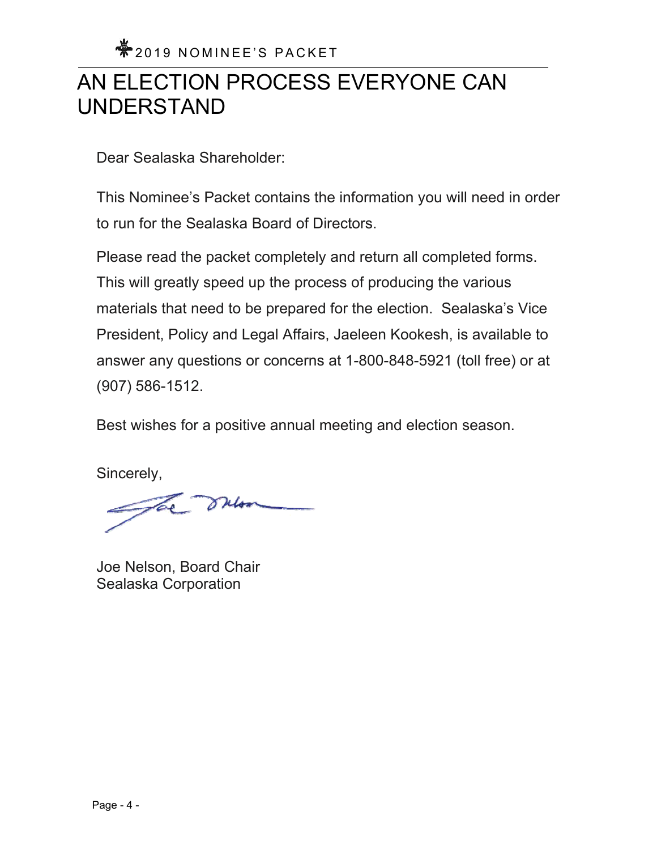## AN ELECTION PROCESS EVERYONE CAN UNDERSTAND

Dear Sealaska Shareholder:

This Nominee's Packet contains the information you will need in order to run for the Sealaska Board of Directors.

Please read the packet completely and return all completed forms. This will greatly speed up the process of producing the various materials that need to be prepared for the election. Sealaska's Vice President, Policy and Legal Affairs, Jaeleen Kookesh, is available to answer any questions or concerns at 1-800-848-5921 (toll free) or at (907) 586-1512.

Best wishes for a positive annual meeting and election season.

Sincerely,

The sulon

Joe Nelson, Board Chair Sealaska Corporation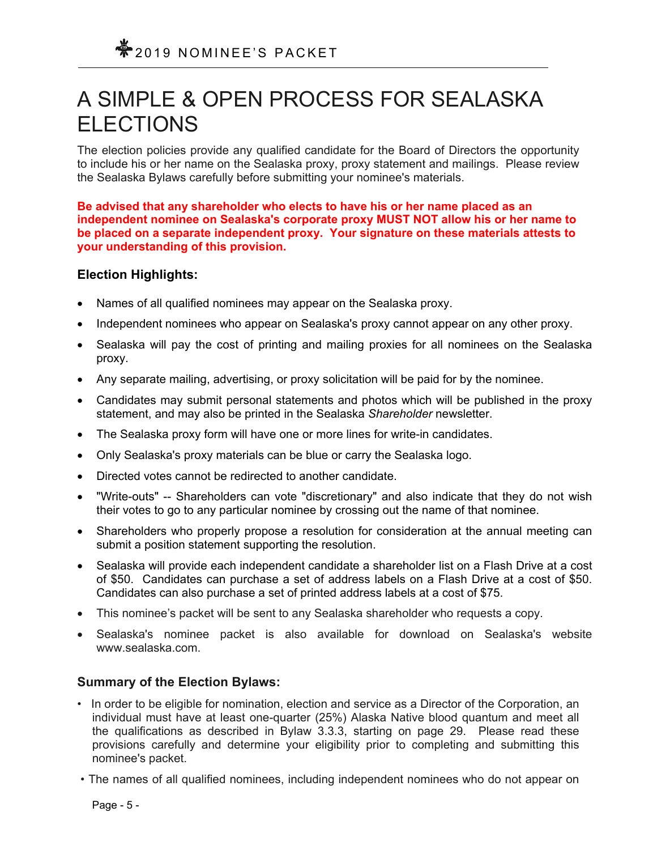## A SIMPLE & OPEN PROCESS FOR SEALASKA ELECTIONS

The election policies provide any qualified candidate for the Board of Directors the opportunity to include his or her name on the Sealaska proxy, proxy statement and mailings. Please review the Sealaska Bylaws carefully before submitting your nominee's materials.

**Be advised that any shareholder who elects to have his or her name placed as an independent nominee on Sealaska's corporate proxy MUST NOT allow his or her name to be placed on a separate independent proxy. Your signature on these materials attests to your understanding of this provision.** 

### **Election Highlights:**

- Names of all qualified nominees may appear on the Sealaska proxy.
- Independent nominees who appear on Sealaska's proxy cannot appear on any other proxy.
- Sealaska will pay the cost of printing and mailing proxies for all nominees on the Sealaska proxy.
- Any separate mailing, advertising, or proxy solicitation will be paid for by the nominee.
- Candidates may submit personal statements and photos which will be published in the proxy statement, and may also be printed in the Sealaska *Shareholder* newsletter.
- The Sealaska proxy form will have one or more lines for write-in candidates.
- Only Sealaska's proxy materials can be blue or carry the Sealaska logo.
- Directed votes cannot be redirected to another candidate.
- "Write-outs" -- Shareholders can vote "discretionary" and also indicate that they do not wish their votes to go to any particular nominee by crossing out the name of that nominee.
- Shareholders who properly propose a resolution for consideration at the annual meeting can submit a position statement supporting the resolution.
- Sealaska will provide each independent candidate a shareholder list on a Flash Drive at a cost of \$50. Candidates can purchase a set of address labels on a Flash Drive at a cost of \$50. Candidates can also purchase a set of printed address labels at a cost of \$75.
- This nominee's packet will be sent to any Sealaska shareholder who requests a copy.
- Sealaska's nominee packet is also available for download on Sealaska's website www.sealaska.com.

### **Summary of the Election Bylaws:**

- In order to be eligible for nomination, election and service as a Director of the Corporation, an individual must have at least one-quarter (25%) Alaska Native blood quantum and meet all the qualifications as described in Bylaw 3.3.3, starting on page 29. Please read these provisions carefully and determine your eligibility prior to completing and submitting this nominee's packet.
- The names of all qualified nominees, including independent nominees who do not appear on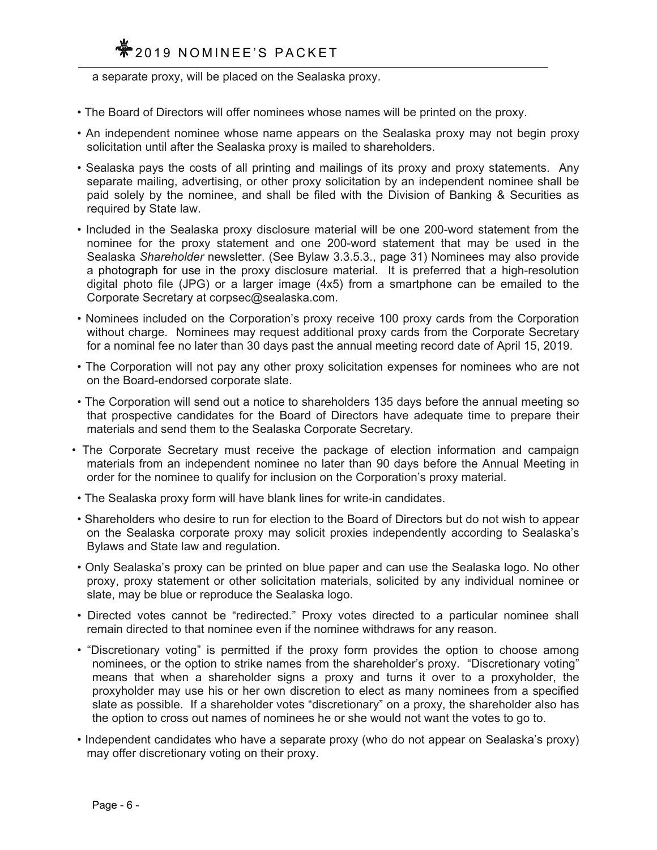## **◆2019 NOMINEE'S PACKET**

a separate proxy, will be placed on the Sealaska proxy.

- The Board of Directors will offer nominees whose names will be printed on the proxy.
- An independent nominee whose name appears on the Sealaska proxy may not begin proxy solicitation until after the Sealaska proxy is mailed to shareholders.
- Sealaska pays the costs of all printing and mailings of its proxy and proxy statements. Any separate mailing, advertising, or other proxy solicitation by an independent nominee shall be paid solely by the nominee, and shall be filed with the Division of Banking & Securities as required by State law.
- Included in the Sealaska proxy disclosure material will be one 200-word statement from the nominee for the proxy statement and one 200-word statement that may be used in the Sealaska *Shareholder* newsletter. (See Bylaw 3.3.5.3., page 31) Nominees may also provide a photograph for use in the proxy disclosure material. It is preferred that a high-resolution digital photo file (JPG) or a larger image (4x5) from a smartphone can be emailed to the Corporate Secretary at corpsec@sealaska.com.
- Nominees included on the Corporation's proxy receive 100 proxy cards from the Corporation without charge. Nominees may request additional proxy cards from the Corporate Secretary for a nominal fee no later than 30 days past the annual meeting record date of April 15, 2019.
- The Corporation will not pay any other proxy solicitation expenses for nominees who are not on the Board-endorsed corporate slate.
- The Corporation will send out a notice to shareholders 135 days before the annual meeting so that prospective candidates for the Board of Directors have adequate time to prepare their materials and send them to the Sealaska Corporate Secretary.
- The Corporate Secretary must receive the package of election information and campaign materials from an independent nominee no later than 90 days before the Annual Meeting in order for the nominee to qualify for inclusion on the Corporation's proxy material.
- The Sealaska proxy form will have blank lines for write-in candidates.
- Shareholders who desire to run for election to the Board of Directors but do not wish to appear on the Sealaska corporate proxy may solicit proxies independently according to Sealaska's Bylaws and State law and regulation.
- Only Sealaska's proxy can be printed on blue paper and can use the Sealaska logo. No other proxy, proxy statement or other solicitation materials, solicited by any individual nominee or slate, may be blue or reproduce the Sealaska logo.
- Directed votes cannot be "redirected." Proxy votes directed to a particular nominee shall remain directed to that nominee even if the nominee withdraws for any reason.
- "Discretionary voting" is permitted if the proxy form provides the option to choose among nominees, or the option to strike names from the shareholder's proxy. "Discretionary voting" means that when a shareholder signs a proxy and turns it over to a proxyholder, the proxyholder may use his or her own discretion to elect as many nominees from a specified slate as possible. If a shareholder votes "discretionary" on a proxy, the shareholder also has the option to cross out names of nominees he or she would not want the votes to go to.
- Independent candidates who have a separate proxy (who do not appear on Sealaska's proxy) may offer discretionary voting on their proxy.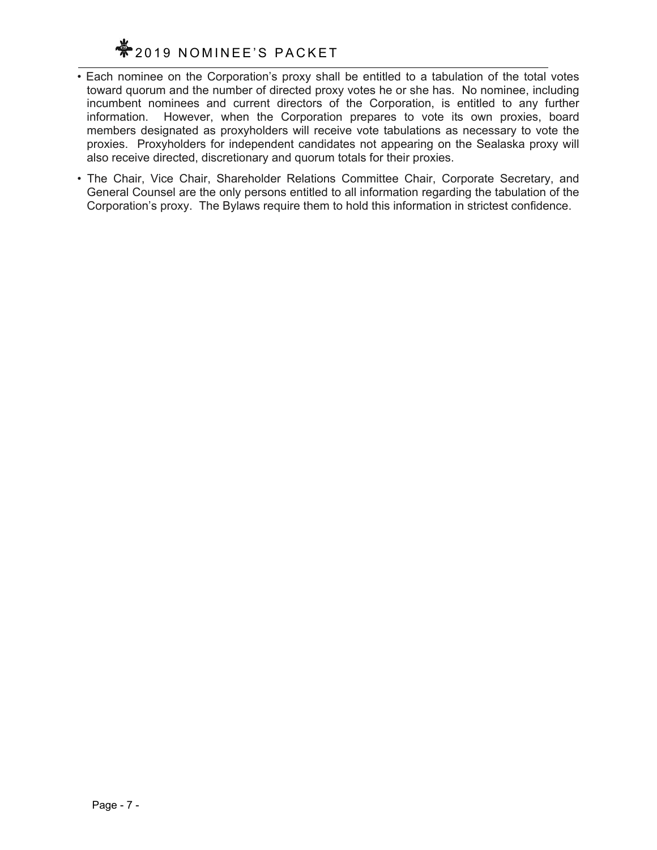

- Each nominee on the Corporation's proxy shall be entitled to a tabulation of the total votes toward quorum and the number of directed proxy votes he or she has. No nominee, including incumbent nominees and current directors of the Corporation, is entitled to any further information. However, when the Corporation prepares to vote its own proxies, board members designated as proxyholders will receive vote tabulations as necessary to vote the proxies. Proxyholders for independent candidates not appearing on the Sealaska proxy will also receive directed, discretionary and quorum totals for their proxies.
- The Chair, Vice Chair, Shareholder Relations Committee Chair, Corporate Secretary, and General Counsel are the only persons entitled to all information regarding the tabulation of the Corporation's proxy. The Bylaws require them to hold this information in strictest confidence.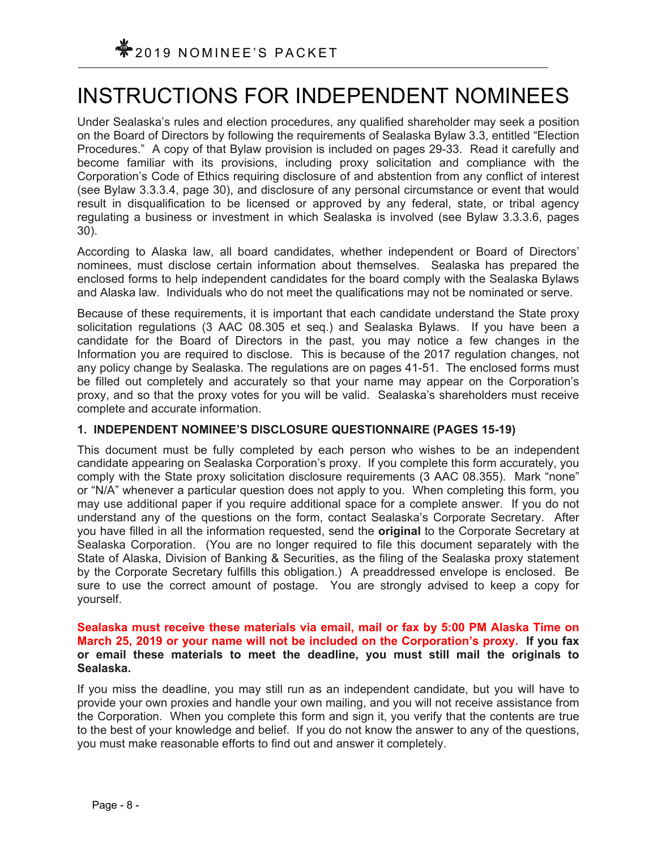## INSTRUCTIONS FOR INDEPENDENT NOMINEES

Under Sealaska's rules and election procedures, any qualified shareholder may seek a position on the Board of Directors by following the requirements of Sealaska Bylaw 3.3, entitled "Election Procedures." A copy of that Bylaw provision is included on pages 29-33. Read it carefully and become familiar with its provisions, including proxy solicitation and compliance with the Corporation's Code of Ethics requiring disclosure of and abstention from any conflict of interest (see Bylaw 3.3.3.4, page 30), and disclosure of any personal circumstance or event that would result in disqualification to be licensed or approved by any federal, state, or tribal agency regulating a business or investment in which Sealaska is involved (see Bylaw 3.3.3.6, pages 30).

According to Alaska law, all board candidates, whether independent or Board of Directors' nominees, must disclose certain information about themselves. Sealaska has prepared the enclosed forms to help independent candidates for the board comply with the Sealaska Bylaws and Alaska law. Individuals who do not meet the qualifications may not be nominated or serve.

Because of these requirements, it is important that each candidate understand the State proxy solicitation regulations (3 AAC 08.305 et seq.) and Sealaska Bylaws. If you have been a candidate for the Board of Directors in the past, you may notice a few changes in the Information you are required to disclose. This is because of the 2017 regulation changes, not any policy change by Sealaska. The regulations are on pages 41-51.The enclosed forms must be filled out completely and accurately so that your name may appear on the Corporation's proxy, and so that the proxy votes for you will be valid. Sealaska's shareholders must receive complete and accurate information.

### **1. INDEPENDENT NOMINEE'S DISCLOSURE QUESTIONNAIRE (PAGES 15-19)**

This document must be fully completed by each person who wishes to be an independent candidate appearing on Sealaska Corporation's proxy. If you complete this form accurately, you comply with the State proxy solicitation disclosure requirements (3 AAC 08.355). Mark "none" or "N/A" whenever a particular question does not apply to you. When completing this form, you may use additional paper if you require additional space for a complete answer. If you do not understand any of the questions on the form, contact Sealaska's Corporate Secretary. After you have filled in all the information requested, send the **original** to the Corporate Secretary at Sealaska Corporation. (You are no longer required to file this document separately with the State of Alaska, Division of Banking & Securities, as the filing of the Sealaska proxy statement by the Corporate Secretary fulfills this obligation.) A preaddressed envelope is enclosed. Be sure to use the correct amount of postage. You are strongly advised to keep a copy for yourself.

### **Sealaska must receive these materials via email, mail or fax by 5:00 PM Alaska Time on March 25, 2019 or your name will not be included on the Corporation's proxy. If you fax or email these materials to meet the deadline, you must still mail the originals to Sealaska.**

If you miss the deadline, you may still run as an independent candidate, but you will have to provide your own proxies and handle your own mailing, and you will not receive assistance from the Corporation. When you complete this form and sign it, you verify that the contents are true to the best of your knowledge and belief. If you do not know the answer to any of the questions, you must make reasonable efforts to find out and answer it completely.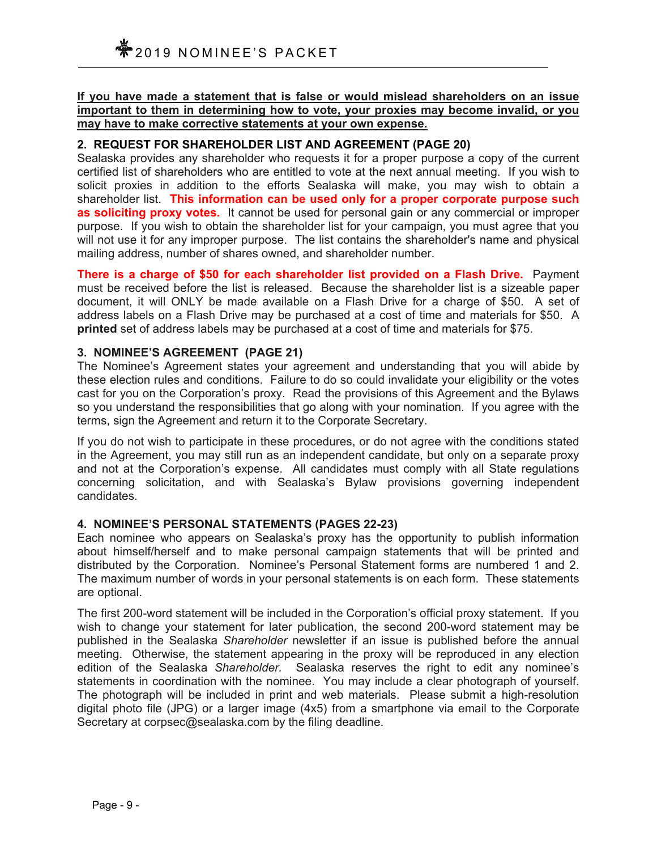**If you have made a statement that is false or would mislead shareholders on an issue important to them in determining how to vote, your proxies may become invalid, or you may have to make corrective statements at your own expense.** 

### **2. REQUEST FOR SHAREHOLDER LIST AND AGREEMENT (PAGE 20)**

Sealaska provides any shareholder who requests it for a proper purpose a copy of the current certified list of shareholders who are entitled to vote at the next annual meeting. If you wish to solicit proxies in addition to the efforts Sealaska will make, you may wish to obtain a shareholder list. **This information can be used only for a proper corporate purpose such**  as soliciting proxy votes. It cannot be used for personal gain or any commercial or improper purpose. If you wish to obtain the shareholder list for your campaign, you must agree that you will not use it for any improper purpose. The list contains the shareholder's name and physical mailing address, number of shares owned, and shareholder number.

**There is a charge of \$50 for each shareholder list provided on a Flash Drive.** Payment must be received before the list is released. Because the shareholder list is a sizeable paper document, it will ONLY be made available on a Flash Drive for a charge of \$50. A set of address labels on a Flash Drive may be purchased at a cost of time and materials for \$50. A **printed** set of address labels may be purchased at a cost of time and materials for \$75.

### **3. NOMINEE'S AGREEMENT (PAGE 21)**

The Nominee's Agreement states your agreement and understanding that you will abide by these election rules and conditions. Failure to do so could invalidate your eligibility or the votes cast for you on the Corporation's proxy. Read the provisions of this Agreement and the Bylaws so you understand the responsibilities that go along with your nomination. If you agree with the terms, sign the Agreement and return it to the Corporate Secretary.

If you do not wish to participate in these procedures, or do not agree with the conditions stated in the Agreement, you may still run as an independent candidate, but only on a separate proxy and not at the Corporation's expense. All candidates must comply with all State regulations concerning solicitation, and with Sealaska's Bylaw provisions governing independent candidates.

### **4. NOMINEE'S PERSONAL STATEMENTS (PAGES 22-23)**

Each nominee who appears on Sealaska's proxy has the opportunity to publish information about himself/herself and to make personal campaign statements that will be printed and distributed by the Corporation. Nominee's Personal Statement forms are numbered 1 and 2. The maximum number of words in your personal statements is on each form. These statements are optional.

The first 200-word statement will be included in the Corporation's official proxy statement. If you wish to change your statement for later publication, the second 200-word statement may be published in the Sealaska *Shareholder* newsletter if an issue is published before the annual meeting. Otherwise, the statement appearing in the proxy will be reproduced in any election edition of the Sealaska *Shareholder.* Sealaska reserves the right to edit any nominee's statements in coordination with the nominee. You may include a clear photograph of yourself. The photograph will be included in print and web materials. Please submit a high-resolution digital photo file (JPG) or a larger image (4x5) from a smartphone via email to the Corporate Secretary at corpsec@sealaska.com by the filing deadline.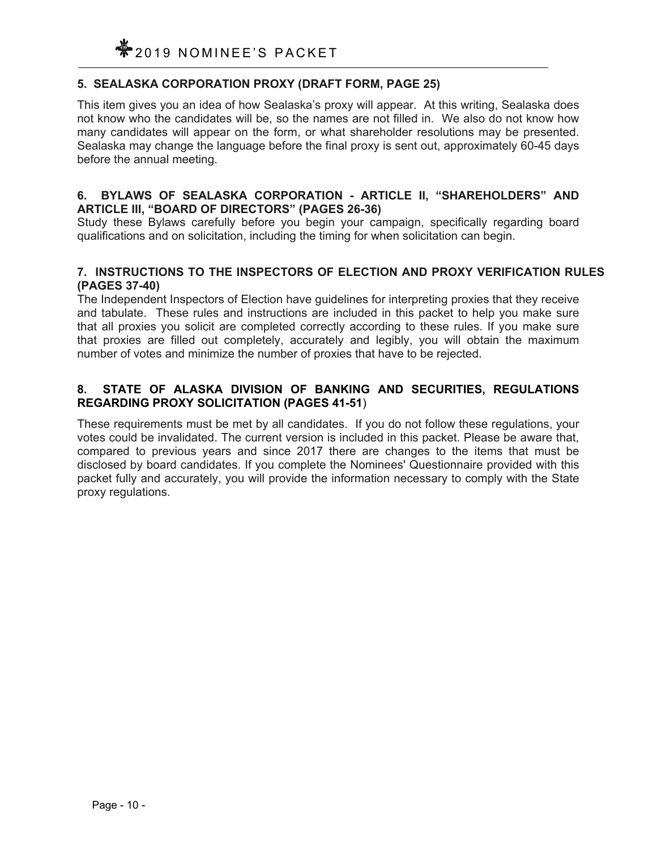### **5. SEALASKA CORPORATION PROXY (DRAFT FORM, PAGE 25)**

This item gives you an idea of how Sealaska's proxy will appear. At this writing, Sealaska does not know who the candidates will be, so the names are not filled in. We also do not know how many candidates will appear on the form, or what shareholder resolutions may be presented. Sealaska may change the language before the final proxy is sent out, approximately 60-45 days before the annual meeting.

### **6. BYLAWS OF SEALASKA CORPORATION - ARTICLE II, "SHAREHOLDERS" AND ARTICLE III, "BOARD OF DIRECTORS" (PAGES 26-36)**

Study these Bylaws carefully before you begin your campaign, specifically regarding board qualifications and on solicitation, including the timing for when solicitation can begin.

### **7. INSTRUCTIONS TO THE INSPECTORS OF ELECTION AND PROXY VERIFICATION RULES (PAGES 37-40)**

The Independent Inspectors of Election have guidelines for interpreting proxies that they receive and tabulate. These rules and instructions are included in this packet to help you make sure that all proxies you solicit are completed correctly according to these rules. If you make sure that proxies are filled out completely, accurately and legibly, you will obtain the maximum number of votes and minimize the number of proxies that have to be rejected.

### **8. STATE OF ALASKA DIVISION OF BANKING AND SECURITIES, REGULATIONS REGARDING PROXY SOLICITATION (PAGES 41-51**)

These requirements must be met by all candidates. If you do not follow these regulations, your votes could be invalidated. The current version is included in this packet. Please be aware that, compared to previous years and since 2017 there are changes to the items that must be disclosed by board candidates. If you complete the Nominees' Questionnaire provided with this packet fully and accurately, you will provide the information necessary to comply with the State proxy regulations.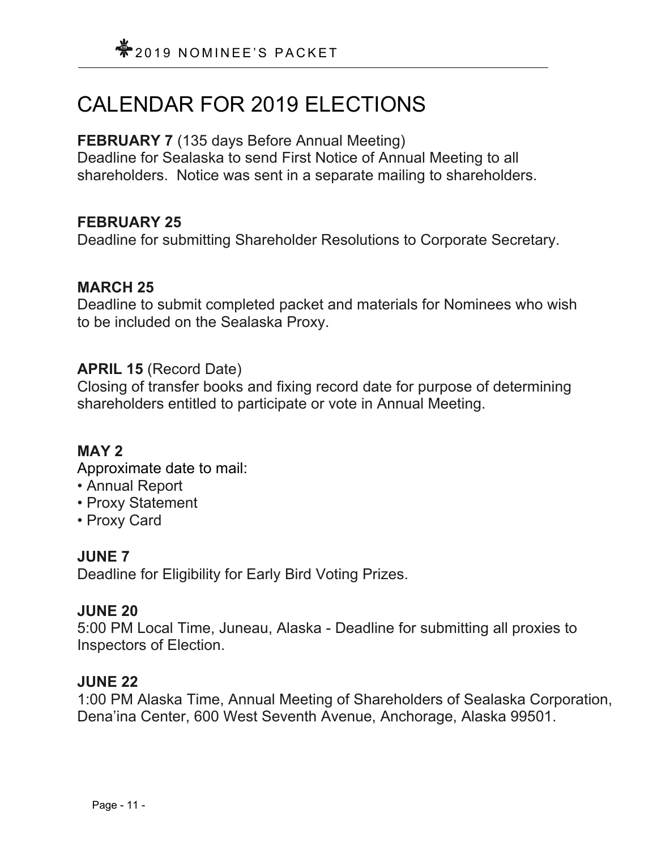## CALENDAR FOR 2019 ELECTIONS

## **FEBRUARY 7** (135 days Before Annual Meeting)

Deadline for Sealaska to send First Notice of Annual Meeting to all shareholders. Notice was sent in a separate mailing to shareholders.

## **FEBRUARY 25**

Deadline for submitting Shareholder Resolutions to Corporate Secretary.

## **MARCH 25**

Deadline to submit completed packet and materials for Nominees who wish to be included on the Sealaska Proxy.

## **APRIL 15** (Record Date)

Closing of transfer books and fixing record date for purpose of determining shareholders entitled to participate or vote in Annual Meeting.

## **MAY 2**

Approximate date to mail:

- Annual Report
- Proxy Statement
- Proxy Card

## **JUNE 7**

Deadline for Eligibility for Early Bird Voting Prizes.

## **JUNE 20**

5:00 PM Local Time, Juneau, Alaska - Deadline for submitting all proxies to Inspectors of Election.

## **JUNE 22**

1:00 PM Alaska Time, Annual Meeting of Shareholders of Sealaska Corporation, Dena'ina Center, 600 West Seventh Avenue, Anchorage, Alaska 99501.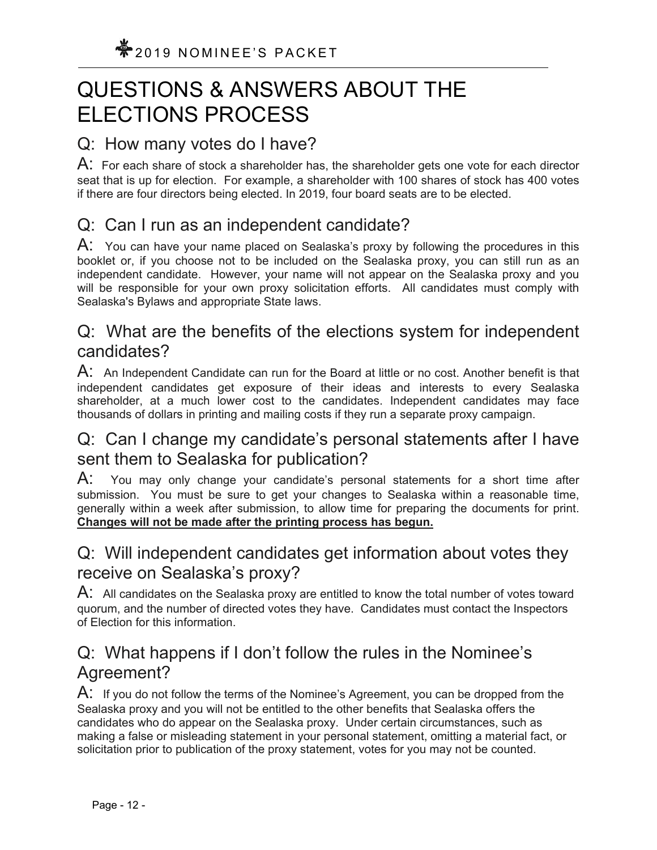## QUESTIONS & ANSWERS ABOUT THE ELECTIONS PROCESS

## Q: How many votes do I have?

 $\mathsf A$ : For each share of stock a shareholder has, the shareholder gets one vote for each director seat that is up for election. For example, a shareholder with 100 shares of stock has 400 votes if there are four directors being elected. In 2019, four board seats are to be elected.

## Q: Can I run as an independent candidate?

A: You can have your name placed on Sealaska's proxy by following the procedures in this booklet or, if you choose not to be included on the Sealaska proxy, you can still run as an independent candidate. However, your name will not appear on the Sealaska proxy and you will be responsible for your own proxy solicitation efforts. All candidates must comply with Sealaska's Bylaws and appropriate State laws.

## Q: What are the benefits of the elections system for independent candidates?

 $\mathsf{A}$ : An Independent Candidate can run for the Board at little or no cost. Another benefit is that independent candidates get exposure of their ideas and interests to every Sealaska shareholder, at a much lower cost to the candidates. Independent candidates may face thousands of dollars in printing and mailing costs if they run a separate proxy campaign.

## Q: Can I change my candidate's personal statements after I have sent them to Sealaska for publication?

A: You may only change your candidate's personal statements for a short time after submission. You must be sure to get your changes to Sealaska within a reasonable time, generally within a week after submission, to allow time for preparing the documents for print. **Changes will not be made after the printing process has begun.**

## Q: Will independent candidates get information about votes they receive on Sealaska's proxy?

 $\mathsf{A}$ : All candidates on the Sealaska proxy are entitled to know the total number of votes toward quorum, and the number of directed votes they have. Candidates must contact the Inspectors of Election for this information.

## Q: What happens if I don't follow the rules in the Nominee's Agreement?

A: If you do not follow the terms of the Nominee's Agreement, you can be dropped from the Sealaska proxy and you will not be entitled to the other benefits that Sealaska offers the candidates who do appear on the Sealaska proxy. Under certain circumstances, such as making a false or misleading statement in your personal statement, omitting a material fact, or solicitation prior to publication of the proxy statement, votes for you may not be counted.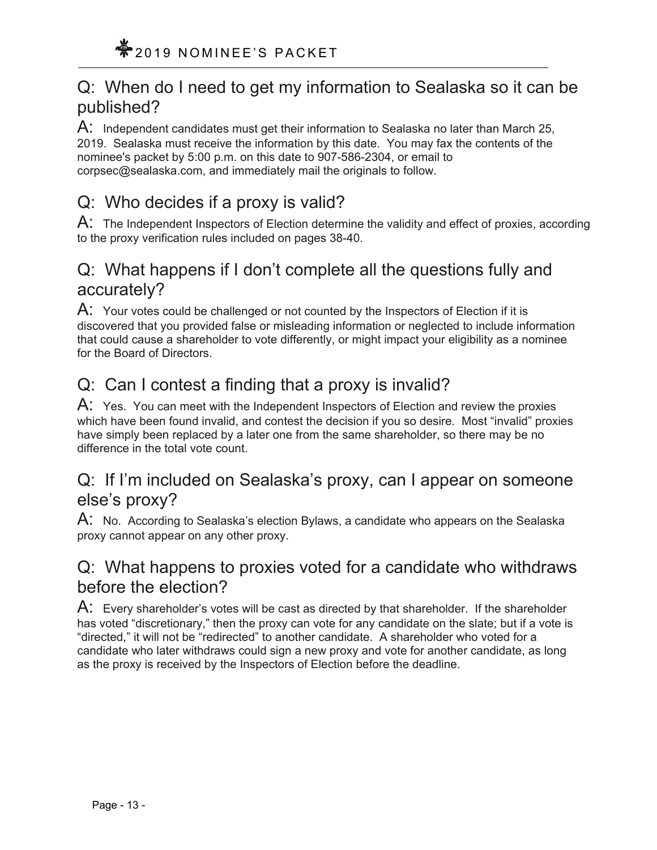## Q: When do I need to get my information to Sealaska so it can be published?

 $\mathsf{A}$ : Independent candidates must get their information to Sealaska no later than March 25, 2019. Sealaska must receive the information by this date. You may fax the contents of the nominee's packet by 5:00 p.m. on this date to 907-586-2304, or email to corpsec@sealaska.com, and immediately mail the originals to follow.

## Q: Who decides if a proxy is valid?

A: The Independent Inspectors of Election determine the validity and effect of proxies, according to the proxy verification rules included on pages 38-40.

## Q: What happens if I don't complete all the questions fully and accurately?

 $\mathsf{A}$ : Your votes could be challenged or not counted by the Inspectors of Election if it is discovered that you provided false or misleading information or neglected to include information that could cause a shareholder to vote differently, or might impact your eligibility as a nominee for the Board of Directors.

## Q: Can I contest a finding that a proxy is invalid?

A: Yes. You can meet with the Independent Inspectors of Election and review the proxies which have been found invalid, and contest the decision if you so desire. Most "invalid" proxies have simply been replaced by a later one from the same shareholder, so there may be no difference in the total vote count.

## Q: If I'm included on Sealaska's proxy, can I appear on someone else's proxy?

A: No. According to Sealaska's election Bylaws, a candidate who appears on the Sealaska proxy cannot appear on any other proxy.

## Q: What happens to proxies voted for a candidate who withdraws before the election?

 $\mathsf{A}$ : Every shareholder's votes will be cast as directed by that shareholder. If the shareholder has voted "discretionary," then the proxy can vote for any candidate on the slate; but if a vote is "directed," it will not be "redirected" to another candidate. A shareholder who voted for a candidate who later withdraws could sign a new proxy and vote for another candidate, as long as the proxy is received by the Inspectors of Election before the deadline.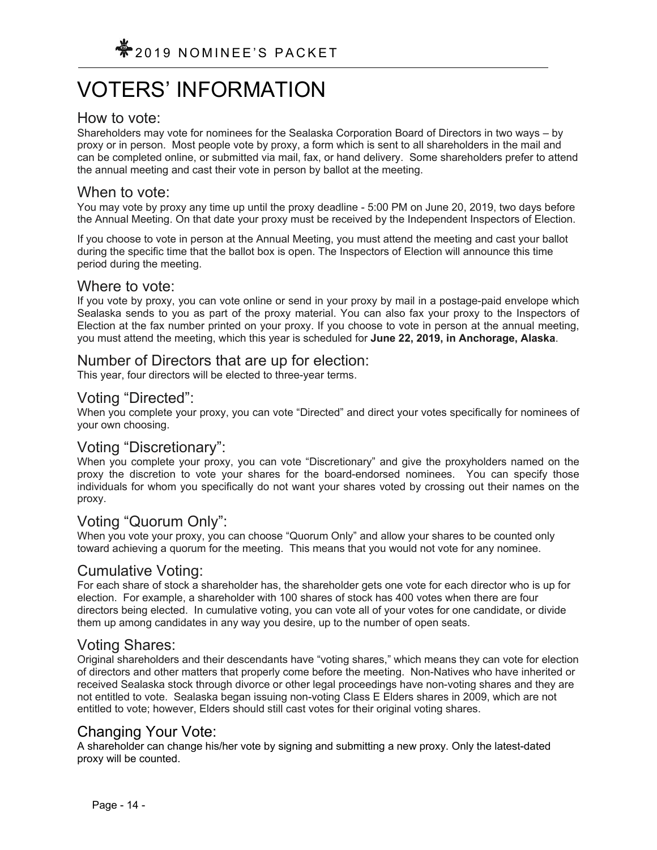# VOTERS' INFORMATION

## How to vote:

Shareholders may vote for nominees for the Sealaska Corporation Board of Directors in two ways – by proxy or in person. Most people vote by proxy, a form which is sent to all shareholders in the mail and can be completed online, or submitted via mail, fax, or hand delivery. Some shareholders prefer to attend the annual meeting and cast their vote in person by ballot at the meeting.

## When to vote:

You may vote by proxy any time up until the proxy deadline - 5:00 PM on June 20, 2019, two days before the Annual Meeting. On that date your proxy must be received by the Independent Inspectors of Election.

If you choose to vote in person at the Annual Meeting, you must attend the meeting and cast your ballot during the specific time that the ballot box is open. The Inspectors of Election will announce this time period during the meeting.

### Where to vote:

If you vote by proxy, you can vote online or send in your proxy by mail in a postage-paid envelope which Sealaska sends to you as part of the proxy material. You can also fax your proxy to the Inspectors of Election at the fax number printed on your proxy. If you choose to vote in person at the annual meeting, you must attend the meeting, which this year is scheduled for **June 22, 2019, in Anchorage, Alaska**.

## Number of Directors that are up for election:

This year, four directors will be elected to three-year terms.

## Voting "Directed":

When you complete your proxy, you can vote "Directed" and direct your votes specifically for nominees of your own choosing.

## Voting "Discretionary":

When you complete your proxy, you can vote "Discretionary" and give the proxyholders named on the proxy the discretion to vote your shares for the board-endorsed nominees. You can specify those individuals for whom you specifically do not want your shares voted by crossing out their names on the proxy.

## Voting "Quorum Only":

When you vote your proxy, you can choose "Quorum Only" and allow your shares to be counted only toward achieving a quorum for the meeting. This means that you would not vote for any nominee.

## Cumulative Voting:

For each share of stock a shareholder has, the shareholder gets one vote for each director who is up for election. For example, a shareholder with 100 shares of stock has 400 votes when there are four directors being elected. In cumulative voting, you can vote all of your votes for one candidate, or divide them up among candidates in any way you desire, up to the number of open seats.

## Voting Shares:

Original shareholders and their descendants have "voting shares," which means they can vote for election of directors and other matters that properly come before the meeting. Non-Natives who have inherited or received Sealaska stock through divorce or other legal proceedings have non-voting shares and they are not entitled to vote. Sealaska began issuing non-voting Class E Elders shares in 2009, which are not entitled to vote; however, Elders should still cast votes for their original voting shares.

## Changing Your Vote:

A shareholder can change his/her vote by signing and submitting a new proxy. Only the latest-dated proxy will be counted.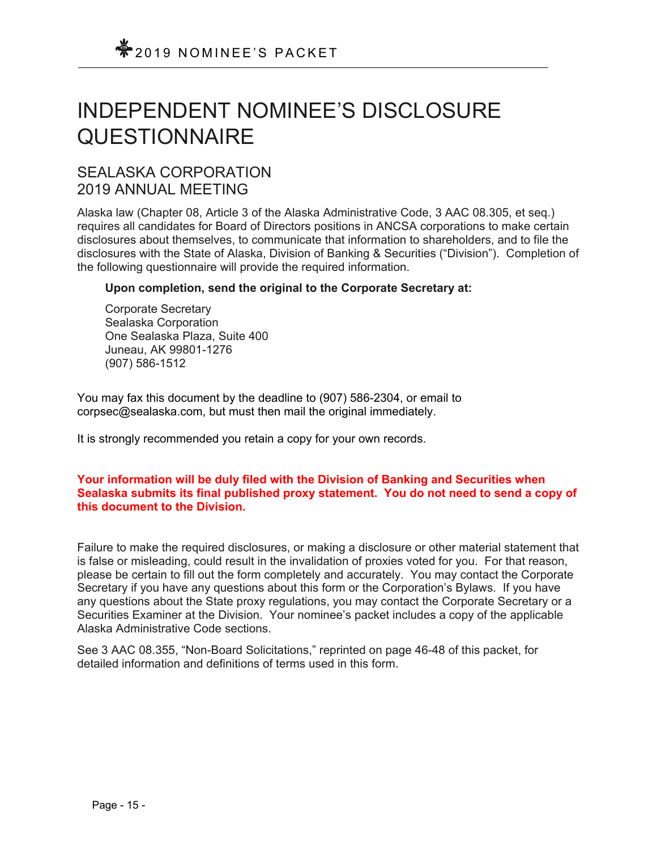## INDEPENDENT NOMINEE'S DISCLOSURE QUESTIONNAIRE

## SEALASKA CORPORATION 2019 ANNUAL MEETING

Alaska law (Chapter 08, Article 3 of the Alaska Administrative Code, 3 AAC 08.305, et seq.) requires all candidates for Board of Directors positions in ANCSA corporations to make certain disclosures about themselves, to communicate that information to shareholders, and to file the disclosures with the State of Alaska, Division of Banking & Securities ("Division"). Completion of the following questionnaire will provide the required information.

### **Upon completion, send the original to the Corporate Secretary at:**

Corporate Secretary Sealaska Corporation One Sealaska Plaza, Suite 400 Juneau, AK 99801-1276 (907) 586-1512

You may fax this document by the deadline to (907) 586-2304, or email to corpsec@sealaska.com, but must then mail the original immediately.

It is strongly recommended you retain a copy for your own records.

### **Your information will be duly filed with the Division of Banking and Securities when Sealaska submits its final published proxy statement. You do not need to send a copy of this document to the Division.**

Failure to make the required disclosures, or making a disclosure or other material statement that is false or misleading, could result in the invalidation of proxies voted for you. For that reason, please be certain to fill out the form completely and accurately. You may contact the Corporate Secretary if you have any questions about this form or the Corporation's Bylaws. If you have any questions about the State proxy regulations, you may contact the Corporate Secretary or a Securities Examiner at the Division. Your nominee's packet includes a copy of the applicable Alaska Administrative Code sections.

See 3 AAC 08.355, "Non-Board Solicitations," reprinted on page 46-48 of this packet, for detailed information and definitions of terms used in this form.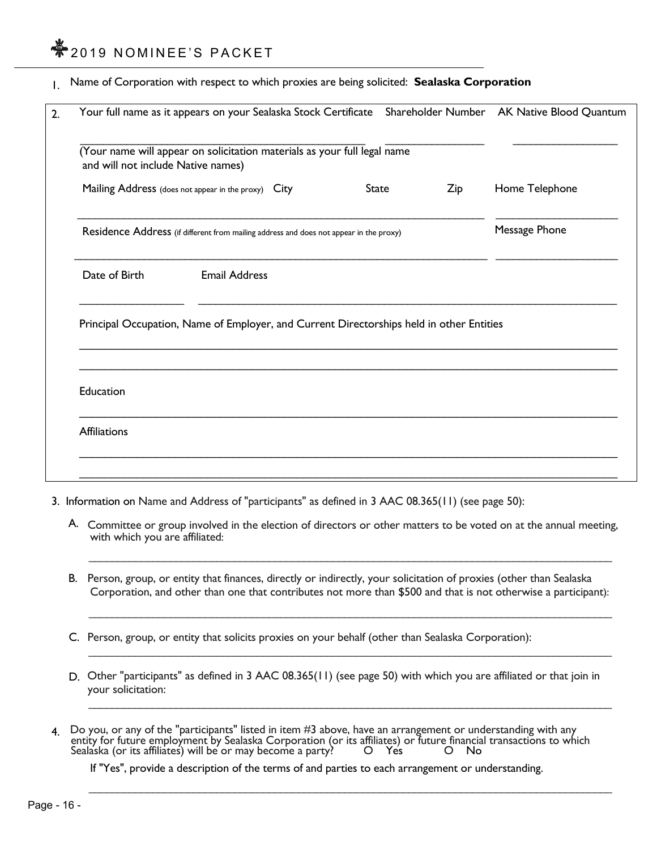## $*$ 2019 NOMINEE'S PACKET

1. Name of Corporation with respect to which proxies are being solicited: **Sealaska Corporation** 

|                                                                                                                | Your full name as it appears on your Sealaska Stock Certificate Shareholder Number AK Native Blood Quantum |              |     |                |
|----------------------------------------------------------------------------------------------------------------|------------------------------------------------------------------------------------------------------------|--------------|-----|----------------|
| (Your name will appear on solicitation materials as your full legal name<br>and will not include Native names) |                                                                                                            |              |     |                |
|                                                                                                                | Mailing Address (does not appear in the proxy) City                                                        | <b>State</b> | Zip | Home Telephone |
| Residence Address (if different from mailing address and does not appear in the proxy)                         |                                                                                                            |              |     | Message Phone  |
| Date of Birth                                                                                                  | <b>Email Address</b>                                                                                       |              |     |                |
|                                                                                                                |                                                                                                            |              |     |                |
|                                                                                                                | Principal Occupation, Name of Employer, and Current Directorships held in other Entities                   |              |     |                |
|                                                                                                                |                                                                                                            |              |     |                |
| Education                                                                                                      |                                                                                                            |              |     |                |

- 3. Information on Name and Address of "participants" as defined in 3 AAC 08.365(11) (see page 50):
	- A. Committee or group involved in the election of directors or other matters to be voted on at the annual meeting, with which you are affiliated:

 $\overline{\phantom{a}}$  , and the contribution of the contribution of the contribution of the contribution of the contribution of the contribution of the contribution of the contribution of the contribution of the contribution of the

B. Person, group, or entity that finances, directly or indirectly, your solicitation of proxies (other than Sealaska Corporation, and other than one that contributes not more than \$500 and that is not otherwise a participant):

 $\mathcal{L}_\mathcal{L} = \mathcal{L}_\mathcal{L} = \mathcal{L}_\mathcal{L} = \mathcal{L}_\mathcal{L} = \mathcal{L}_\mathcal{L} = \mathcal{L}_\mathcal{L} = \mathcal{L}_\mathcal{L} = \mathcal{L}_\mathcal{L} = \mathcal{L}_\mathcal{L} = \mathcal{L}_\mathcal{L} = \mathcal{L}_\mathcal{L} = \mathcal{L}_\mathcal{L} = \mathcal{L}_\mathcal{L} = \mathcal{L}_\mathcal{L} = \mathcal{L}_\mathcal{L} = \mathcal{L}_\mathcal{L} = \mathcal{L}_\mathcal{L}$ 

 $\overline{\phantom{a}}$  , and the contribution of the contribution of the contribution of the contribution of the contribution of the contribution of the contribution of the contribution of the contribution of the contribution of the

- C. Person, group, or entity that solicits proxies on your behalf (other than Sealaska Corporation):
- D. Other "participants" as defined in 3 AAC 08.365(11) (see page 50) with which you are affiliated or that join in your solicitation:
- 4. Do you, or any of the "participants" listed in item #3 above, have an arrangement or understanding with any entity for future employment by Sealaska Corporation (or its affiliates) or future financial transactions to which<br>Sealaska (or its affiliates) will be or may become a party? O Yes O No

If "Yes", provide a description of the terms of and parties to each arrangement or understanding.

 $\overline{\phantom{a}}$  , and the contribution of the contribution of the contribution of the contribution of the contribution of the contribution of the contribution of the contribution of the contribution of the contribution of the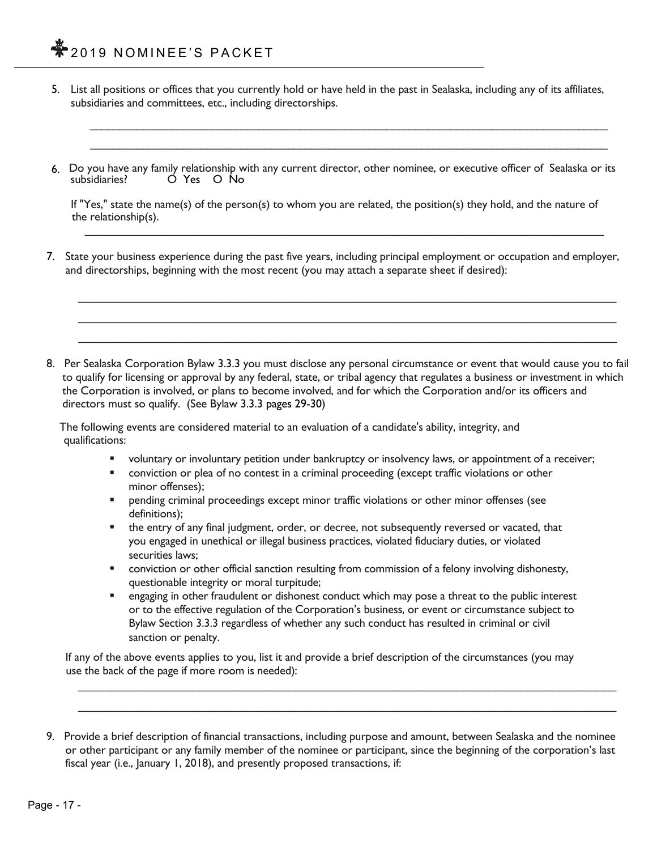5. List all positions or offices that you currently hold or have held in the past in Sealaska, including any of its affiliates, subsidiaries and committees, etc., including directorships.

 $\_$  . The contribution of the contribution of the contribution of the contribution of the contribution of the contribution of the contribution of the contribution of the contribution of the contribution of the contributio

6. Do you have any family relationship with any current director, other nominee, or executive officer of Sealaska or its<br>subsidiaries? C Yes O No subsidiaries? O Yes O No

 $\overline{\phantom{a}}$  ,  $\overline{\phantom{a}}$  ,  $\overline{\phantom{a}}$  ,  $\overline{\phantom{a}}$  ,  $\overline{\phantom{a}}$  ,  $\overline{\phantom{a}}$  ,  $\overline{\phantom{a}}$  ,  $\overline{\phantom{a}}$  ,  $\overline{\phantom{a}}$  ,  $\overline{\phantom{a}}$  ,  $\overline{\phantom{a}}$  ,  $\overline{\phantom{a}}$  ,  $\overline{\phantom{a}}$  ,  $\overline{\phantom{a}}$  ,  $\overline{\phantom{a}}$  ,  $\overline{\phantom{a}}$ 

 If "Yes," state the name(s) of the person(s) to whom you are related, the position(s) they hold, and the nature of the relationship(s).

 $\mathcal{L}_\mathcal{L} = \mathcal{L}_\mathcal{L} = \mathcal{L}_\mathcal{L} = \mathcal{L}_\mathcal{L} = \mathcal{L}_\mathcal{L} = \mathcal{L}_\mathcal{L} = \mathcal{L}_\mathcal{L} = \mathcal{L}_\mathcal{L} = \mathcal{L}_\mathcal{L} = \mathcal{L}_\mathcal{L} = \mathcal{L}_\mathcal{L} = \mathcal{L}_\mathcal{L} = \mathcal{L}_\mathcal{L} = \mathcal{L}_\mathcal{L} = \mathcal{L}_\mathcal{L} = \mathcal{L}_\mathcal{L} = \mathcal{L}_\mathcal{L}$ 

7. State your business experience during the past five years, including principal employment or occupation and employer, and directorships, beginning with the most recent (you may attach a separate sheet if desired):

 $\mathcal{L} = \{ \mathcal{L}_1, \mathcal{L}_2, \ldots, \mathcal{L}_n \}$  $\mathcal{L}_\mathcal{L} = \mathcal{L}_\mathcal{L} = \mathcal{L}_\mathcal{L} = \mathcal{L}_\mathcal{L} = \mathcal{L}_\mathcal{L} = \mathcal{L}_\mathcal{L} = \mathcal{L}_\mathcal{L} = \mathcal{L}_\mathcal{L} = \mathcal{L}_\mathcal{L} = \mathcal{L}_\mathcal{L} = \mathcal{L}_\mathcal{L} = \mathcal{L}_\mathcal{L} = \mathcal{L}_\mathcal{L} = \mathcal{L}_\mathcal{L} = \mathcal{L}_\mathcal{L} = \mathcal{L}_\mathcal{L} = \mathcal{L}_\mathcal{L}$  $\mathcal{L}_\mathcal{L} = \mathcal{L}_\mathcal{L} = \mathcal{L}_\mathcal{L} = \mathcal{L}_\mathcal{L} = \mathcal{L}_\mathcal{L} = \mathcal{L}_\mathcal{L} = \mathcal{L}_\mathcal{L} = \mathcal{L}_\mathcal{L} = \mathcal{L}_\mathcal{L} = \mathcal{L}_\mathcal{L} = \mathcal{L}_\mathcal{L} = \mathcal{L}_\mathcal{L} = \mathcal{L}_\mathcal{L} = \mathcal{L}_\mathcal{L} = \mathcal{L}_\mathcal{L} = \mathcal{L}_\mathcal{L} = \mathcal{L}_\mathcal{L}$ 

8. Per Sealaska Corporation Bylaw 3.3.3 you must disclose any personal circumstance or event that would cause you to fail to qualify for licensing or approval by any federal, state, or tribal agency that regulates a business or investment in which the Corporation is involved, or plans to become involved, and for which the Corporation and/or its officers and directors must so qualify. (See Bylaw 3.3.3 pages 29-30)

 The following events are considered material to an evaluation of a candidate's ability, integrity, and qualifications:

- voluntary or involuntary petition under bankruptcy or insolvency laws, or appointment of a receiver;
- **•** conviction or plea of no contest in a criminal proceeding (except traffic violations or other minor offenses);
- pending criminal proceedings except minor traffic violations or other minor offenses (see definitions);
- the entry of any final judgment, order, or decree, not subsequently reversed or vacated, that you engaged in unethical or illegal business practices, violated fiduciary duties, or violated securities laws;
- conviction or other official sanction resulting from commission of a felony involving dishonesty, questionable integrity or moral turpitude;
- engaging in other fraudulent or dishonest conduct which may pose a threat to the public interest or to the effective regulation of the Corporation's business, or event or circumstance subject to Bylaw Section 3.3.3 regardless of whether any such conduct has resulted in criminal or civil sanction or penalty.

 If any of the above events applies to you, list it and provide a brief description of the circumstances (you may use the back of the page if more room is needed):

 $\mathcal{L} = \{ \mathcal{L}_1, \mathcal{L}_2, \ldots, \mathcal{L}_n \}$ 

<sup>9.</sup> Provide a brief description of financial transactions, including purpose and amount, between Sealaska and the nominee or other participant or any family member of the nominee or participant, since the beginning of the corporation's last fiscal year (i.e., January 1, 2018), and presently proposed transactions, if: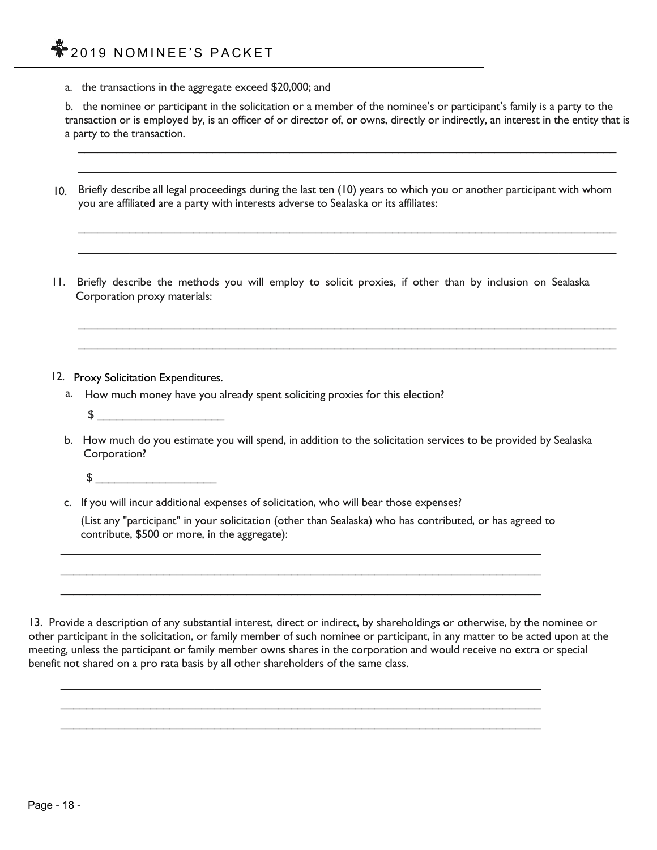a. the transactions in the aggregate exceed \$20,000; and

b. the nominee or participant in the solicitation or a member of the nominee's or participant's family is a party to the transaction or is employed by, is an officer of or director of, or owns, directly or indirectly, an interest in the entity that is a party to the transaction.

10. Briefly describe all legal proceedings during the last ten (10) years to which you or another participant with whom you are affiliated are a party with interests adverse to Sealaska or its affiliates:

 $\mathcal{L}_\mathcal{L} = \mathcal{L}_\mathcal{L} = \mathcal{L}_\mathcal{L} = \mathcal{L}_\mathcal{L} = \mathcal{L}_\mathcal{L} = \mathcal{L}_\mathcal{L} = \mathcal{L}_\mathcal{L} = \mathcal{L}_\mathcal{L} = \mathcal{L}_\mathcal{L} = \mathcal{L}_\mathcal{L} = \mathcal{L}_\mathcal{L} = \mathcal{L}_\mathcal{L} = \mathcal{L}_\mathcal{L} = \mathcal{L}_\mathcal{L} = \mathcal{L}_\mathcal{L} = \mathcal{L}_\mathcal{L} = \mathcal{L}_\mathcal{L}$  $\mathcal{L} = \{ \mathcal{L}_1, \mathcal{L}_2, \ldots, \mathcal{L}_n \}$ 

 $\mathcal{L} = \{ \mathcal{L} = \{ \mathcal{L} = \{ \mathcal{L} = \{ \mathcal{L} = \{ \mathcal{L} = \{ \mathcal{L} = \{ \mathcal{L} = \{ \mathcal{L} = \{ \mathcal{L} = \{ \mathcal{L} = \{ \mathcal{L} = \{ \mathcal{L} = \{ \mathcal{L} = \{ \mathcal{L} = \{ \mathcal{L} = \{ \mathcal{L} = \{ \mathcal{L} = \{ \mathcal{L} = \{ \mathcal{L} = \{ \mathcal{L} = \{ \mathcal{L} = \{ \mathcal{L} = \{ \mathcal{L} = \{ \mathcal{$ 

11. Briefly describe the methods you will employ to solicit proxies, if other than by inclusion on Sealaska Corporation proxy materials:

 $\mathcal{L}_\mathcal{L} = \mathcal{L}_\mathcal{L} = \mathcal{L}_\mathcal{L} = \mathcal{L}_\mathcal{L} = \mathcal{L}_\mathcal{L} = \mathcal{L}_\mathcal{L} = \mathcal{L}_\mathcal{L} = \mathcal{L}_\mathcal{L} = \mathcal{L}_\mathcal{L} = \mathcal{L}_\mathcal{L} = \mathcal{L}_\mathcal{L} = \mathcal{L}_\mathcal{L} = \mathcal{L}_\mathcal{L} = \mathcal{L}_\mathcal{L} = \mathcal{L}_\mathcal{L} = \mathcal{L}_\mathcal{L} = \mathcal{L}_\mathcal{L}$  $\mathcal{L} = \{ \mathcal{L}_1, \mathcal{L}_2, \ldots, \mathcal{L}_n \}$ 

- 12. Proxy Solicitation Expenditures.
	- a. How much money have you already spent soliciting proxies for this election?
		- $\updownarrow$
	- b. How much do you estimate you will spend, in addition to the solicitation services to be provided by Sealaska Corporation?
		- $\sim$
	- c. If you will incur additional expenses of solicitation, who will bear those expenses?

 $\mathcal{L}_\text{max} = \frac{1}{2} \sum_{i=1}^{n} \frac{1}{2} \sum_{i=1}^{n} \frac{1}{2} \sum_{i=1}^{n} \frac{1}{2} \sum_{i=1}^{n} \frac{1}{2} \sum_{i=1}^{n} \frac{1}{2} \sum_{i=1}^{n} \frac{1}{2} \sum_{i=1}^{n} \frac{1}{2} \sum_{i=1}^{n} \frac{1}{2} \sum_{i=1}^{n} \frac{1}{2} \sum_{i=1}^{n} \frac{1}{2} \sum_{i=1}^{n} \frac{1}{2} \sum_{i=1}^{n} \frac{1$  $\mathcal{L}_\text{max} = \frac{1}{2} \sum_{i=1}^{n} \frac{1}{2} \sum_{i=1}^{n} \frac{1}{2} \sum_{i=1}^{n} \frac{1}{2} \sum_{i=1}^{n} \frac{1}{2} \sum_{i=1}^{n} \frac{1}{2} \sum_{i=1}^{n} \frac{1}{2} \sum_{i=1}^{n} \frac{1}{2} \sum_{i=1}^{n} \frac{1}{2} \sum_{i=1}^{n} \frac{1}{2} \sum_{i=1}^{n} \frac{1}{2} \sum_{i=1}^{n} \frac{1}{2} \sum_{i=1}^{n} \frac{1$  $\mathcal{L}_\text{max} = \frac{1}{2} \sum_{i=1}^{n} \frac{1}{2} \sum_{i=1}^{n} \frac{1}{2} \sum_{i=1}^{n} \frac{1}{2} \sum_{i=1}^{n} \frac{1}{2} \sum_{i=1}^{n} \frac{1}{2} \sum_{i=1}^{n} \frac{1}{2} \sum_{i=1}^{n} \frac{1}{2} \sum_{i=1}^{n} \frac{1}{2} \sum_{i=1}^{n} \frac{1}{2} \sum_{i=1}^{n} \frac{1}{2} \sum_{i=1}^{n} \frac{1}{2} \sum_{i=1}^{n} \frac{1$ 

 $\mathcal{L}_\text{max} = \frac{1}{2} \sum_{i=1}^{n} \frac{1}{2} \sum_{i=1}^{n} \frac{1}{2} \sum_{i=1}^{n} \frac{1}{2} \sum_{i=1}^{n} \frac{1}{2} \sum_{i=1}^{n} \frac{1}{2} \sum_{i=1}^{n} \frac{1}{2} \sum_{i=1}^{n} \frac{1}{2} \sum_{i=1}^{n} \frac{1}{2} \sum_{i=1}^{n} \frac{1}{2} \sum_{i=1}^{n} \frac{1}{2} \sum_{i=1}^{n} \frac{1}{2} \sum_{i=1}^{n} \frac{1$  $\mathcal{L}_\text{max} = \frac{1}{2} \sum_{i=1}^{n} \frac{1}{2} \sum_{i=1}^{n} \frac{1}{2} \sum_{i=1}^{n} \frac{1}{2} \sum_{i=1}^{n} \frac{1}{2} \sum_{i=1}^{n} \frac{1}{2} \sum_{i=1}^{n} \frac{1}{2} \sum_{i=1}^{n} \frac{1}{2} \sum_{i=1}^{n} \frac{1}{2} \sum_{i=1}^{n} \frac{1}{2} \sum_{i=1}^{n} \frac{1}{2} \sum_{i=1}^{n} \frac{1}{2} \sum_{i=1}^{n} \frac{1$  $\mathcal{L}_\text{max} = \frac{1}{2} \sum_{i=1}^{n} \frac{1}{2} \sum_{i=1}^{n} \frac{1}{2} \sum_{i=1}^{n} \frac{1}{2} \sum_{i=1}^{n} \frac{1}{2} \sum_{i=1}^{n} \frac{1}{2} \sum_{i=1}^{n} \frac{1}{2} \sum_{i=1}^{n} \frac{1}{2} \sum_{i=1}^{n} \frac{1}{2} \sum_{i=1}^{n} \frac{1}{2} \sum_{i=1}^{n} \frac{1}{2} \sum_{i=1}^{n} \frac{1}{2} \sum_{i=1}^{n} \frac{1$ 

 (List any "participant" in your solicitation (other than Sealaska) who has contributed, or has agreed to contribute, \$500 or more, in the aggregate):

13. Provide a description of any substantial interest, direct or indirect, by shareholdings or otherwise, by the nominee or other participant in the solicitation, or family member of such nominee or participant, in any matter to be acted upon at the meeting, unless the participant or family member owns shares in the corporation and would receive no extra or special benefit not shared on a pro rata basis by all other shareholders of the same class.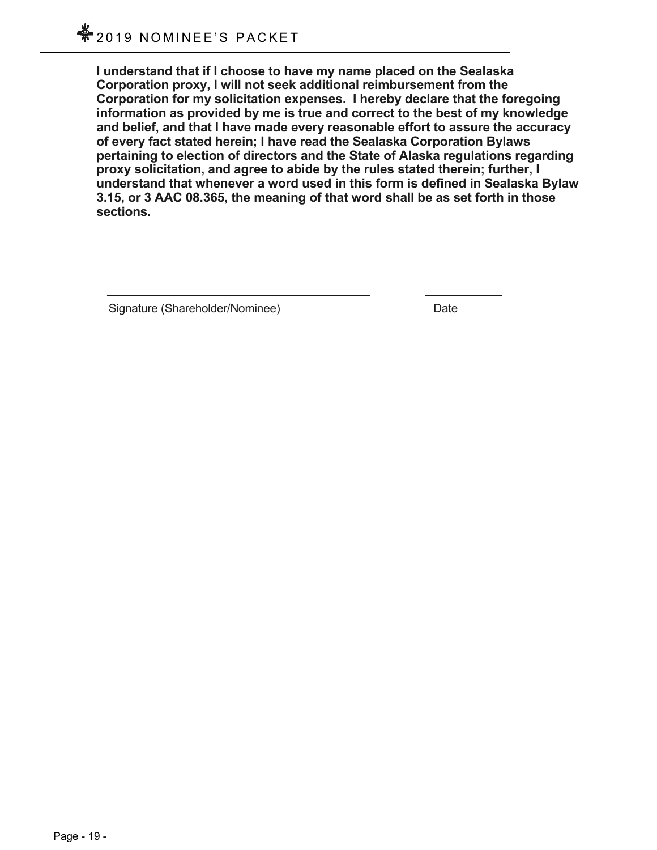**I understand that if I choose to have my name placed on the Sealaska Corporation proxy, I will not seek additional reimbursement from the Corporation for my solicitation expenses. I hereby declare that the foregoing information as provided by me is true and correct to the best of my knowledge and belief, and that I have made every reasonable effort to assure the accuracy of every fact stated herein; I have read the Sealaska Corporation Bylaws pertaining to election of directors and the State of Alaska regulations regarding proxy solicitation, and agree to abide by the rules stated therein; further, I understand that whenever a word used in this form is defined in Sealaska Bylaw 3.15, or 3 AAC 08.365, the meaning of that word shall be as set forth in those sections.** 

Signature (Shareholder/Nominee) Date

 $\mathcal{L}_\mathcal{L} = \mathcal{L}_\mathcal{L} = \mathcal{L}_\mathcal{L} = \mathcal{L}_\mathcal{L} = \mathcal{L}_\mathcal{L} = \mathcal{L}_\mathcal{L} = \mathcal{L}_\mathcal{L} = \mathcal{L}_\mathcal{L} = \mathcal{L}_\mathcal{L} = \mathcal{L}_\mathcal{L} = \mathcal{L}_\mathcal{L} = \mathcal{L}_\mathcal{L} = \mathcal{L}_\mathcal{L} = \mathcal{L}_\mathcal{L} = \mathcal{L}_\mathcal{L} = \mathcal{L}_\mathcal{L} = \mathcal{L}_\mathcal{L}$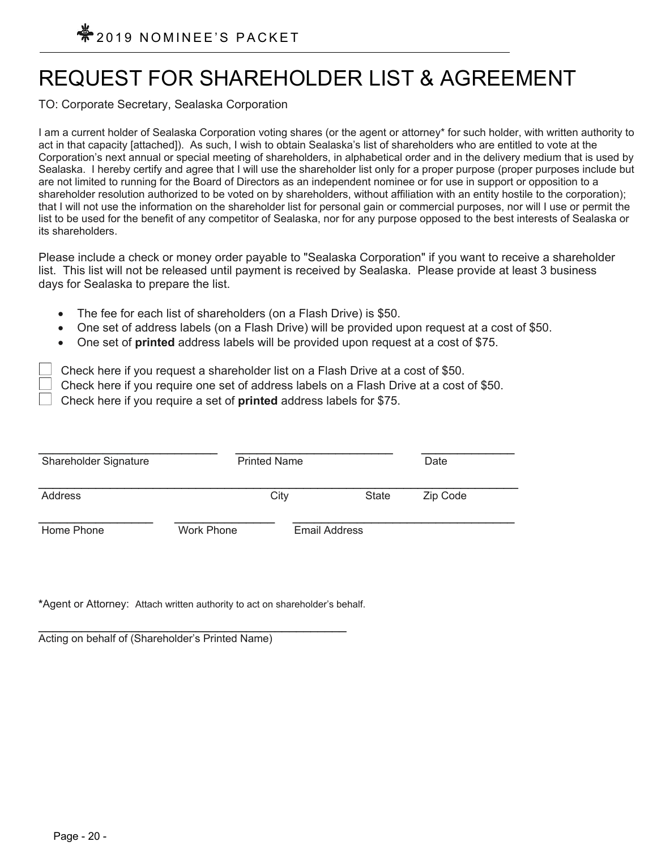## REQUEST FOR SHAREHOLDER LIST & AGREEMENT

TO: Corporate Secretary, Sealaska Corporation

I am a current holder of Sealaska Corporation voting shares (or the agent or attorney\* for such holder, with written authority to act in that capacity [attached]). As such, I wish to obtain Sealaska's list of shareholders who are entitled to vote at the Corporation's next annual or special meeting of shareholders, in alphabetical order and in the delivery medium that is used by Sealaska. I hereby certify and agree that I will use the shareholder list only for a proper purpose (proper purposes include but are not limited to running for the Board of Directors as an independent nominee or for use in support or opposition to a shareholder resolution authorized to be voted on by shareholders, without affiliation with an entity hostile to the corporation); that I will not use the information on the shareholder list for personal gain or commercial purposes, nor will I use or permit the list to be used for the benefit of any competitor of Sealaska, nor for any purpose opposed to the best interests of Sealaska or its shareholders.

Please include a check or money order payable to "Sealaska Corporation" if you want to receive a shareholder list. This list will not be released until payment is received by Sealaska. Please provide at least 3 business days for Sealaska to prepare the list.

- The fee for each list of shareholders (on a Flash Drive) is \$50.
- One set of address labels (on a Flash Drive) will be provided upon request at a cost of \$50.
- One set of **printed** address labels will be provided upon request at a cost of \$75.

Check here if you request a shareholder list on a Flash Drive at a cost of \$50.

Check here if you require one set of address labels on a Flash Drive at a cost of \$50.

Check here if you require a set of **printed** address labels for \$75.

| Shareholder Signature | <b>Printed Name</b> |               | Date     |
|-----------------------|---------------------|---------------|----------|
| Address               | City                | State         | Zip Code |
| Home Phone            | Work Phone          | Email Address |          |

**\***Agent or Attorney: Attach written authority to act on shareholder's behalf.

Acting on behalf of (Shareholder's Printed Name)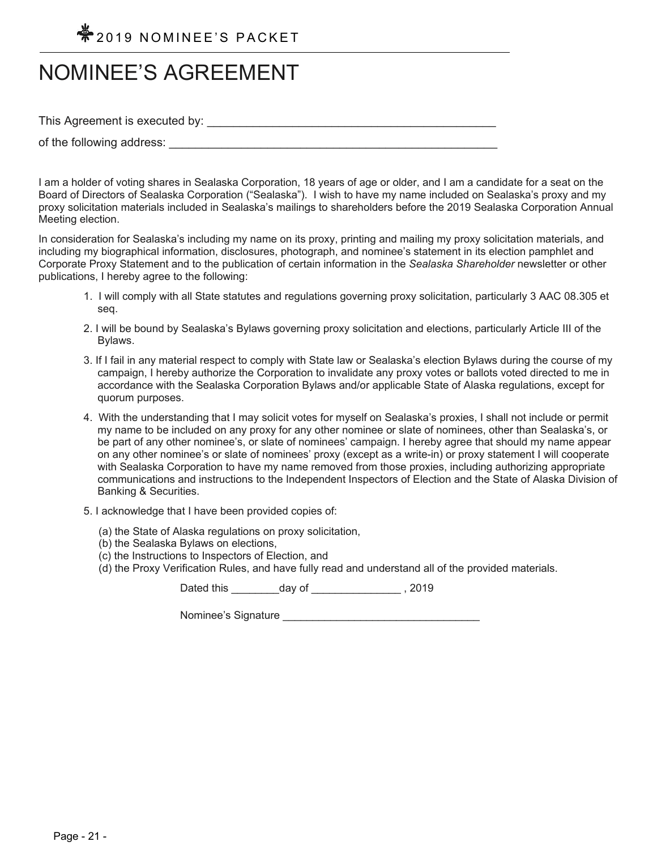

## NOMINEE'S AGREEMENT

This Agreement is executed by: \_\_\_\_\_\_\_\_\_\_\_\_\_\_\_\_\_\_\_\_\_\_\_\_\_\_\_\_\_\_\_\_\_\_\_\_\_\_\_\_\_\_\_\_

of the following address:

I am a holder of voting shares in Sealaska Corporation, 18 years of age or older, and I am a candidate for a seat on the Board of Directors of Sealaska Corporation ("Sealaska"). I wish to have my name included on Sealaska's proxy and my proxy solicitation materials included in Sealaska's mailings to shareholders before the 2019 Sealaska Corporation Annual Meeting election.

In consideration for Sealaska's including my name on its proxy, printing and mailing my proxy solicitation materials, and including my biographical information, disclosures, photograph, and nominee's statement in its election pamphlet and Corporate Proxy Statement and to the publication of certain information in the *Sealaska Shareholder* newsletter or other publications, I hereby agree to the following:

- 1. I will comply with all State statutes and regulations governing proxy solicitation, particularly 3 AAC 08.305 et seq.
- 2. I will be bound by Sealaska's Bylaws governing proxy solicitation and elections, particularly Article III of the Bylaws.
- 3. If I fail in any material respect to comply with State law or Sealaska's election Bylaws during the course of my campaign, I hereby authorize the Corporation to invalidate any proxy votes or ballots voted directed to me in accordance with the Sealaska Corporation Bylaws and/or applicable State of Alaska regulations, except for quorum purposes.
- 4. With the understanding that I may solicit votes for myself on Sealaska's proxies, I shall not include or permit my name to be included on any proxy for any other nominee or slate of nominees, other than Sealaska's, or be part of any other nominee's, or slate of nominees' campaign. I hereby agree that should my name appear on any other nominee's or slate of nominees' proxy (except as a write-in) or proxy statement I will cooperate with Sealaska Corporation to have my name removed from those proxies, including authorizing appropriate communications and instructions to the Independent Inspectors of Election and the State of Alaska Division of Banking & Securities.
- 5. I acknowledge that I have been provided copies of:
	- (a) the State of Alaska regulations on proxy solicitation,
	- (b) the Sealaska Bylaws on elections,
	- (c) the Instructions to Inspectors of Election, and
	- (d) the Proxy Verification Rules, and have fully read and understand all of the provided materials.

Dated this day of the set of the set of the set of the set of the set of the set of the set of the set of the s

Nominee's Signature **Example 20**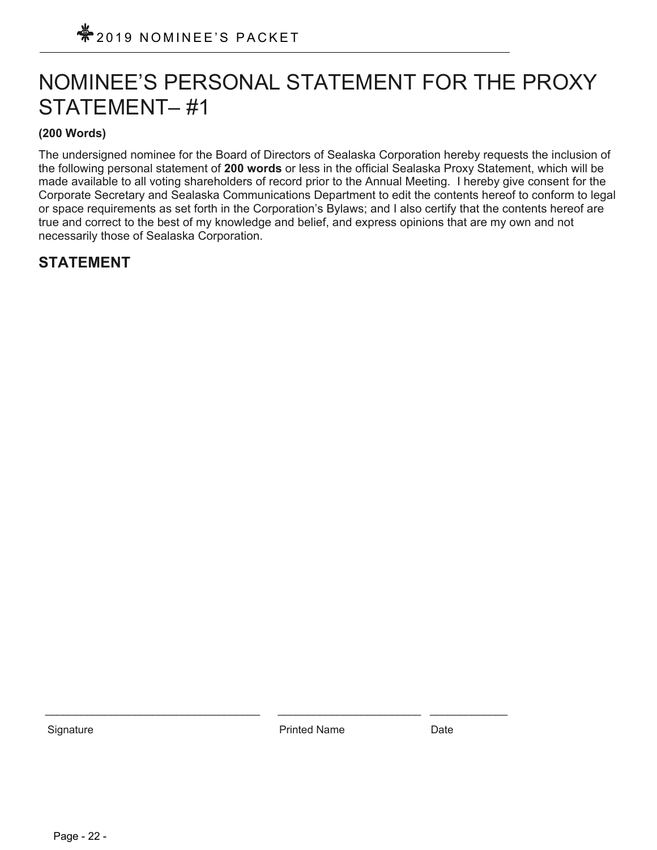## NOMINEE'S PERSONAL STATEMENT FOR THE PROXY STATEMENT– #1

### **(200 Words)**

The undersigned nominee for the Board of Directors of Sealaska Corporation hereby requests the inclusion of the following personal statement of **200 words** or less in the official Sealaska Proxy Statement, which will be made available to all voting shareholders of record prior to the Annual Meeting. I hereby give consent for the Corporate Secretary and Sealaska Communications Department to edit the contents hereof to conform to legal or space requirements as set forth in the Corporation's Bylaws; and I also certify that the contents hereof are true and correct to the best of my knowledge and belief, and express opinions that are my own and not necessarily those of Sealaska Corporation.

## **STATEMENT**

Signature **Printed Name** Date **Date** Printed Name **Date** 

\_\_\_\_\_\_\_\_\_\_\_\_\_\_\_\_\_\_\_\_\_\_\_\_\_\_\_\_\_\_\_\_\_\_\_\_ \_\_\_\_\_\_\_\_\_\_\_\_\_\_\_\_\_\_\_\_\_\_\_\_ \_\_\_\_\_\_\_\_\_\_\_\_\_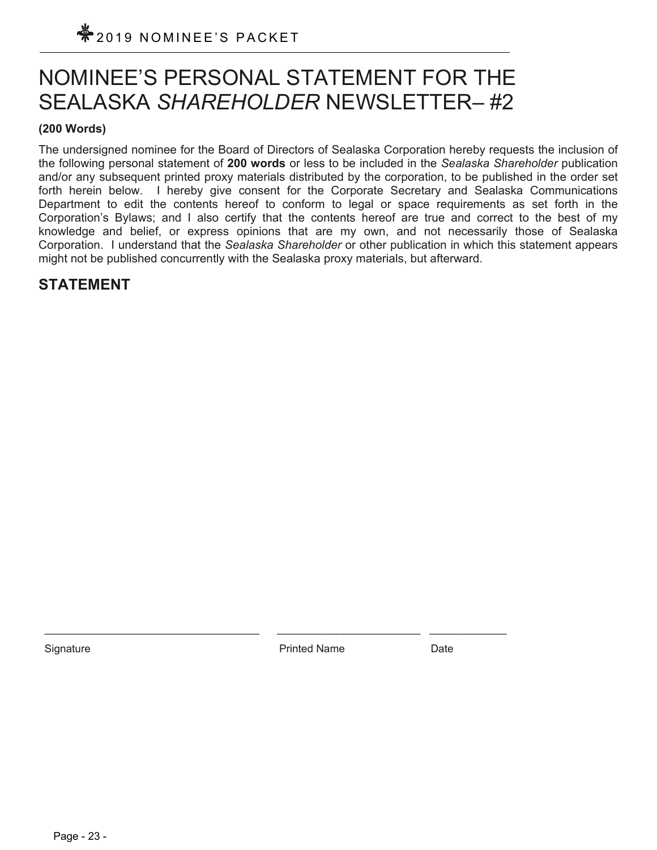## NOMINEE'S PERSONAL STATEMENT FOR THE SEALASKA *SHAREHOLDER* NEWSLETTER– #2

### **(200 Words)**

The undersigned nominee for the Board of Directors of Sealaska Corporation hereby requests the inclusion of the following personal statement of **200 words** or less to be included in the *Sealaska Shareholder* publication and/or any subsequent printed proxy materials distributed by the corporation, to be published in the order set forth herein below. I hereby give consent for the Corporate Secretary and Sealaska Communications Department to edit the contents hereof to conform to legal or space requirements as set forth in the Corporation's Bylaws; and I also certify that the contents hereof are true and correct to the best of my knowledge and belief, or express opinions that are my own, and not necessarily those of Sealaska Corporation. I understand that the *Sealaska Shareholder* or other publication in which this statement appears might not be published concurrently with the Sealaska proxy materials, but afterward.

## **STATEMENT**

Signature **Printed Name** Date **Date** Printed Name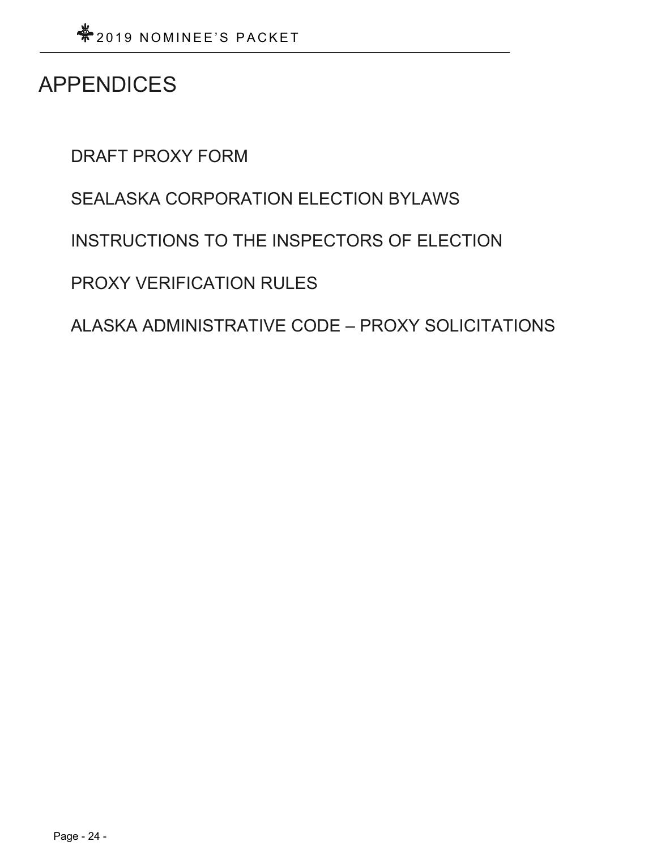## APPENDICES

DRAFT PROXY FORM

SEALASKA CORPORATION ELECTION BYLAWS

INSTRUCTIONS TO THE INSPECTORS OF ELECTION

PROXY VERIFICATION RULES

ALASKA ADMINISTRATIVE CODE – PROXY SOLICITATIONS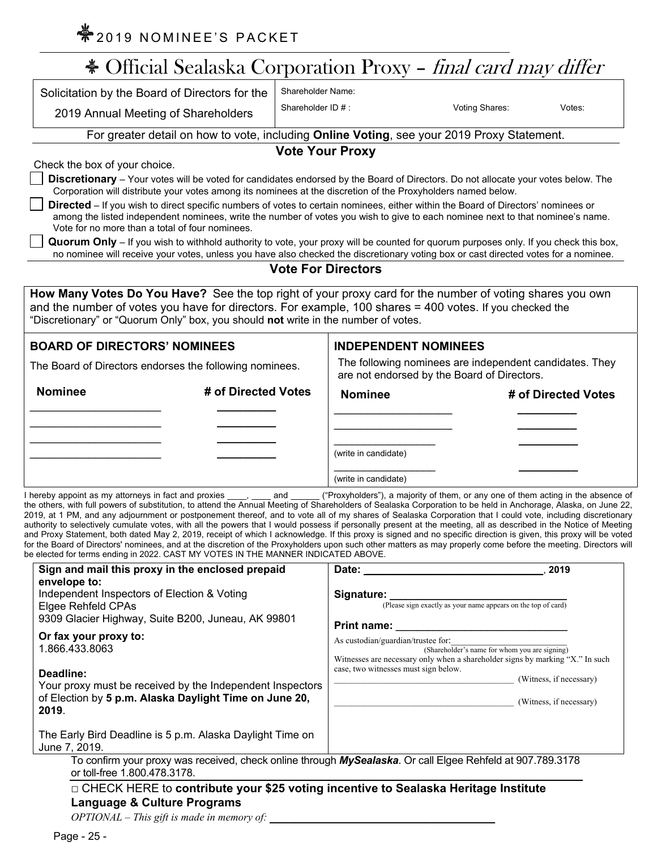$*$ 2019 NOMINEE'S PACKET

|                                                 | Solicitation by the Board of Directors for the                                                                                                                                                                                                    | <b>Shareholder Name:</b>  |                                                                                                        |                     |
|-------------------------------------------------|---------------------------------------------------------------------------------------------------------------------------------------------------------------------------------------------------------------------------------------------------|---------------------------|--------------------------------------------------------------------------------------------------------|---------------------|
|                                                 | 2019 Annual Meeting of Shareholders                                                                                                                                                                                                               | Shareholder ID #:         | Voting Shares:                                                                                         | Votes:              |
|                                                 | For greater detail on how to vote, including Online Voting, see your 2019 Proxy Statement.                                                                                                                                                        |                           |                                                                                                        |                     |
|                                                 |                                                                                                                                                                                                                                                   | <b>Vote Your Proxy</b>    |                                                                                                        |                     |
| Check the box of your choice.                   |                                                                                                                                                                                                                                                   |                           |                                                                                                        |                     |
|                                                 | Discretionary - Your votes will be voted for candidates endorsed by the Board of Directors. Do not allocate your votes below. The<br>Corporation will distribute your votes among its nominees at the discretion of the Proxyholders named below. |                           |                                                                                                        |                     |
|                                                 | Directed - If you wish to direct specific numbers of votes to certain nominees, either within the Board of Directors' nominees or                                                                                                                 |                           |                                                                                                        |                     |
| Vote for no more than a total of four nominees. | among the listed independent nominees, write the number of votes you wish to give to each nominee next to that nominee's name.                                                                                                                    |                           |                                                                                                        |                     |
|                                                 | Quorum Only - If you wish to withhold authority to vote, your proxy will be counted for quorum purposes only. If you check this box,                                                                                                              |                           |                                                                                                        |                     |
|                                                 | no nominee will receive your votes, unless you have also checked the discretionary voting box or cast directed votes for a nominee.                                                                                                               |                           |                                                                                                        |                     |
|                                                 |                                                                                                                                                                                                                                                   |                           |                                                                                                        |                     |
|                                                 |                                                                                                                                                                                                                                                   | <b>Vote For Directors</b> |                                                                                                        |                     |
|                                                 |                                                                                                                                                                                                                                                   |                           |                                                                                                        |                     |
|                                                 | How Many Votes Do You Have? See the top right of your proxy card for the number of voting shares you own                                                                                                                                          |                           |                                                                                                        |                     |
|                                                 | and the number of votes you have for directors. For example, 100 shares = 400 votes. If you checked the<br>"Discretionary" or "Quorum Only" box, you should not write in the number of votes.                                                     |                           |                                                                                                        |                     |
| <b>BOARD OF DIRECTORS' NOMINEES</b>             |                                                                                                                                                                                                                                                   |                           | <b>INDEPENDENT NOMINEES</b>                                                                            |                     |
|                                                 | The Board of Directors endorses the following nominees.                                                                                                                                                                                           |                           | The following nominees are independent candidates. They<br>are not endorsed by the Board of Directors. |                     |
| <b>Nominee</b>                                  | # of Directed Votes                                                                                                                                                                                                                               | <b>Nominee</b>            |                                                                                                        | # of Directed Votes |
|                                                 |                                                                                                                                                                                                                                                   |                           |                                                                                                        |                     |
|                                                 |                                                                                                                                                                                                                                                   | (write in candidate)      |                                                                                                        |                     |

the others, with full powers of substitution, to attend the Annual Meeting of Shareholders of Sealaska Corporation to be held in Anchorage, Alaska, on June 22, 2019, at 1 PM, and any adjournment or postponement thereof, and to vote all of my shares of Sealaska Corporation that I could vote, including discretionary authority to selectively cumulate votes, with all the powers that I would possess if personally present at the meeting, all as described in the Notice of Meeting and Proxy Statement, both dated May 2, 2019, receipt of which I acknowledge. If this proxy is signed and no specific direction is given, this proxy will be voted for the Board of Directors' nominees, and at the discretion of the Proxyholders upon such other matters as may properly come before the meeting. Directors will be elected for terms ending in 2022. CAST MY VOTES IN THE MANNER INDICATED ABOVE.

| CICCICO TOI TCHING CHUING IN ZUZZ. UNU I INTERVIZIO IN THE IVIANNEN INDIUATED ADOVE.                                                                                                        |                                                                                                                                                                                                                                                                                                         |
|---------------------------------------------------------------------------------------------------------------------------------------------------------------------------------------------|---------------------------------------------------------------------------------------------------------------------------------------------------------------------------------------------------------------------------------------------------------------------------------------------------------|
| Sign and mail this proxy in the enclosed prepaid<br>envelope to:<br>Independent Inspectors of Election & Voting<br>Elgee Rehfeld CPAs<br>9309 Glacier Highway, Suite B200, Juneau, AK 99801 | Date: the contract of the contract of the contract of the contract of the contract of the contract of the contract of the contract of the contract of the contract of the contract of the contract of the contract of the cont<br>2019<br>(Please sign exactly as your name appears on the top of card) |
| Or fax your proxy to:<br>1.866.433.8063<br>Deadline:<br>Your proxy must be received by the Independent Inspectors<br>of Election by 5 p.m. Alaska Daylight Time on June 20,<br>2019.        | As custodian/guardian/trustee for:<br>(Shareholder's name for whom you are signing)<br>Witnesses are necessary only when a shareholder signs by marking "X." In such<br>case, two witnesses must sign below.<br>(Witness, if necessary)<br>(Witness, if necessary)                                      |
| The Early Bird Deadline is 5 p.m. Alaska Daylight Time on<br>June 7, 2019.                                                                                                                  |                                                                                                                                                                                                                                                                                                         |
| To confirm your proxy was received, check online through MySealaska. Or call Elgee Rehfeld at 907.789.3178<br>or toll-free 1.800.478.3178.                                                  |                                                                                                                                                                                                                                                                                                         |
| □ CHECK HERE to contribute your \$25 voting incentive to Sealaska Heritage Institute<br><b>Language &amp; Culture Programs</b><br>$OPTIONAL$ – This gift is made in memory of:              |                                                                                                                                                                                                                                                                                                         |

Page - 25 -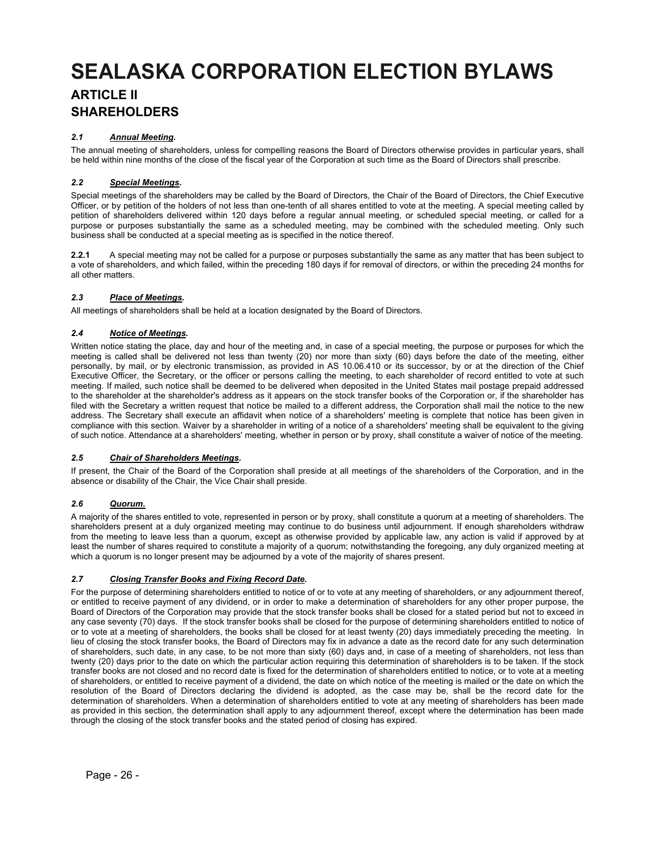## **SEALASKA CORPORATION ELECTION BYLAWS ARTICLE II SHAREHOLDERS**

#### *2.1 Annual Meeting.*

The annual meeting of shareholders, unless for compelling reasons the Board of Directors otherwise provides in particular years, shall be held within nine months of the close of the fiscal year of the Corporation at such time as the Board of Directors shall prescribe.

#### *2.2 Special Meetings.*

Special meetings of the shareholders may be called by the Board of Directors, the Chair of the Board of Directors, the Chief Executive Officer, or by petition of the holders of not less than one-tenth of all shares entitled to vote at the meeting. A special meeting called by petition of shareholders delivered within 120 days before a regular annual meeting, or scheduled special meeting, or called for a purpose or purposes substantially the same as a scheduled meeting, may be combined with the scheduled meeting. Only such business shall be conducted at a special meeting as is specified in the notice thereof.

**2.2.1** A special meeting may not be called for a purpose or purposes substantially the same as any matter that has been subject to a vote of shareholders, and which failed, within the preceding 180 days if for removal of directors, or within the preceding 24 months for all other matters.

#### *2.3 Place of Meetings.*

All meetings of shareholders shall be held at a location designated by the Board of Directors.

#### *2.4 Notice of Meetings.*

Written notice stating the place, day and hour of the meeting and, in case of a special meeting, the purpose or purposes for which the meeting is called shall be delivered not less than twenty (20) nor more than sixty (60) days before the date of the meeting, either personally, by mail, or by electronic transmission, as provided in AS 10.06.410 or its successor, by or at the direction of the Chief Executive Officer, the Secretary, or the officer or persons calling the meeting, to each shareholder of record entitled to vote at such meeting. If mailed, such notice shall be deemed to be delivered when deposited in the United States mail postage prepaid addressed to the shareholder at the shareholder's address as it appears on the stock transfer books of the Corporation or, if the shareholder has filed with the Secretary a written request that notice be mailed to a different address, the Corporation shall mail the notice to the new address. The Secretary shall execute an affidavit when notice of a shareholders' meeting is complete that notice has been given in compliance with this section. Waiver by a shareholder in writing of a notice of a shareholders' meeting shall be equivalent to the giving of such notice. Attendance at a shareholders' meeting, whether in person or by proxy, shall constitute a waiver of notice of the meeting.

#### *2.5 Chair of Shareholders Meetings.*

If present, the Chair of the Board of the Corporation shall preside at all meetings of the shareholders of the Corporation, and in the absence or disability of the Chair, the Vice Chair shall preside.

#### *2.6 Quorum.*

A majority of the shares entitled to vote, represented in person or by proxy, shall constitute a quorum at a meeting of shareholders. The shareholders present at a duly organized meeting may continue to do business until adjournment. If enough shareholders withdraw from the meeting to leave less than a quorum, except as otherwise provided by applicable law, any action is valid if approved by at least the number of shares required to constitute a majority of a quorum; notwithstanding the foregoing, any duly organized meeting at which a quorum is no longer present may be adjourned by a vote of the majority of shares present.

#### *2.7 Closing Transfer Books and Fixing Record Date.*

For the purpose of determining shareholders entitled to notice of or to vote at any meeting of shareholders, or any adjournment thereof, or entitled to receive payment of any dividend, or in order to make a determination of shareholders for any other proper purpose, the Board of Directors of the Corporation may provide that the stock transfer books shall be closed for a stated period but not to exceed in any case seventy (70) days. If the stock transfer books shall be closed for the purpose of determining shareholders entitled to notice of or to vote at a meeting of shareholders, the books shall be closed for at least twenty (20) days immediately preceding the meeting. In lieu of closing the stock transfer books, the Board of Directors may fix in advance a date as the record date for any such determination of shareholders, such date, in any case, to be not more than sixty (60) days and, in case of a meeting of shareholders, not less than twenty (20) days prior to the date on which the particular action requiring this determination of shareholders is to be taken. If the stock transfer books are not closed and no record date is fixed for the determination of shareholders entitled to notice, or to vote at a meeting of shareholders, or entitled to receive payment of a dividend, the date on which notice of the meeting is mailed or the date on which the resolution of the Board of Directors declaring the dividend is adopted, as the case may be, shall be the record date for the determination of shareholders. When a determination of shareholders entitled to vote at any meeting of shareholders has been made as provided in this section, the determination shall apply to any adjournment thereof, except where the determination has been made through the closing of the stock transfer books and the stated period of closing has expired.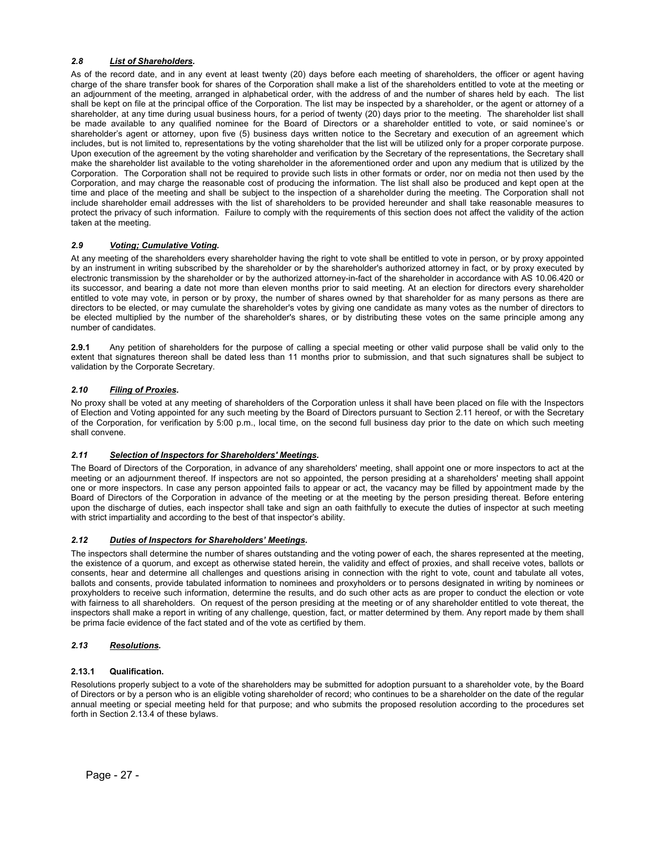#### *2.8 List of Shareholders.*

As of the record date, and in any event at least twenty (20) days before each meeting of shareholders, the officer or agent having charge of the share transfer book for shares of the Corporation shall make a list of the shareholders entitled to vote at the meeting or an adjournment of the meeting, arranged in alphabetical order, with the address of and the number of shares held by each. The list shall be kept on file at the principal office of the Corporation. The list may be inspected by a shareholder, or the agent or attorney of a shareholder, at any time during usual business hours, for a period of twenty (20) days prior to the meeting. The shareholder list shall be made available to any qualified nominee for the Board of Directors or a shareholder entitled to vote, or said nominee's or shareholder's agent or attorney, upon five (5) business days written notice to the Secretary and execution of an agreement which includes, but is not limited to, representations by the voting shareholder that the list will be utilized only for a proper corporate purpose. Upon execution of the agreement by the voting shareholder and verification by the Secretary of the representations, the Secretary shall make the shareholder list available to the voting shareholder in the aforementioned order and upon any medium that is utilized by the Corporation. The Corporation shall not be required to provide such lists in other formats or order, nor on media not then used by the Corporation, and may charge the reasonable cost of producing the information. The list shall also be produced and kept open at the time and place of the meeting and shall be subject to the inspection of a shareholder during the meeting. The Corporation shall not include shareholder email addresses with the list of shareholders to be provided hereunder and shall take reasonable measures to protect the privacy of such information. Failure to comply with the requirements of this section does not affect the validity of the action taken at the meeting.

#### *2.9 Voting; Cumulative Voting.*

At any meeting of the shareholders every shareholder having the right to vote shall be entitled to vote in person, or by proxy appointed by an instrument in writing subscribed by the shareholder or by the shareholder's authorized attorney in fact, or by proxy executed by electronic transmission by the shareholder or by the authorized attorney-in-fact of the shareholder in accordance with AS 10.06.420 or its successor, and bearing a date not more than eleven months prior to said meeting. At an election for directors every shareholder entitled to vote may vote, in person or by proxy, the number of shares owned by that shareholder for as many persons as there are directors to be elected, or may cumulate the shareholder's votes by giving one candidate as many votes as the number of directors to be elected multiplied by the number of the shareholder's shares, or by distributing these votes on the same principle among any number of candidates.

**2.9.1** Any petition of shareholders for the purpose of calling a special meeting or other valid purpose shall be valid only to the extent that signatures thereon shall be dated less than 11 months prior to submission, and that such signatures shall be subject to validation by the Corporate Secretary.

#### *2.10 Filing of Proxies.*

No proxy shall be voted at any meeting of shareholders of the Corporation unless it shall have been placed on file with the Inspectors of Election and Voting appointed for any such meeting by the Board of Directors pursuant to Section 2.11 hereof, or with the Secretary of the Corporation, for verification by 5:00 p.m., local time, on the second full business day prior to the date on which such meeting shall convene.

#### *2.11 Selection of Inspectors for Shareholders' Meetings.*

The Board of Directors of the Corporation, in advance of any shareholders' meeting, shall appoint one or more inspectors to act at the meeting or an adjournment thereof. If inspectors are not so appointed, the person presiding at a shareholders' meeting shall appoint one or more inspectors. In case any person appointed fails to appear or act, the vacancy may be filled by appointment made by the Board of Directors of the Corporation in advance of the meeting or at the meeting by the person presiding thereat. Before entering upon the discharge of duties, each inspector shall take and sign an oath faithfully to execute the duties of inspector at such meeting with strict impartiality and according to the best of that inspector's ability.

#### *2.12 Duties of Inspectors for Shareholders' Meetings.*

The inspectors shall determine the number of shares outstanding and the voting power of each, the shares represented at the meeting, the existence of a quorum, and except as otherwise stated herein, the validity and effect of proxies, and shall receive votes, ballots or consents, hear and determine all challenges and questions arising in connection with the right to vote, count and tabulate all votes, ballots and consents, provide tabulated information to nominees and proxyholders or to persons designated in writing by nominees or proxyholders to receive such information, determine the results, and do such other acts as are proper to conduct the election or vote with fairness to all shareholders. On request of the person presiding at the meeting or of any shareholder entitled to vote thereat, the inspectors shall make a report in writing of any challenge, question, fact, or matter determined by them. Any report made by them shall be prima facie evidence of the fact stated and of the vote as certified by them.

#### *2.13 Resolutions.*

#### **2.13.1 Qualification.**

Resolutions properly subject to a vote of the shareholders may be submitted for adoption pursuant to a shareholder vote, by the Board of Directors or by a person who is an eligible voting shareholder of record; who continues to be a shareholder on the date of the regular annual meeting or special meeting held for that purpose; and who submits the proposed resolution according to the procedures set forth in Section 2.13.4 of these bylaws.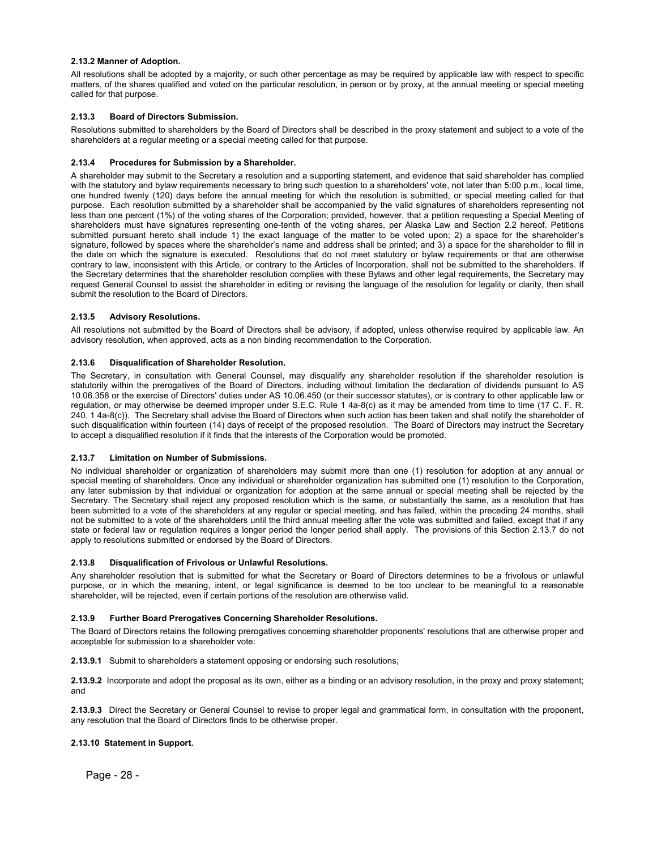#### **2.13.2 Manner of Adoption.**

All resolutions shall be adopted by a majority, or such other percentage as may be required by applicable law with respect to specific matters, of the shares qualified and voted on the particular resolution, in person or by proxy, at the annual meeting or special meeting called for that purpose.

#### **2.13.3 Board of Directors Submission.**

Resolutions submitted to shareholders by the Board of Directors shall be described in the proxy statement and subject to a vote of the shareholders at a regular meeting or a special meeting called for that purpose.

#### **2.13.4 Procedures for Submission by a Shareholder.**

A shareholder may submit to the Secretary a resolution and a supporting statement, and evidence that said shareholder has complied with the statutory and bylaw requirements necessary to bring such question to a shareholders' vote, not later than 5:00 p.m., local time, one hundred twenty (120) days before the annual meeting for which the resolution is submitted, or special meeting called for that purpose. Each resolution submitted by a shareholder shall be accompanied by the valid signatures of shareholders representing not less than one percent (1%) of the voting shares of the Corporation; provided, however, that a petition requesting a Special Meeting of shareholders must have signatures representing one-tenth of the voting shares, per Alaska Law and Section 2.2 hereof. Petitions submitted pursuant hereto shall include 1) the exact language of the matter to be voted upon; 2) a space for the shareholder's signature, followed by spaces where the shareholder's name and address shall be printed; and 3) a space for the shareholder to fill in the date on which the signature is executed. Resolutions that do not meet statutory or bylaw requirements or that are otherwise contrary to law, inconsistent with this Article, or contrary to the Articles of Incorporation, shall not be submitted to the shareholders. If the Secretary determines that the shareholder resolution complies with these Bylaws and other legal requirements, the Secretary may request General Counsel to assist the shareholder in editing or revising the language of the resolution for legality or clarity, then shall submit the resolution to the Board of Directors.

#### **2.13.5 Advisory Resolutions.**

All resolutions not submitted by the Board of Directors shall be advisory, if adopted, unless otherwise required by applicable law. An advisory resolution, when approved, acts as a non binding recommendation to the Corporation.

#### **2.13.6 Disqualification of Shareholder Resolution.**

The Secretary, in consultation with General Counsel, may disqualify any shareholder resolution if the shareholder resolution is statutorily within the prerogatives of the Board of Directors, including without limitation the declaration of dividends pursuant to AS 10.06.358 or the exercise of Directors' duties under AS 10.06.450 (or their successor statutes), or is contrary to other applicable law or regulation, or may otherwise be deemed improper under S.E.C. Rule 1 4a-8(c) as it may be amended from time to time (17 C. F. R. 240. 1 4a-8(c)). The Secretary shall advise the Board of Directors when such action has been taken and shall notify the shareholder of such disqualification within fourteen (14) days of receipt of the proposed resolution. The Board of Directors may instruct the Secretary to accept a disqualified resolution if it finds that the interests of the Corporation would be promoted.

#### **2.13.7 Limitation on Number of Submissions.**

No individual shareholder or organization of shareholders may submit more than one (1) resolution for adoption at any annual or special meeting of shareholders. Once any individual or shareholder organization has submitted one (1) resolution to the Corporation, any later submission by that individual or organization for adoption at the same annual or special meeting shall be rejected by the Secretary. The Secretary shall reject any proposed resolution which is the same, or substantially the same, as a resolution that has been submitted to a vote of the shareholders at any regular or special meeting, and has failed, within the preceding 24 months, shall not be submitted to a vote of the shareholders until the third annual meeting after the vote was submitted and failed, except that if any state or federal law or regulation requires a longer period the longer period shall apply. The provisions of this Section 2.13.7 do not apply to resolutions submitted or endorsed by the Board of Directors.

#### **2.13.8 Disqualification of Frivolous or Unlawful Resolutions.**

Any shareholder resolution that is submitted for what the Secretary or Board of Directors determines to be a frivolous or unlawful purpose, or in which the meaning, intent, or legal significance is deemed to be too unclear to be meaningful to a reasonable shareholder, will be rejected, even if certain portions of the resolution are otherwise valid.

#### **2.13.9 Further Board Prerogatives Concerning Shareholder Resolutions.**

The Board of Directors retains the following prerogatives concerning shareholder proponents' resolutions that are otherwise proper and acceptable for submission to a shareholder vote:

**2.13.9.1** Submit to shareholders a statement opposing or endorsing such resolutions;

**2.13.9.2** Incorporate and adopt the proposal as its own, either as a binding or an advisory resolution, in the proxy and proxy statement; and

**2.13.9.3** Direct the Secretary or General Counsel to revise to proper legal and grammatical form, in consultation with the proponent, any resolution that the Board of Directors finds to be otherwise proper.

#### **2.13.10 Statement in Support.**

Page - 28 -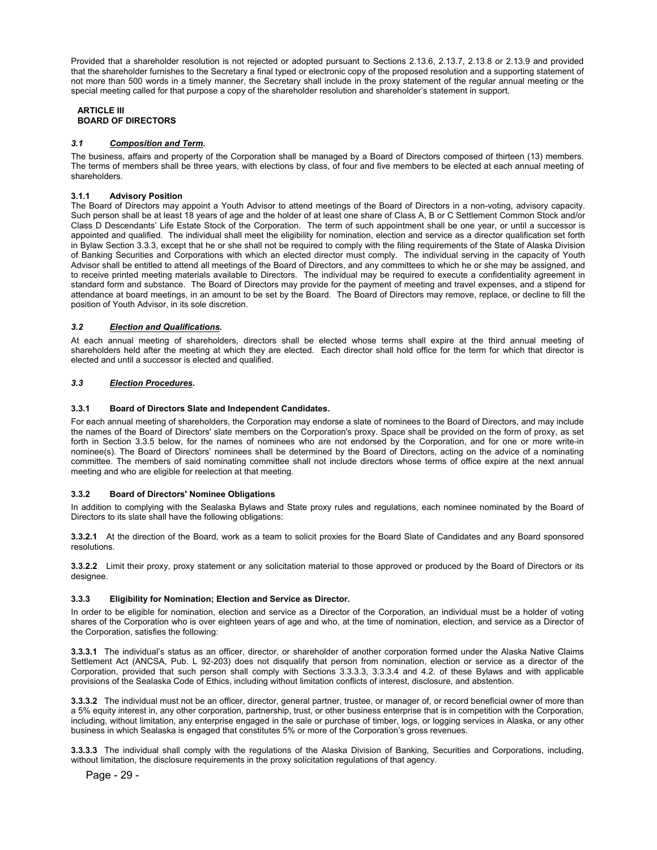Provided that a shareholder resolution is not rejected or adopted pursuant to Sections 2.13.6, 2.13.7, 2.13.8 or 2.13.9 and provided that the shareholder furnishes to the Secretary a final typed or electronic copy of the proposed resolution and a supporting statement of not more than 500 words in a timely manner, the Secretary shall include in the proxy statement of the regular annual meeting or the special meeting called for that purpose a copy of the shareholder resolution and shareholder's statement in support.

#### **ARTICLE III BOARD OF DIRECTORS**

#### *3.1 Composition and Term.*

The business, affairs and property of the Corporation shall be managed by a Board of Directors composed of thirteen (13) members. The terms of members shall be three years, with elections by class, of four and five members to be elected at each annual meeting of shareholders.

#### **3.1.1 Advisory Position**

The Board of Directors may appoint a Youth Advisor to attend meetings of the Board of Directors in a non-voting, advisory capacity. Such person shall be at least 18 years of age and the holder of at least one share of Class A, B or C Settlement Common Stock and/or Class D Descendants' Life Estate Stock of the Corporation. The term of such appointment shall be one year, or until a successor is appointed and qualified. The individual shall meet the eligibility for nomination, election and service as a director qualification set forth in Bylaw Section 3.3.3, except that he or she shall not be required to comply with the filing requirements of the State of Alaska Division of Banking Securities and Corporations with which an elected director must comply. The individual serving in the capacity of Youth Advisor shall be entitled to attend all meetings of the Board of Directors, and any committees to which he or she may be assigned, and to receive printed meeting materials available to Directors. The individual may be required to execute a confidentiality agreement in standard form and substance. The Board of Directors may provide for the payment of meeting and travel expenses, and a stipend for attendance at board meetings, in an amount to be set by the Board. The Board of Directors may remove, replace, or decline to fill the position of Youth Advisor, in its sole discretion.

#### *3.2 Election and Qualifications.*

At each annual meeting of shareholders, directors shall be elected whose terms shall expire at the third annual meeting of shareholders held after the meeting at which they are elected. Each director shall hold office for the term for which that director is elected and until a successor is elected and qualified.

#### *3.3 Election Procedures.*

#### **3.3.1 Board of Directors Slate and Independent Candidates.**

For each annual meeting of shareholders, the Corporation may endorse a slate of nominees to the Board of Directors, and may include the names of the Board of Directors' slate members on the Corporation's proxy. Space shall be provided on the form of proxy, as set forth in Section 3.3.5 below, for the names of nominees who are not endorsed by the Corporation, and for one or more write-in nominee(s). The Board of Directors' nominees shall be determined by the Board of Directors, acting on the advice of a nominating committee. The members of said nominating committee shall not include directors whose terms of office expire at the next annual meeting and who are eligible for reelection at that meeting.

#### **3.3.2 Board of Directors' Nominee Obligations**

In addition to complying with the Sealaska Bylaws and State proxy rules and regulations, each nominee nominated by the Board of Directors to its slate shall have the following obligations:

**3.3.2.1** At the direction of the Board, work as a team to solicit proxies for the Board Slate of Candidates and any Board sponsored resolutions.

**3.3.2.2** Limit their proxy, proxy statement or any solicitation material to those approved or produced by the Board of Directors or its designee.

#### **3.3.3 Eligibility for Nomination; Election and Service as Director.**

In order to be eligible for nomination, election and service as a Director of the Corporation, an individual must be a holder of voting shares of the Corporation who is over eighteen years of age and who, at the time of nomination, election, and service as a Director of the Corporation, satisfies the following:

**3.3.3.1** The individual's status as an officer, director, or shareholder of another corporation formed under the Alaska Native Claims Settlement Act (ANCSA, Pub. L 92-203) does not disqualify that person from nomination, election or service as a director of the Corporation, provided that such person shall comply with Sections 3.3.3.3, 3.3.3.4 and 4.2. of these Bylaws and with applicable provisions of the Sealaska Code of Ethics, including without limitation conflicts of interest, disclosure, and abstention.

**3.3.3.2** The individual must not be an officer, director, general partner, trustee, or manager of, or record beneficial owner of more than a 5% equity interest in, any other corporation, partnership, trust, or other business enterprise that is in competition with the Corporation, including, without limitation, any enterprise engaged in the sale or purchase of timber, logs, or logging services in Alaska, or any other business in which Sealaska is engaged that constitutes 5% or more of the Corporation's gross revenues.

**3.3.3.3** The individual shall comply with the regulations of the Alaska Division of Banking, Securities and Corporations, including, without limitation, the disclosure requirements in the proxy solicitation regulations of that agency.

Page - 29 -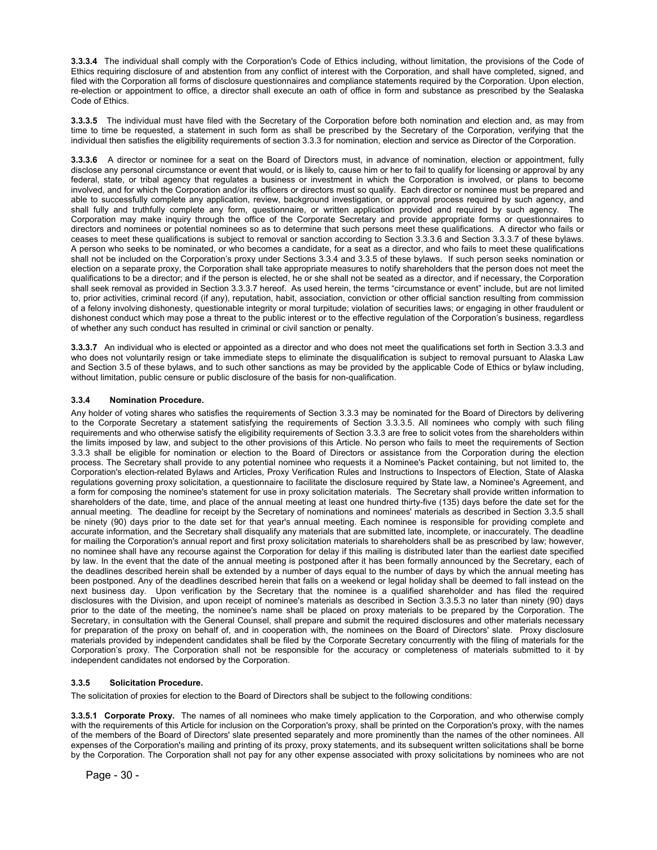**3.3.3.4** The individual shall comply with the Corporation's Code of Ethics including, without limitation, the provisions of the Code of Ethics requiring disclosure of and abstention from any conflict of interest with the Corporation, and shall have completed, signed, and filed with the Corporation all forms of disclosure questionnaires and compliance statements required by the Corporation. Upon election, re-election or appointment to office, a director shall execute an oath of office in form and substance as prescribed by the Sealaska Code of Ethics.

**3.3.3.5** The individual must have filed with the Secretary of the Corporation before both nomination and election and, as may from time to time be requested, a statement in such form as shall be prescribed by the Secretary of the Corporation, verifying that the individual then satisfies the eligibility requirements of section 3.3.3 for nomination, election and service as Director of the Corporation.

**3.3.3.6** A director or nominee for a seat on the Board of Directors must, in advance of nomination, election or appointment, fully disclose any personal circumstance or event that would, or is likely to, cause him or her to fail to qualify for licensing or approval by any federal, state, or tribal agency that regulates a business or investment in which the Corporation is involved, or plans to become involved, and for which the Corporation and/or its officers or directors must so qualify. Each director or nominee must be prepared and able to successfully complete any application, review, background investigation, or approval process required by such agency, and shall fully and truthfully complete any form, questionnaire, or written application provided and required by such agency. Corporation may make inquiry through the office of the Corporate Secretary and provide appropriate forms or questionnaires to directors and nominees or potential nominees so as to determine that such persons meet these qualifications. A director who fails or ceases to meet these qualifications is subject to removal or sanction according to Section 3.3.3.6 and Section 3.3.3.7 of these bylaws. A person who seeks to be nominated, or who becomes a candidate, for a seat as a director, and who fails to meet these qualifications shall not be included on the Corporation's proxy under Sections 3.3.4 and 3.3.5 of these bylaws. If such person seeks nomination or election on a separate proxy, the Corporation shall take appropriate measures to notify shareholders that the person does not meet the qualifications to be a director; and if the person is elected, he or she shall not be seated as a director, and if necessary, the Corporation shall seek removal as provided in Section 3.3.3.7 hereof. As used herein, the terms "circumstance or event" include, but are not limited to, prior activities, criminal record (if any), reputation, habit, association, conviction or other official sanction resulting from commission of a felony involving dishonesty, questionable integrity or moral turpitude; violation of securities laws; or engaging in other fraudulent or dishonest conduct which may pose a threat to the public interest or to the effective regulation of the Corporation's business, regardless of whether any such conduct has resulted in criminal or civil sanction or penalty.

**3.3.3.7** An individual who is elected or appointed as a director and who does not meet the qualifications set forth in Section 3.3.3 and who does not voluntarily resign or take immediate steps to eliminate the disqualification is subject to removal pursuant to Alaska Law and Section 3.5 of these bylaws, and to such other sanctions as may be provided by the applicable Code of Ethics or bylaw including, without limitation, public censure or public disclosure of the basis for non-qualification.

#### **3.3.4 Nomination Procedure.**

Any holder of voting shares who satisfies the requirements of Section 3.3.3 may be nominated for the Board of Directors by delivering to the Corporate Secretary a statement satisfying the requirements of Section 3.3.3.5. All nominees who comply with such filing requirements and who otherwise satisfy the eligibility requirements of Section 3.3.3 are free to solicit votes from the shareholders within the limits imposed by law, and subject to the other provisions of this Article. No person who fails to meet the requirements of Section 3.3.3 shall be eligible for nomination or election to the Board of Directors or assistance from the Corporation during the election process. The Secretary shall provide to any potential nominee who requests it a Nominee's Packet containing, but not limited to, the Corporation's election-related Bylaws and Articles, Proxy Verification Rules and Instructions to Inspectors of Election, State of Alaska regulations governing proxy solicitation, a questionnaire to facilitate the disclosure required by State law, a Nominee's Agreement, and a form for composing the nominee's statement for use in proxy solicitation materials. The Secretary shall provide written information to shareholders of the date, time, and place of the annual meeting at least one hundred thirty-five (135) days before the date set for the annual meeting. The deadline for receipt by the Secretary of nominations and nominees' materials as described in Section 3.3.5 shall be ninety (90) days prior to the date set for that year's annual meeting. Each nominee is responsible for providing complete and accurate information, and the Secretary shall disqualify any materials that are submitted late, incomplete, or inaccurately. The deadline for mailing the Corporation's annual report and first proxy solicitation materials to shareholders shall be as prescribed by law; however, no nominee shall have any recourse against the Corporation for delay if this mailing is distributed later than the earliest date specified by law. In the event that the date of the annual meeting is postponed after it has been formally announced by the Secretary, each of the deadlines described herein shall be extended by a number of days equal to the number of days by which the annual meeting has been postponed. Any of the deadlines described herein that falls on a weekend or legal holiday shall be deemed to fall instead on the next business day. Upon verification by the Secretary that the nominee is a qualified shareholder and has filed the required disclosures with the Division, and upon receipt of nominee's materials as described in Section 3.3.5.3 no later than ninety (90) days prior to the date of the meeting, the nominee's name shall be placed on proxy materials to be prepared by the Corporation. The Secretary, in consultation with the General Counsel, shall prepare and submit the required disclosures and other materials necessary for preparation of the proxy on behalf of, and in cooperation with, the nominees on the Board of Directors' slate. Proxy disclosure materials provided by independent candidates shall be filed by the Corporate Secretary concurrently with the filing of materials for the Corporation's proxy. The Corporation shall not be responsible for the accuracy or completeness of materials submitted to it by independent candidates not endorsed by the Corporation.

#### **3.3.5 Solicitation Procedure.**

The solicitation of proxies for election to the Board of Directors shall be subject to the following conditions:

**3.3.5.1 Corporate Proxy.** The names of all nominees who make timely application to the Corporation, and who otherwise comply with the requirements of this Article for inclusion on the Corporation's proxy, shall be printed on the Corporation's proxy, with the names of the members of the Board of Directors' slate presented separately and more prominently than the names of the other nominees. All expenses of the Corporation's mailing and printing of its proxy, proxy statements, and its subsequent written solicitations shall be borne by the Corporation. The Corporation shall not pay for any other expense associated with proxy solicitations by nominees who are not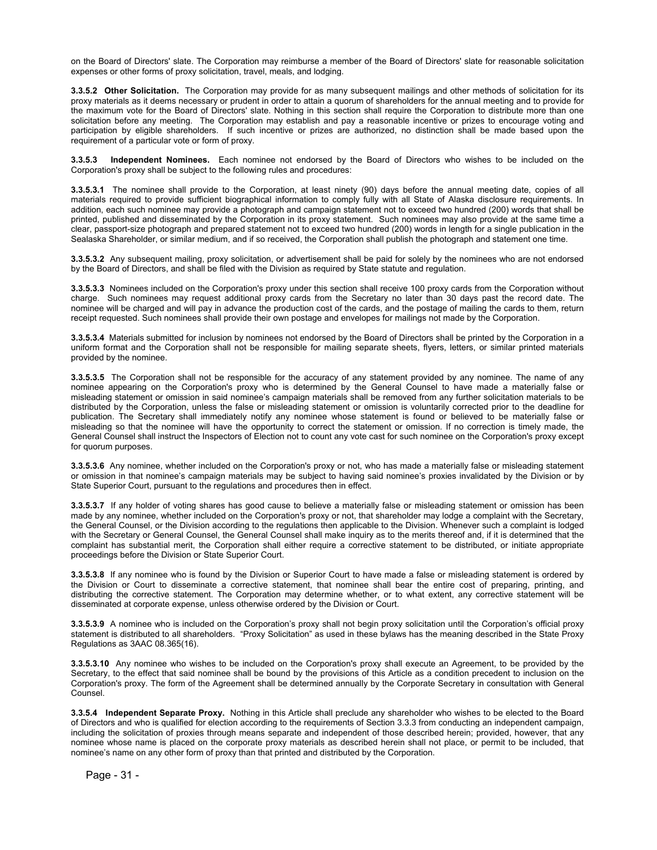on the Board of Directors' slate. The Corporation may reimburse a member of the Board of Directors' slate for reasonable solicitation expenses or other forms of proxy solicitation, travel, meals, and lodging.

**3.3.5.2 Other Solicitation.** The Corporation may provide for as many subsequent mailings and other methods of solicitation for its proxy materials as it deems necessary or prudent in order to attain a quorum of shareholders for the annual meeting and to provide for the maximum vote for the Board of Directors' slate. Nothing in this section shall require the Corporation to distribute more than one solicitation before any meeting. The Corporation may establish and pay a reasonable incentive or prizes to encourage voting and participation by eligible shareholders. If such incentive or prizes are authorized, no distinction shall be made based upon the requirement of a particular vote or form of proxy.

**3.3.5.3 Independent Nominees.** Each nominee not endorsed by the Board of Directors who wishes to be included on the Corporation's proxy shall be subject to the following rules and procedures:

**3.3.5.3.1** The nominee shall provide to the Corporation, at least ninety (90) days before the annual meeting date, copies of all materials required to provide sufficient biographical information to comply fully with all State of Alaska disclosure requirements. In addition, each such nominee may provide a photograph and campaign statement not to exceed two hundred (200) words that shall be printed, published and disseminated by the Corporation in its proxy statement. Such nominees may also provide at the same time a clear, passport-size photograph and prepared statement not to exceed two hundred (200) words in length for a single publication in the Sealaska Shareholder, or similar medium, and if so received, the Corporation shall publish the photograph and statement one time.

**3.3.5.3.2** Any subsequent mailing, proxy solicitation, or advertisement shall be paid for solely by the nominees who are not endorsed by the Board of Directors, and shall be filed with the Division as required by State statute and regulation.

**3.3.5.3.3** Nominees included on the Corporation's proxy under this section shall receive 100 proxy cards from the Corporation without charge. Such nominees may request additional proxy cards from the Secretary no later than 30 days past the record date. The nominee will be charged and will pay in advance the production cost of the cards, and the postage of mailing the cards to them, return receipt requested. Such nominees shall provide their own postage and envelopes for mailings not made by the Corporation.

**3.3.5.3.4** Materials submitted for inclusion by nominees not endorsed by the Board of Directors shall be printed by the Corporation in a uniform format and the Corporation shall not be responsible for mailing separate sheets, flyers, letters, or similar printed materials provided by the nominee.

**3.3.5.3.5** The Corporation shall not be responsible for the accuracy of any statement provided by any nominee. The name of any nominee appearing on the Corporation's proxy who is determined by the General Counsel to have made a materially false or misleading statement or omission in said nominee's campaign materials shall be removed from any further solicitation materials to be distributed by the Corporation, unless the false or misleading statement or omission is voluntarily corrected prior to the deadline for publication. The Secretary shall immediately notify any nominee whose statement is found or believed to be materially false or misleading so that the nominee will have the opportunity to correct the statement or omission. If no correction is timely made, the General Counsel shall instruct the Inspectors of Election not to count any vote cast for such nominee on the Corporation's proxy except for quorum purposes.

**3.3.5.3.6** Any nominee, whether included on the Corporation's proxy or not, who has made a materially false or misleading statement or omission in that nominee's campaign materials may be subject to having said nominee's proxies invalidated by the Division or by State Superior Court, pursuant to the regulations and procedures then in effect.

**3.3.5.3.7** If any holder of voting shares has good cause to believe a materially false or misleading statement or omission has been made by any nominee, whether included on the Corporation's proxy or not, that shareholder may lodge a complaint with the Secretary, the General Counsel, or the Division according to the regulations then applicable to the Division. Whenever such a complaint is lodged with the Secretary or General Counsel, the General Counsel shall make inquiry as to the merits thereof and, if it is determined that the complaint has substantial merit, the Corporation shall either require a corrective statement to be distributed, or initiate appropriate proceedings before the Division or State Superior Court.

**3.3.5.3.8** If any nominee who is found by the Division or Superior Court to have made a false or misleading statement is ordered by the Division or Court to disseminate a corrective statement, that nominee shall bear the entire cost of preparing, printing, and distributing the corrective statement. The Corporation may determine whether, or to what extent, any corrective statement will be disseminated at corporate expense, unless otherwise ordered by the Division or Court.

**3.3.5.3.9** A nominee who is included on the Corporation's proxy shall not begin proxy solicitation until the Corporation's official proxy statement is distributed to all shareholders. "Proxy Solicitation" as used in these bylaws has the meaning described in the State Proxy Regulations as 3AAC 08.365(16).

**3.3.5.3.10** Any nominee who wishes to be included on the Corporation's proxy shall execute an Agreement, to be provided by the Secretary, to the effect that said nominee shall be bound by the provisions of this Article as a condition precedent to inclusion on the Corporation's proxy. The form of the Agreement shall be determined annually by the Corporate Secretary in consultation with General Counsel.

**3.3.5.4 Independent Separate Proxy.** Nothing in this Article shall preclude any shareholder who wishes to be elected to the Board of Directors and who is qualified for election according to the requirements of Section 3.3.3 from conducting an independent campaign, including the solicitation of proxies through means separate and independent of those described herein; provided, however, that any nominee whose name is placed on the corporate proxy materials as described herein shall not place, or permit to be included, that nominee's name on any other form of proxy than that printed and distributed by the Corporation.

Page - 31 -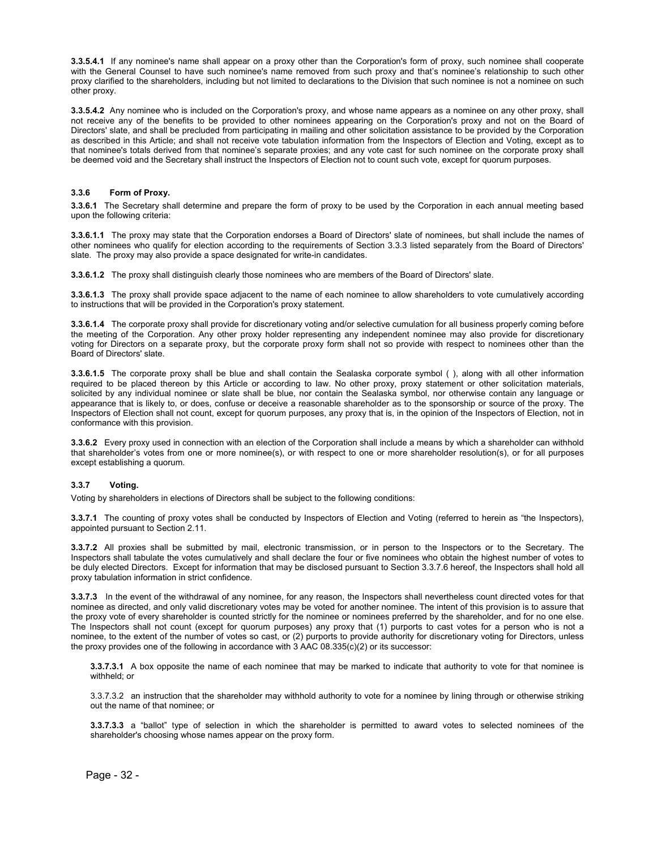**3.3.5.4.1** If any nominee's name shall appear on a proxy other than the Corporation's form of proxy, such nominee shall cooperate with the General Counsel to have such nominee's name removed from such proxy and that's nominee's relationship to such other proxy clarified to the shareholders, including but not limited to declarations to the Division that such nominee is not a nominee on such other proxy.

**3.3.5.4.2** Any nominee who is included on the Corporation's proxy, and whose name appears as a nominee on any other proxy, shall not receive any of the benefits to be provided to other nominees appearing on the Corporation's proxy and not on the Board of Directors' slate, and shall be precluded from participating in mailing and other solicitation assistance to be provided by the Corporation as described in this Article; and shall not receive vote tabulation information from the Inspectors of Election and Voting, except as to that nominee's totals derived from that nominee's separate proxies; and any vote cast for such nominee on the corporate proxy shall be deemed void and the Secretary shall instruct the Inspectors of Election not to count such vote, except for quorum purposes.

#### **3.3.6 Form of Proxy.**

**3.3.6.1** The Secretary shall determine and prepare the form of proxy to be used by the Corporation in each annual meeting based upon the following criteria:

**3.3.6.1.1** The proxy may state that the Corporation endorses a Board of Directors' slate of nominees, but shall include the names of other nominees who qualify for election according to the requirements of Section 3.3.3 listed separately from the Board of Directors' slate. The proxy may also provide a space designated for write-in candidates.

**3.3.6.1.2** The proxy shall distinguish clearly those nominees who are members of the Board of Directors' slate.

**3.3.6.1.3** The proxy shall provide space adjacent to the name of each nominee to allow shareholders to vote cumulatively according to instructions that will be provided in the Corporation's proxy statement.

**3.3.6.1.4** The corporate proxy shall provide for discretionary voting and/or selective cumulation for all business properly coming before the meeting of the Corporation. Any other proxy holder representing any independent nominee may also provide for discretionary voting for Directors on a separate proxy, but the corporate proxy form shall not so provide with respect to nominees other than the Board of Directors' slate.

**3.3.6.1.5** The corporate proxy shall be blue and shall contain the Sealaska corporate symbol ( ), along with all other information required to be placed thereon by this Article or according to law. No other proxy, proxy statement or other solicitation materials, solicited by any individual nominee or slate shall be blue, nor contain the Sealaska symbol, nor otherwise contain any language or appearance that is likely to, or does, confuse or deceive a reasonable shareholder as to the sponsorship or source of the proxy. The Inspectors of Election shall not count, except for quorum purposes, any proxy that is, in the opinion of the Inspectors of Election, not in conformance with this provision.

**3.3.6.2** Every proxy used in connection with an election of the Corporation shall include a means by which a shareholder can withhold that shareholder's votes from one or more nominee(s), or with respect to one or more shareholder resolution(s), or for all purposes except establishing a quorum.

#### **3.3.7 Voting.**

Voting by shareholders in elections of Directors shall be subject to the following conditions:

**3.3.7.1** The counting of proxy votes shall be conducted by Inspectors of Election and Voting (referred to herein as "the Inspectors), appointed pursuant to Section 2.11.

**3.3.7.2** All proxies shall be submitted by mail, electronic transmission, or in person to the Inspectors or to the Secretary. The Inspectors shall tabulate the votes cumulatively and shall declare the four or five nominees who obtain the highest number of votes to be duly elected Directors. Except for information that may be disclosed pursuant to Section 3.3.7.6 hereof, the Inspectors shall hold all proxy tabulation information in strict confidence.

**3.3.7.3** In the event of the withdrawal of any nominee, for any reason, the Inspectors shall nevertheless count directed votes for that nominee as directed, and only valid discretionary votes may be voted for another nominee. The intent of this provision is to assure that the proxy vote of every shareholder is counted strictly for the nominee or nominees preferred by the shareholder, and for no one else. The Inspectors shall not count (except for quorum purposes) any proxy that (1) purports to cast votes for a person who is not a nominee, to the extent of the number of votes so cast, or (2) purports to provide authority for discretionary voting for Directors, unless the proxy provides one of the following in accordance with 3 AAC 08.335(c)(2) or its successor:

**3.3.7.3.1** A box opposite the name of each nominee that may be marked to indicate that authority to vote for that nominee is withheld; or

3.3.7.3.2 an instruction that the shareholder may withhold authority to vote for a nominee by lining through or otherwise striking out the name of that nominee; or

**3.3.7.3.3** a "ballot" type of selection in which the shareholder is permitted to award votes to selected nominees of the shareholder's choosing whose names appear on the proxy form.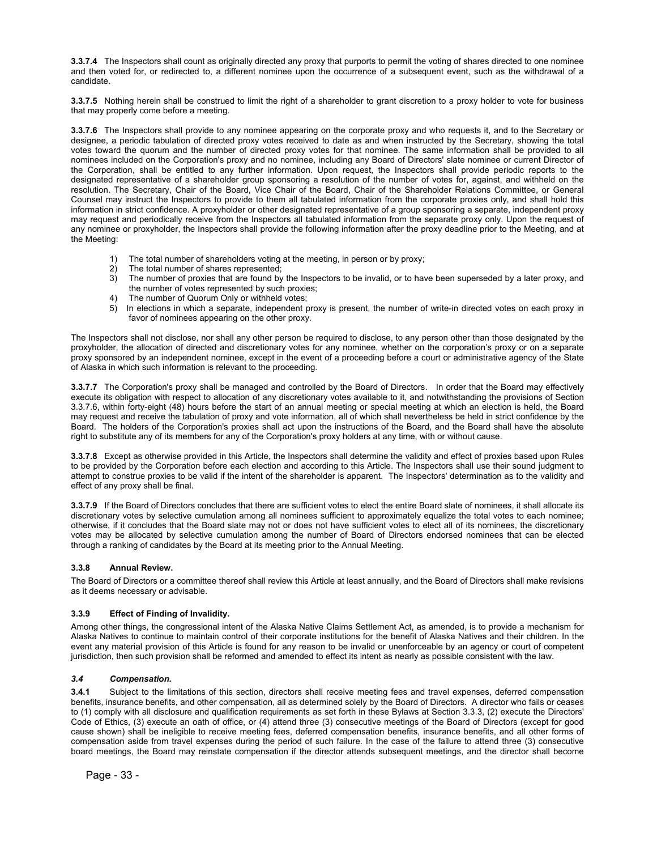**3.3.7.4** The Inspectors shall count as originally directed any proxy that purports to permit the voting of shares directed to one nominee and then voted for, or redirected to, a different nominee upon the occurrence of a subsequent event, such as the withdrawal of a candidate.

**3.3.7.5** Nothing herein shall be construed to limit the right of a shareholder to grant discretion to a proxy holder to vote for business that may properly come before a meeting.

**3.3.7.6** The Inspectors shall provide to any nominee appearing on the corporate proxy and who requests it, and to the Secretary or designee, a periodic tabulation of directed proxy votes received to date as and when instructed by the Secretary, showing the total votes toward the quorum and the number of directed proxy votes for that nominee. The same information shall be provided to all nominees included on the Corporation's proxy and no nominee, including any Board of Directors' slate nominee or current Director of the Corporation, shall be entitled to any further information. Upon request, the Inspectors shall provide periodic reports to the designated representative of a shareholder group sponsoring a resolution of the number of votes for, against, and withheld on the resolution. The Secretary, Chair of the Board, Vice Chair of the Board, Chair of the Shareholder Relations Committee, or General Counsel may instruct the Inspectors to provide to them all tabulated information from the corporate proxies only, and shall hold this information in strict confidence. A proxyholder or other designated representative of a group sponsoring a separate, independent proxy may request and periodically receive from the Inspectors all tabulated information from the separate proxy only. Upon the request of any nominee or proxyholder, the Inspectors shall provide the following information after the proxy deadline prior to the Meeting, and at the Meeting:

- 1) The total number of shareholders voting at the meeting, in person or by proxy;
- 2) The total number of shares represented;
- 3) The number of proxies that are found by the Inspectors to be invalid, or to have been superseded by a later proxy, and the number of votes represented by such proxies;
- 4) The number of Quorum Only or withheld votes;
- 5) In elections in which a separate, independent proxy is present, the number of write-in directed votes on each proxy in favor of nominees appearing on the other proxy.

The Inspectors shall not disclose, nor shall any other person be required to disclose, to any person other than those designated by the proxyholder, the allocation of directed and discretionary votes for any nominee, whether on the corporation's proxy or on a separate proxy sponsored by an independent nominee, except in the event of a proceeding before a court or administrative agency of the State of Alaska in which such information is relevant to the proceeding.

**3.3.7.7** The Corporation's proxy shall be managed and controlled by the Board of Directors. In order that the Board may effectively execute its obligation with respect to allocation of any discretionary votes available to it, and notwithstanding the provisions of Section 3.3.7.6, within forty-eight (48) hours before the start of an annual meeting or special meeting at which an election is held, the Board may request and receive the tabulation of proxy and vote information, all of which shall nevertheless be held in strict confidence by the Board. The holders of the Corporation's proxies shall act upon the instructions of the Board, and the Board shall have the absolute right to substitute any of its members for any of the Corporation's proxy holders at any time, with or without cause.

**3.3.7.8** Except as otherwise provided in this Article, the Inspectors shall determine the validity and effect of proxies based upon Rules to be provided by the Corporation before each election and according to this Article. The Inspectors shall use their sound judgment to attempt to construe proxies to be valid if the intent of the shareholder is apparent. The Inspectors' determination as to the validity and effect of any proxy shall be final.

**3.3.7.9** If the Board of Directors concludes that there are sufficient votes to elect the entire Board slate of nominees, it shall allocate its discretionary votes by selective cumulation among all nominees sufficient to approximately equalize the total votes to each nominee; otherwise, if it concludes that the Board slate may not or does not have sufficient votes to elect all of its nominees, the discretionary votes may be allocated by selective cumulation among the number of Board of Directors endorsed nominees that can be elected through a ranking of candidates by the Board at its meeting prior to the Annual Meeting.

#### **3.3.8 Annual Review.**

The Board of Directors or a committee thereof shall review this Article at least annually, and the Board of Directors shall make revisions as it deems necessary or advisable.

#### **3.3.9 Effect of Finding of Invalidity.**

Among other things, the congressional intent of the Alaska Native Claims Settlement Act, as amended, is to provide a mechanism for Alaska Natives to continue to maintain control of their corporate institutions for the benefit of Alaska Natives and their children. In the event any material provision of this Article is found for any reason to be invalid or unenforceable by an agency or court of competent jurisdiction, then such provision shall be reformed and amended to effect its intent as nearly as possible consistent with the law.

#### *3.4 Compensation.*

**3.4.1** Subject to the limitations of this section, directors shall receive meeting fees and travel expenses, deferred compensation benefits, insurance benefits, and other compensation, all as determined solely by the Board of Directors. A director who fails or ceases to (1) comply with all disclosure and qualification requirements as set forth in these Bylaws at Section 3.3.3, (2) execute the Directors' Code of Ethics, (3) execute an oath of office, or (4) attend three (3) consecutive meetings of the Board of Directors (except for good cause shown) shall be ineligible to receive meeting fees, deferred compensation benefits, insurance benefits, and all other forms of compensation aside from travel expenses during the period of such failure. In the case of the failure to attend three (3) consecutive board meetings, the Board may reinstate compensation if the director attends subsequent meetings, and the director shall become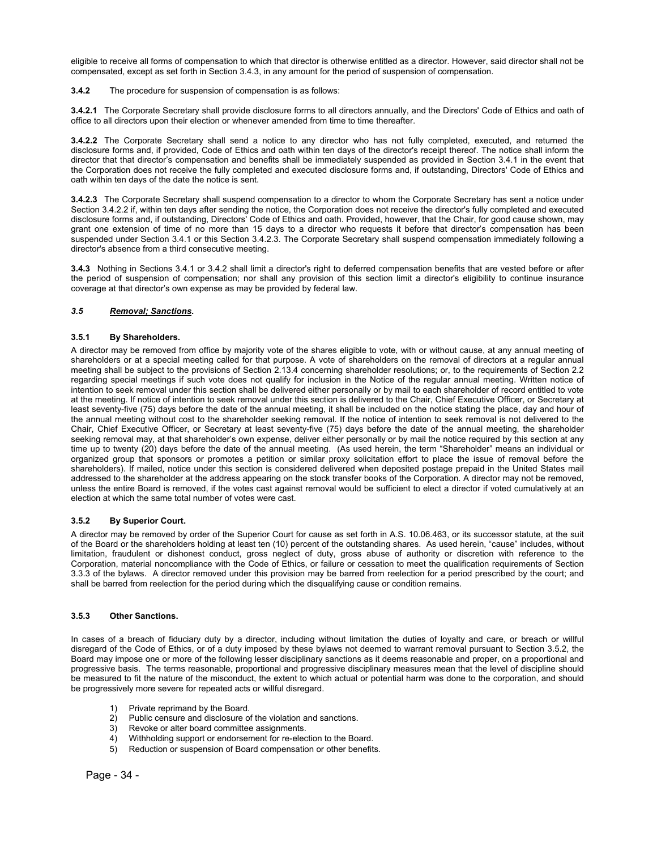eligible to receive all forms of compensation to which that director is otherwise entitled as a director. However, said director shall not be compensated, except as set forth in Section 3.4.3, in any amount for the period of suspension of compensation.

**3.4.2** The procedure for suspension of compensation is as follows:

**3.4.2.1** The Corporate Secretary shall provide disclosure forms to all directors annually, and the Directors' Code of Ethics and oath of office to all directors upon their election or whenever amended from time to time thereafter.

**3.4.2.2** The Corporate Secretary shall send a notice to any director who has not fully completed, executed, and returned the disclosure forms and, if provided, Code of Ethics and oath within ten days of the director's receipt thereof. The notice shall inform the director that that director's compensation and benefits shall be immediately suspended as provided in Section 3.4.1 in the event that the Corporation does not receive the fully completed and executed disclosure forms and, if outstanding, Directors' Code of Ethics and oath within ten days of the date the notice is sent.

**3.4.2.3** The Corporate Secretary shall suspend compensation to a director to whom the Corporate Secretary has sent a notice under Section 3.4.2.2 if, within ten days after sending the notice, the Corporation does not receive the director's fully completed and executed disclosure forms and, if outstanding, Directors' Code of Ethics and oath. Provided, however, that the Chair, for good cause shown, may grant one extension of time of no more than 15 days to a director who requests it before that director's compensation has been suspended under Section 3.4.1 or this Section 3.4.2.3. The Corporate Secretary shall suspend compensation immediately following a director's absence from a third consecutive meeting.

**3.4.3** Nothing in Sections 3.4.1 or 3.4.2 shall limit a director's right to deferred compensation benefits that are vested before or after the period of suspension of compensation; nor shall any provision of this section limit a director's eligibility to continue insurance coverage at that director's own expense as may be provided by federal law.

#### *3.5 Removal; Sanctions.*

#### **3.5.1 By Shareholders.**

A director may be removed from office by majority vote of the shares eligible to vote, with or without cause, at any annual meeting of shareholders or at a special meeting called for that purpose. A vote of shareholders on the removal of directors at a regular annual meeting shall be subject to the provisions of Section 2.13.4 concerning shareholder resolutions; or, to the requirements of Section 2.2 regarding special meetings if such vote does not qualify for inclusion in the Notice of the regular annual meeting. Written notice of intention to seek removal under this section shall be delivered either personally or by mail to each shareholder of record entitled to vote at the meeting. If notice of intention to seek removal under this section is delivered to the Chair, Chief Executive Officer, or Secretary at least seventy-five (75) days before the date of the annual meeting, it shall be included on the notice stating the place, day and hour of the annual meeting without cost to the shareholder seeking removal. If the notice of intention to seek removal is not delivered to the Chair, Chief Executive Officer, or Secretary at least seventy-five (75) days before the date of the annual meeting, the shareholder seeking removal may, at that shareholder's own expense, deliver either personally or by mail the notice required by this section at any time up to twenty (20) days before the date of the annual meeting. (As used herein, the term "Shareholder" means an individual or organized group that sponsors or promotes a petition or similar proxy solicitation effort to place the issue of removal before the shareholders). If mailed, notice under this section is considered delivered when deposited postage prepaid in the United States mail addressed to the shareholder at the address appearing on the stock transfer books of the Corporation. A director may not be removed, unless the entire Board is removed, if the votes cast against removal would be sufficient to elect a director if voted cumulatively at an election at which the same total number of votes were cast.

#### **3.5.2 By Superior Court.**

A director may be removed by order of the Superior Court for cause as set forth in A.S. 10.06.463, or its successor statute, at the suit of the Board or the shareholders holding at least ten (10) percent of the outstanding shares. As used herein, "cause" includes, without limitation, fraudulent or dishonest conduct, gross neglect of duty, gross abuse of authority or discretion with reference to the Corporation, material noncompliance with the Code of Ethics, or failure or cessation to meet the qualification requirements of Section 3.3.3 of the bylaws. A director removed under this provision may be barred from reelection for a period prescribed by the court; and shall be barred from reelection for the period during which the disqualifying cause or condition remains.

#### **3.5.3 Other Sanctions.**

In cases of a breach of fiduciary duty by a director, including without limitation the duties of loyalty and care, or breach or willful disregard of the Code of Ethics, or of a duty imposed by these bylaws not deemed to warrant removal pursuant to Section 3.5.2, the Board may impose one or more of the following lesser disciplinary sanctions as it deems reasonable and proper, on a proportional and progressive basis. The terms reasonable, proportional and progressive disciplinary measures mean that the level of discipline should be measured to fit the nature of the misconduct, the extent to which actual or potential harm was done to the corporation, and should be progressively more severe for repeated acts or willful disregard.

- 1) Private reprimand by the Board.
- 2) Public censure and disclosure of the violation and sanctions.
- 3) Revoke or alter board committee assignments.
- 4) Withholding support or endorsement for re-election to the Board.<br>5) Reduction or suspension of Board compensation or other benefits
- Reduction or suspension of Board compensation or other benefits.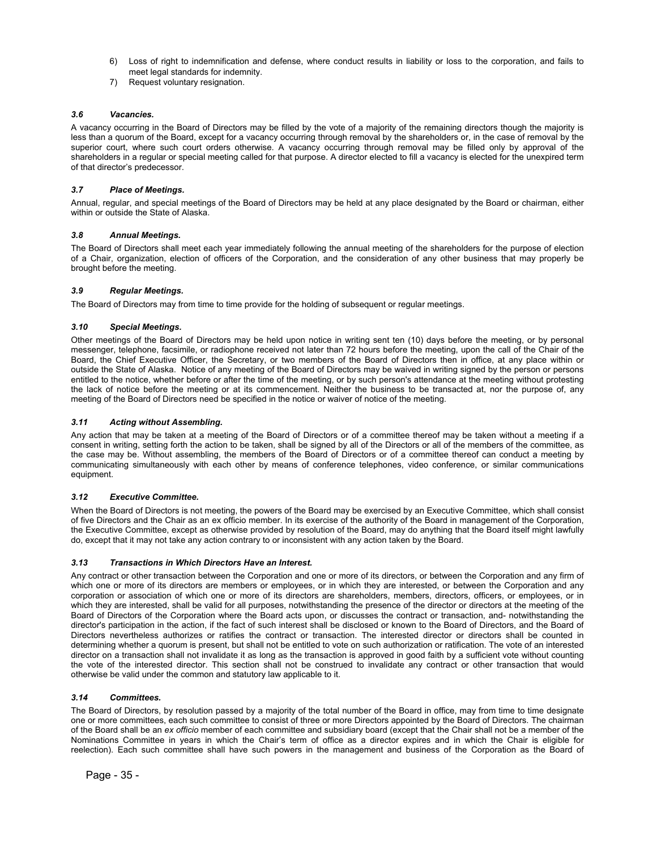- 6) Loss of right to indemnification and defense, where conduct results in liability or loss to the corporation, and fails to meet legal standards for indemnity.
- 7) Request voluntary resignation.

#### *3.6 Vacancies.*

A vacancy occurring in the Board of Directors may be filled by the vote of a majority of the remaining directors though the majority is less than a quorum of the Board, except for a vacancy occurring through removal by the shareholders or, in the case of removal by the superior court, where such court orders otherwise. A vacancy occurring through removal may be filled only by approval of the shareholders in a regular or special meeting called for that purpose. A director elected to fill a vacancy is elected for the unexpired term of that director's predecessor.

#### *3.7 Place of Meetings.*

Annual, regular, and special meetings of the Board of Directors may be held at any place designated by the Board or chairman, either within or outside the State of Alaska.

#### *3.8 Annual Meetings.*

The Board of Directors shall meet each year immediately following the annual meeting of the shareholders for the purpose of election of a Chair, organization, election of officers of the Corporation, and the consideration of any other business that may properly be brought before the meeting.

#### *3.9 Regular Meetings.*

The Board of Directors may from time to time provide for the holding of subsequent or regular meetings.

#### *3.10 Special Meetings.*

Other meetings of the Board of Directors may be held upon notice in writing sent ten (10) days before the meeting, or by personal messenger, telephone, facsimile, or radiophone received not later than 72 hours before the meeting, upon the call of the Chair of the Board, the Chief Executive Officer, the Secretary, or two members of the Board of Directors then in office, at any place within or outside the State of Alaska. Notice of any meeting of the Board of Directors may be waived in writing signed by the person or persons entitled to the notice, whether before or after the time of the meeting, or by such person's attendance at the meeting without protesting the lack of notice before the meeting or at its commencement. Neither the business to be transacted at, nor the purpose of, any meeting of the Board of Directors need be specified in the notice or waiver of notice of the meeting.

#### *3.11 Acting without Assembling.*

Any action that may be taken at a meeting of the Board of Directors or of a committee thereof may be taken without a meeting if a consent in writing, setting forth the action to be taken, shall be signed by all of the Directors or all of the members of the committee, as the case may be. Without assembling, the members of the Board of Directors or of a committee thereof can conduct a meeting by communicating simultaneously with each other by means of conference telephones, video conference, or similar communications equipment.

#### *3.12 Executive Committee.*

When the Board of Directors is not meeting, the powers of the Board may be exercised by an Executive Committee, which shall consist of five Directors and the Chair as an ex officio member. In its exercise of the authority of the Board in management of the Corporation, the Executive Committee, except as otherwise provided by resolution of the Board, may do anything that the Board itself might lawfully do, except that it may not take any action contrary to or inconsistent with any action taken by the Board.

#### *3.13 Transactions in Which Directors Have an Interest.*

Any contract or other transaction between the Corporation and one or more of its directors, or between the Corporation and any firm of which one or more of its directors are members or employees, or in which they are interested, or between the Corporation and any corporation or association of which one or more of its directors are shareholders, members, directors, officers, or employees, or in which they are interested, shall be valid for all purposes, notwithstanding the presence of the director or directors at the meeting of the Board of Directors of the Corporation where the Board acts upon, or discusses the contract or transaction, and- notwithstanding the director's participation in the action, if the fact of such interest shall be disclosed or known to the Board of Directors, and the Board of Directors nevertheless authorizes or ratifies the contract or transaction. The interested director or directors shall be counted in determining whether a quorum is present, but shall not be entitled to vote on such authorization or ratification. The vote of an interested director on a transaction shall not invalidate it as long as the transaction is approved in good faith by a sufficient vote without counting the vote of the interested director. This section shall not be construed to invalidate any contract or other transaction that would otherwise be valid under the common and statutory law applicable to it.

#### *3.14 Committees.*

The Board of Directors, by resolution passed by a majority of the total number of the Board in office, may from time to time designate one or more committees, each such committee to consist of three or more Directors appointed by the Board of Directors. The chairman of the Board shall be an *ex officio* member of each committee and subsidiary board (except that the Chair shall not be a member of the Nominations Committee in years in which the Chair's term of office as a director expires and in which the Chair is eligible for reelection). Each such committee shall have such powers in the management and business of the Corporation as the Board of

Page - 35 -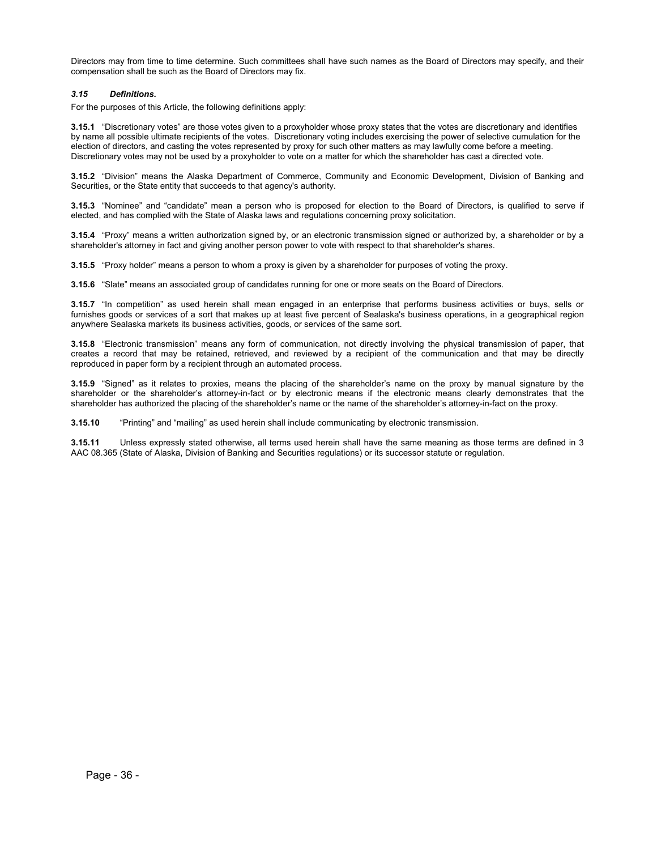Directors may from time to time determine. Such committees shall have such names as the Board of Directors may specify, and their compensation shall be such as the Board of Directors may fix.

#### *3.15 Definitions.*

For the purposes of this Article, the following definitions apply:

**3.15.1** "Discretionary votes" are those votes given to a proxyholder whose proxy states that the votes are discretionary and identifies by name all possible ultimate recipients of the votes. Discretionary voting includes exercising the power of selective cumulation for the election of directors, and casting the votes represented by proxy for such other matters as may lawfully come before a meeting. Discretionary votes may not be used by a proxyholder to vote on a matter for which the shareholder has cast a directed vote.

**3.15.2** "Division" means the Alaska Department of Commerce, Community and Economic Development, Division of Banking and Securities, or the State entity that succeeds to that agency's authority.

**3.15.3** "Nominee" and "candidate" mean a person who is proposed for election to the Board of Directors, is qualified to serve if elected, and has complied with the State of Alaska laws and regulations concerning proxy solicitation.

**3.15.4** "Proxy" means a written authorization signed by, or an electronic transmission signed or authorized by, a shareholder or by a shareholder's attorney in fact and giving another person power to vote with respect to that shareholder's shares.

**3.15.5** "Proxy holder" means a person to whom a proxy is given by a shareholder for purposes of voting the proxy.

**3.15.6** "Slate" means an associated group of candidates running for one or more seats on the Board of Directors.

**3.15.7** "In competition" as used herein shall mean engaged in an enterprise that performs business activities or buys, sells or furnishes goods or services of a sort that makes up at least five percent of Sealaska's business operations, in a geographical region anywhere Sealaska markets its business activities, goods, or services of the same sort.

**3.15.8** "Electronic transmission" means any form of communication, not directly involving the physical transmission of paper, that creates a record that may be retained, retrieved, and reviewed by a recipient of the communication and that may be directly reproduced in paper form by a recipient through an automated process.

**3.15.9** "Signed" as it relates to proxies, means the placing of the shareholder's name on the proxy by manual signature by the shareholder or the shareholder's attorney-in-fact or by electronic means if the electronic means clearly demonstrates that the shareholder has authorized the placing of the shareholder's name or the name of the shareholder's attorney-in-fact on the proxy.

**3.15.10** "Printing" and "mailing" as used herein shall include communicating by electronic transmission.

**3.15.11** Unless expressly stated otherwise, all terms used herein shall have the same meaning as those terms are defined in 3 AAC 08.365 (State of Alaska, Division of Banking and Securities regulations) or its successor statute or regulation.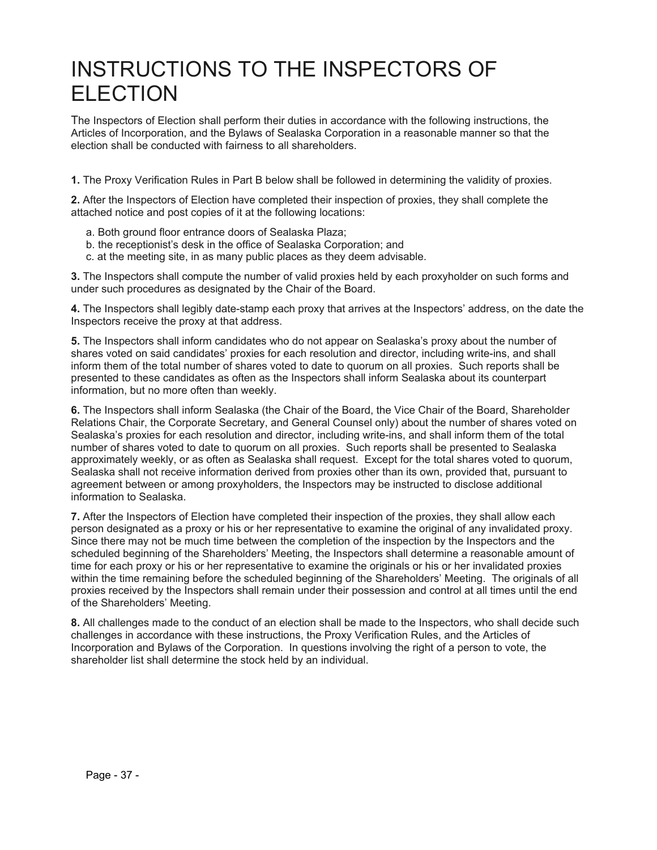## INSTRUCTIONS TO THE INSPECTORS OF ELECTION

The Inspectors of Election shall perform their duties in accordance with the following instructions, the Articles of Incorporation, and the Bylaws of Sealaska Corporation in a reasonable manner so that the election shall be conducted with fairness to all shareholders.

**1.** The Proxy Verification Rules in Part B below shall be followed in determining the validity of proxies.

**2.** After the Inspectors of Election have completed their inspection of proxies, they shall complete the attached notice and post copies of it at the following locations:

- a. Both ground floor entrance doors of Sealaska Plaza;
- b. the receptionist's desk in the office of Sealaska Corporation; and
- c. at the meeting site, in as many public places as they deem advisable.

**3.** The Inspectors shall compute the number of valid proxies held by each proxyholder on such forms and under such procedures as designated by the Chair of the Board.

**4.** The Inspectors shall legibly date-stamp each proxy that arrives at the Inspectors' address, on the date the Inspectors receive the proxy at that address.

**5.** The Inspectors shall inform candidates who do not appear on Sealaska's proxy about the number of shares voted on said candidates' proxies for each resolution and director, including write-ins, and shall inform them of the total number of shares voted to date to quorum on all proxies. Such reports shall be presented to these candidates as often as the Inspectors shall inform Sealaska about its counterpart information, but no more often than weekly.

**6.** The Inspectors shall inform Sealaska (the Chair of the Board, the Vice Chair of the Board, Shareholder Relations Chair, the Corporate Secretary, and General Counsel only) about the number of shares voted on Sealaska's proxies for each resolution and director, including write-ins, and shall inform them of the total number of shares voted to date to quorum on all proxies. Such reports shall be presented to Sealaska approximately weekly, or as often as Sealaska shall request. Except for the total shares voted to quorum, Sealaska shall not receive information derived from proxies other than its own, provided that, pursuant to agreement between or among proxyholders, the Inspectors may be instructed to disclose additional information to Sealaska.

**7.** After the Inspectors of Election have completed their inspection of the proxies, they shall allow each person designated as a proxy or his or her representative to examine the original of any invalidated proxy. Since there may not be much time between the completion of the inspection by the Inspectors and the scheduled beginning of the Shareholders' Meeting, the Inspectors shall determine a reasonable amount of time for each proxy or his or her representative to examine the originals or his or her invalidated proxies within the time remaining before the scheduled beginning of the Shareholders' Meeting. The originals of all proxies received by the Inspectors shall remain under their possession and control at all times until the end of the Shareholders' Meeting.

**8.** All challenges made to the conduct of an election shall be made to the Inspectors, who shall decide such challenges in accordance with these instructions, the Proxy Verification Rules, and the Articles of Incorporation and Bylaws of the Corporation. In questions involving the right of a person to vote, the shareholder list shall determine the stock held by an individual.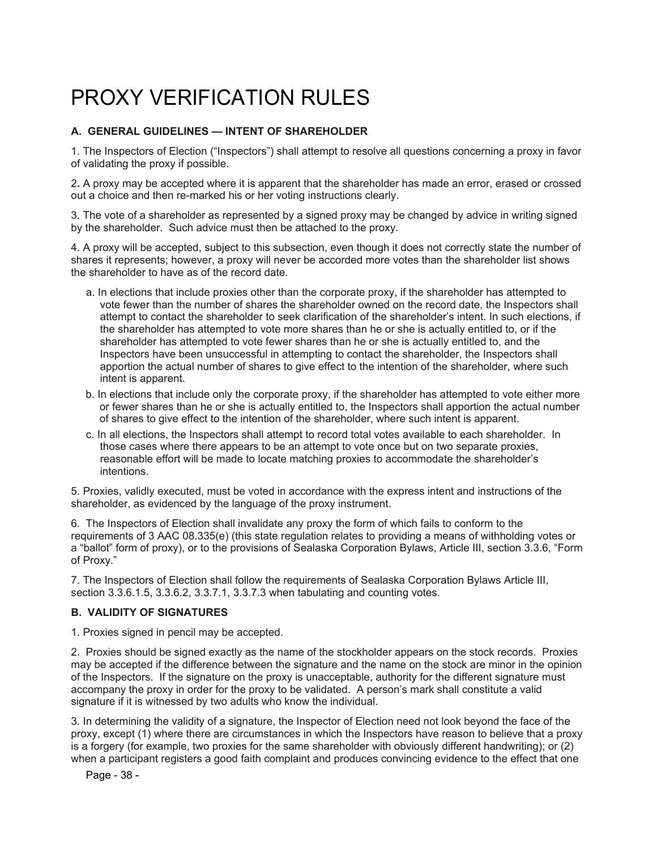# PROXY VERIFICATION RUI FS

### **A. GENERAL GUIDELINES — INTENT OF SHAREHOLDER**

1. The Inspectors of Election ("Inspectors") shall attempt to resolve all questions concerning a proxy in favor of validating the proxy if possible.

2**.** A proxy may be accepted where it is apparent that the shareholder has made an error, erased or crossed out a choice and then re-marked his or her voting instructions clearly.

3. The vote of a shareholder as represented by a signed proxy may be changed by advice in writing signed by the shareholder. Such advice must then be attached to the proxy.

4. A proxy will be accepted, subject to this subsection, even though it does not correctly state the number of shares it represents; however, a proxy will never be accorded more votes than the shareholder list shows the shareholder to have as of the record date.

- a. In elections that include proxies other than the corporate proxy, if the shareholder has attempted to vote fewer than the number of shares the shareholder owned on the record date, the Inspectors shall attempt to contact the shareholder to seek clarification of the shareholder's intent. In such elections, if the shareholder has attempted to vote more shares than he or she is actually entitled to, or if the shareholder has attempted to vote fewer shares than he or she is actually entitled to, and the Inspectors have been unsuccessful in attempting to contact the shareholder, the Inspectors shall apportion the actual number of shares to give effect to the intention of the shareholder, where such intent is apparent.
- b. In elections that include only the corporate proxy, if the shareholder has attempted to vote either more or fewer shares than he or she is actually entitled to, the Inspectors shall apportion the actual number of shares to give effect to the intention of the shareholder, where such intent is apparent.
- c. In all elections, the Inspectors shall attempt to record total votes available to each shareholder. In those cases where there appears to be an attempt to vote once but on two separate proxies, reasonable effort will be made to locate matching proxies to accommodate the shareholder's intentions.

5. Proxies, validly executed, must be voted in accordance with the express intent and instructions of the shareholder, as evidenced by the language of the proxy instrument.

6. The Inspectors of Election shall invalidate any proxy the form of which fails to conform to the requirements of 3 AAC 08.335(e) (this state regulation relates to providing a means of withholding votes or a "ballot" form of proxy), or to the provisions of Sealaska Corporation Bylaws, Article III, section 3.3.6, "Form of Proxy."

7. The Inspectors of Election shall follow the requirements of Sealaska Corporation Bylaws Article III, section 3.3.6.1.5, 3.3.6.2, 3.3.7.1, 3.3.7.3 when tabulating and counting votes.

### **B. VALIDITY OF SIGNATURES**

1. Proxies signed in pencil may be accepted.

2. Proxies should be signed exactly as the name of the stockholder appears on the stock records. Proxies may be accepted if the difference between the signature and the name on the stock are minor in the opinion of the Inspectors. If the signature on the proxy is unacceptable, authority for the different signature must accompany the proxy in order for the proxy to be validated. A person's mark shall constitute a valid signature if it is witnessed by two adults who know the individual.

3. In determining the validity of a signature, the Inspector of Election need not look beyond the face of the proxy, except (1) where there are circumstances in which the Inspectors have reason to believe that a proxy is a forgery (for example, two proxies for the same shareholder with obviously different handwriting); or (2) when a participant registers a good faith complaint and produces convincing evidence to the effect that one

Page - 38 -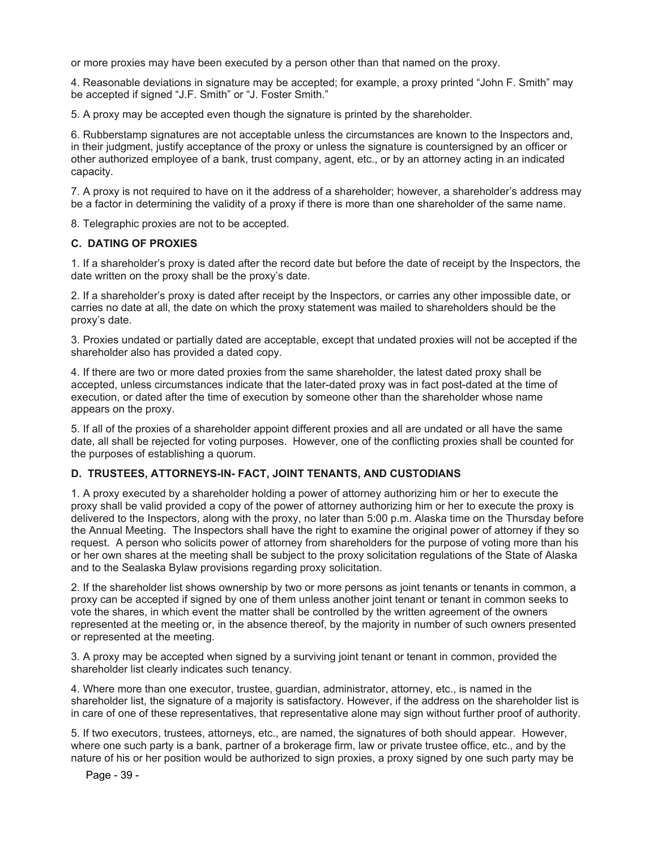or more proxies may have been executed by a person other than that named on the proxy.

4. Reasonable deviations in signature may be accepted; for example, a proxy printed "John F. Smith" may be accepted if signed "J.F. Smith" or "J. Foster Smith."

5. A proxy may be accepted even though the signature is printed by the shareholder.

6. Rubberstamp signatures are not acceptable unless the circumstances are known to the Inspectors and, in their judgment, justify acceptance of the proxy or unless the signature is countersigned by an officer or other authorized employee of a bank, trust company, agent, etc., or by an attorney acting in an indicated capacity.

7. A proxy is not required to have on it the address of a shareholder; however, a shareholder's address may be a factor in determining the validity of a proxy if there is more than one shareholder of the same name.

8. Telegraphic proxies are not to be accepted.

#### **C. DATING OF PROXIES**

1. If a shareholder's proxy is dated after the record date but before the date of receipt by the Inspectors, the date written on the proxy shall be the proxy's date.

2. If a shareholder's proxy is dated after receipt by the Inspectors, or carries any other impossible date, or carries no date at all, the date on which the proxy statement was mailed to shareholders should be the proxy's date.

3. Proxies undated or partially dated are acceptable, except that undated proxies will not be accepted if the shareholder also has provided a dated copy.

4. If there are two or more dated proxies from the same shareholder, the latest dated proxy shall be accepted, unless circumstances indicate that the later-dated proxy was in fact post-dated at the time of execution, or dated after the time of execution by someone other than the shareholder whose name appears on the proxy.

5. If all of the proxies of a shareholder appoint different proxies and all are undated or all have the same date, all shall be rejected for voting purposes. However, one of the conflicting proxies shall be counted for the purposes of establishing a quorum.

#### **D. TRUSTEES, ATTORNEYS-IN- FACT, JOINT TENANTS, AND CUSTODIANS**

1. A proxy executed by a shareholder holding a power of attorney authorizing him or her to execute the proxy shall be valid provided a copy of the power of attorney authorizing him or her to execute the proxy is delivered to the Inspectors, along with the proxy, no later than 5:00 p.m. Alaska time on the Thursday before the Annual Meeting. The Inspectors shall have the right to examine the original power of attorney if they so request. A person who solicits power of attorney from shareholders for the purpose of voting more than his or her own shares at the meeting shall be subject to the proxy solicitation regulations of the State of Alaska and to the Sealaska Bylaw provisions regarding proxy solicitation.

2. If the shareholder list shows ownership by two or more persons as joint tenants or tenants in common, a proxy can be accepted if signed by one of them unless another joint tenant or tenant in common seeks to vote the shares, in which event the matter shall be controlled by the written agreement of the owners represented at the meeting or, in the absence thereof, by the majority in number of such owners presented or represented at the meeting.

3. A proxy may be accepted when signed by a surviving joint tenant or tenant in common, provided the shareholder list clearly indicates such tenancy.

4. Where more than one executor, trustee, guardian, administrator, attorney, etc., is named in the shareholder list, the signature of a majority is satisfactory. However, if the address on the shareholder list is in care of one of these representatives, that representative alone may sign without further proof of authority.

5. If two executors, trustees, attorneys, etc., are named, the signatures of both should appear. However, where one such party is a bank, partner of a brokerage firm, law or private trustee office, etc., and by the nature of his or her position would be authorized to sign proxies, a proxy signed by one such party may be

Page - 39 -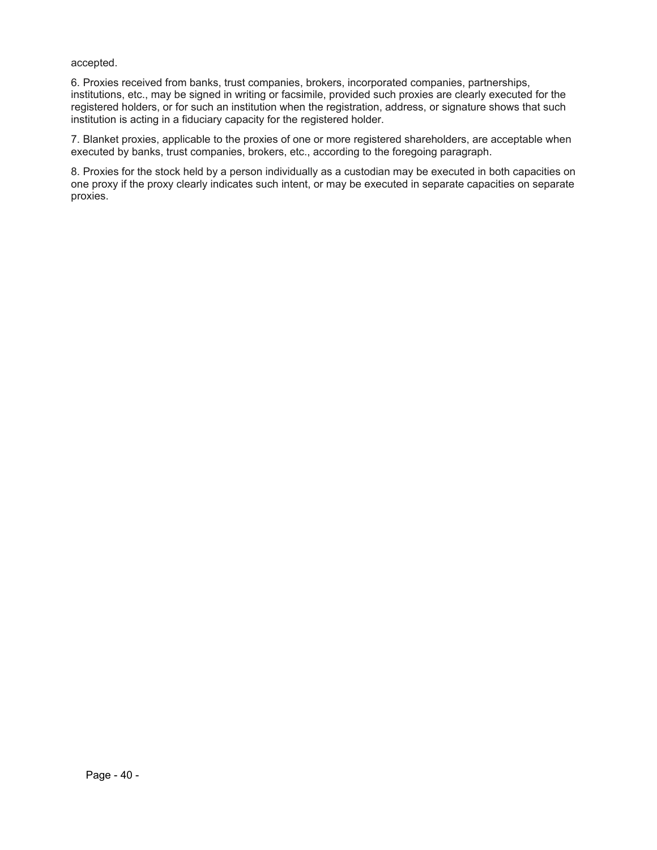accepted.

6. Proxies received from banks, trust companies, brokers, incorporated companies, partnerships, institutions, etc., may be signed in writing or facsimile, provided such proxies are clearly executed for the registered holders, or for such an institution when the registration, address, or signature shows that such institution is acting in a fiduciary capacity for the registered holder.

7. Blanket proxies, applicable to the proxies of one or more registered shareholders, are acceptable when executed by banks, trust companies, brokers, etc., according to the foregoing paragraph.

8. Proxies for the stock held by a person individually as a custodian may be executed in both capacities on one proxy if the proxy clearly indicates such intent, or may be executed in separate capacities on separate proxies.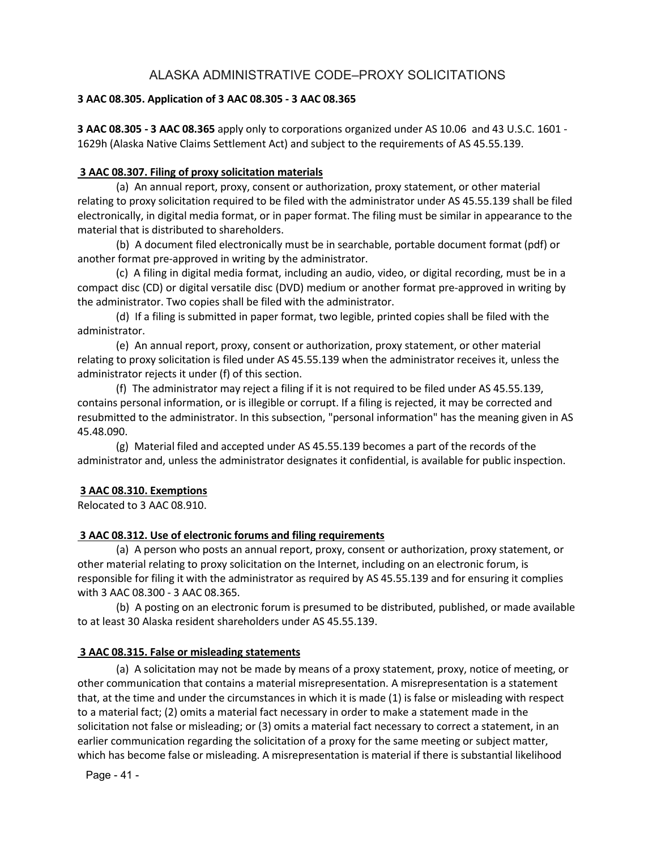## ALASKA ADMINISTRATIVE CODE–PROXY SOLICITATIONS

### **3 AAC 08.305. Application of 3 AAC 08.305 ‐ 3 AAC 08.365**

**3 AAC 08.305 ‐ 3 AAC 08.365** apply only to corporations organized under AS 10.06 and 43 U.S.C. 1601 ‐ 1629h (Alaska Native Claims Settlement Act) and subject to the requirements of AS 45.55.139.

### **3 AAC 08.307. Filing of proxy solicitation materials**

(a) An annual report, proxy, consent or authorization, proxy statement, or other material relating to proxy solicitation required to be filed with the administrator under AS 45.55.139 shall be filed electronically, in digital media format, or in paper format. The filing must be similar in appearance to the material that is distributed to shareholders.

(b) A document filed electronically must be in searchable, portable document format (pdf) or another format pre‐approved in writing by the administrator.

(c) A filing in digital media format, including an audio, video, or digital recording, must be in a compact disc (CD) or digital versatile disc (DVD) medium or another format pre‐approved in writing by the administrator. Two copies shall be filed with the administrator.

(d) If a filing is submitted in paper format, two legible, printed copies shall be filed with the administrator.

(e) An annual report, proxy, consent or authorization, proxy statement, or other material relating to proxy solicitation is filed under AS 45.55.139 when the administrator receives it, unless the administrator rejects it under (f) of this section.

(f) The administrator may reject a filing if it is not required to be filed under AS 45.55.139, contains personal information, or is illegible or corrupt. If a filing is rejected, it may be corrected and resubmitted to the administrator. In this subsection, "personal information" has the meaning given in AS 45.48.090.

(g) Material filed and accepted under AS 45.55.139 becomes a part of the records of the administrator and, unless the administrator designates it confidential, is available for public inspection.

### **3 AAC 08.310. Exemptions**

Relocated to 3 AAC 08.910.

### **3 AAC 08.312. Use of electronic forums and filing requirements**

(a) A person who posts an annual report, proxy, consent or authorization, proxy statement, or other material relating to proxy solicitation on the Internet, including on an electronic forum, is responsible for filing it with the administrator as required by AS 45.55.139 and for ensuring it complies with 3 AAC 08.300 ‐ 3 AAC 08.365.

(b) A posting on an electronic forum is presumed to be distributed, published, or made available to at least 30 Alaska resident shareholders under AS 45.55.139.

### **3 AAC 08.315. False or misleading statements**

(a) A solicitation may not be made by means of a proxy statement, proxy, notice of meeting, or other communication that contains a material misrepresentation. A misrepresentation is a statement that, at the time and under the circumstances in which it is made (1) is false or misleading with respect to a material fact; (2) omits a material fact necessary in order to make a statement made in the solicitation not false or misleading; or (3) omits a material fact necessary to correct a statement, in an earlier communication regarding the solicitation of a proxy for the same meeting or subject matter, which has become false or misleading. A misrepresentation is material if there is substantial likelihood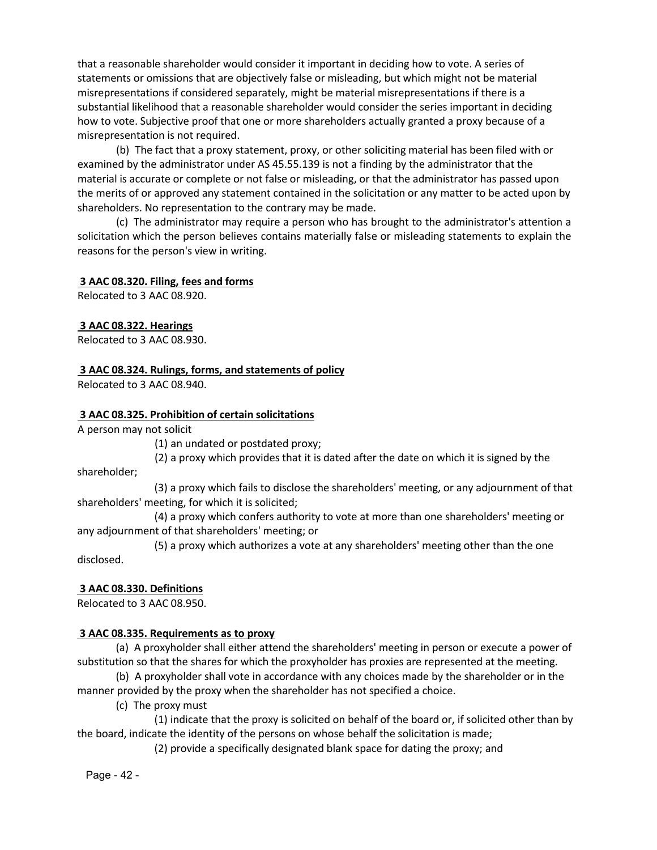that a reasonable shareholder would consider it important in deciding how to vote. A series of statements or omissions that are objectively false or misleading, but which might not be material misrepresentations if considered separately, might be material misrepresentations if there is a substantial likelihood that a reasonable shareholder would consider the series important in deciding how to vote. Subjective proof that one or more shareholders actually granted a proxy because of a misrepresentation is not required.

(b) The fact that a proxy statement, proxy, or other soliciting material has been filed with or examined by the administrator under AS 45.55.139 is not a finding by the administrator that the material is accurate or complete or not false or misleading, or that the administrator has passed upon the merits of or approved any statement contained in the solicitation or any matter to be acted upon by shareholders. No representation to the contrary may be made.

(c) The administrator may require a person who has brought to the administrator's attention a solicitation which the person believes contains materially false or misleading statements to explain the reasons for the person's view in writing.

### **3 AAC 08.320. Filing, fees and forms**

Relocated to 3 AAC 08.920.

### **3 AAC 08.322. Hearings**

Relocated to 3 AAC 08.930.

#### **3 AAC 08.324. Rulings, forms, and statements of policy**

Relocated to 3 AAC 08.940.

#### **3 AAC 08.325. Prohibition of certain solicitations**

A person may not solicit

(1) an undated or postdated proxy;

(2) a proxy which provides that it is dated after the date on which it is signed by the

shareholder;

(3) a proxy which fails to disclose the shareholders' meeting, or any adjournment of that shareholders' meeting, for which it is solicited;

(4) a proxy which confers authority to vote at more than one shareholders' meeting or any adjournment of that shareholders' meeting; or

(5) a proxy which authorizes a vote at any shareholders' meeting other than the one disclosed.

### **3 AAC 08.330. Definitions**

Relocated to 3 AAC 08.950.

#### **3 AAC 08.335. Requirements as to proxy**

(a) A proxyholder shall either attend the shareholders' meeting in person or execute a power of substitution so that the shares for which the proxyholder has proxies are represented at the meeting.

(b) A proxyholder shall vote in accordance with any choices made by the shareholder or in the manner provided by the proxy when the shareholder has not specified a choice.

(c) The proxy must

(1) indicate that the proxy is solicited on behalf of the board or, if solicited other than by the board, indicate the identity of the persons on whose behalf the solicitation is made;

(2) provide a specifically designated blank space for dating the proxy; and

Page - 42 -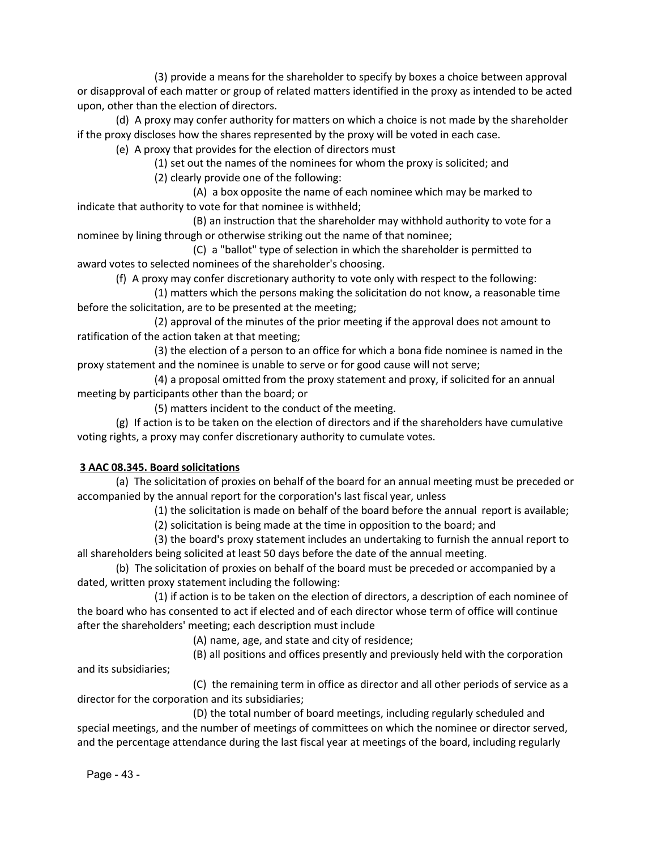(3) provide a means for the shareholder to specify by boxes a choice between approval or disapproval of each matter or group of related matters identified in the proxy as intended to be acted upon, other than the election of directors.

(d) A proxy may confer authority for matters on which a choice is not made by the shareholder if the proxy discloses how the shares represented by the proxy will be voted in each case.

(e) A proxy that provides for the election of directors must

(1) set out the names of the nominees for whom the proxy is solicited; and

(2) clearly provide one of the following:

(A) a box opposite the name of each nominee which may be marked to indicate that authority to vote for that nominee is withheld;

(B) an instruction that the shareholder may withhold authority to vote for a nominee by lining through or otherwise striking out the name of that nominee;

(C) a "ballot" type of selection in which the shareholder is permitted to award votes to selected nominees of the shareholder's choosing.

(f) A proxy may confer discretionary authority to vote only with respect to the following:

(1) matters which the persons making the solicitation do not know, a reasonable time before the solicitation, are to be presented at the meeting;

(2) approval of the minutes of the prior meeting if the approval does not amount to ratification of the action taken at that meeting;

(3) the election of a person to an office for which a bona fide nominee is named in the proxy statement and the nominee is unable to serve or for good cause will not serve;

(4) a proposal omitted from the proxy statement and proxy, if solicited for an annual meeting by participants other than the board; or

(5) matters incident to the conduct of the meeting.

(g) If action is to be taken on the election of directors and if the shareholders have cumulative voting rights, a proxy may confer discretionary authority to cumulate votes.

## **3 AAC 08.345. Board solicitations**

(a) The solicitation of proxies on behalf of the board for an annual meeting must be preceded or accompanied by the annual report for the corporation's last fiscal year, unless

(1) the solicitation is made on behalf of the board before the annual report is available;

(2) solicitation is being made at the time in opposition to the board; and

(3) the board's proxy statement includes an undertaking to furnish the annual report to all shareholders being solicited at least 50 days before the date of the annual meeting.

(b) The solicitation of proxies on behalf of the board must be preceded or accompanied by a dated, written proxy statement including the following:

(1) if action is to be taken on the election of directors, a description of each nominee of the board who has consented to act if elected and of each director whose term of office will continue after the shareholders' meeting; each description must include

(A) name, age, and state and city of residence;

(B) all positions and offices presently and previously held with the corporation and its subsidiaries;

(C) the remaining term in office as director and all other periods of service as a director for the corporation and its subsidiaries;

(D) the total number of board meetings, including regularly scheduled and special meetings, and the number of meetings of committees on which the nominee or director served, and the percentage attendance during the last fiscal year at meetings of the board, including regularly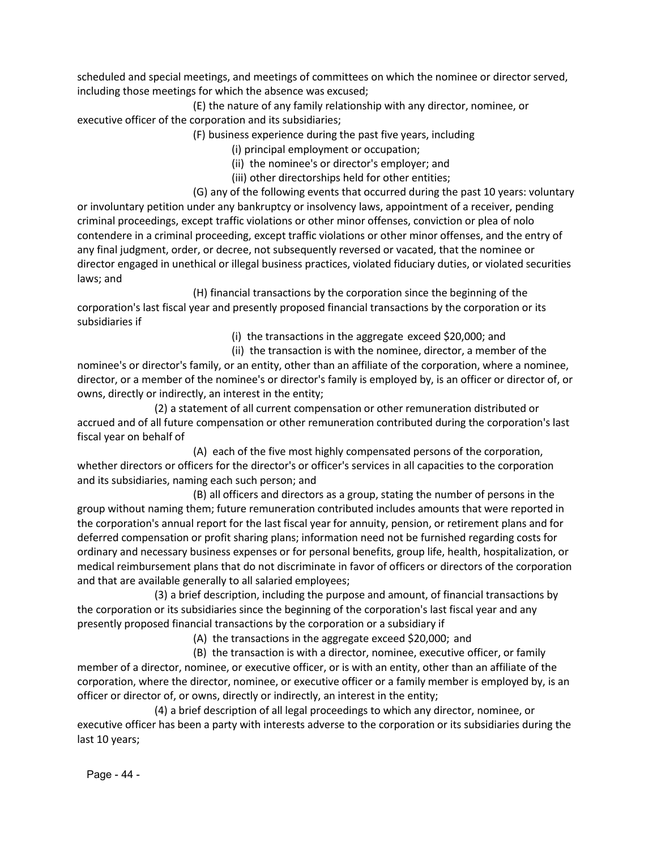scheduled and special meetings, and meetings of committees on which the nominee or director served, including those meetings for which the absence was excused;

(E) the nature of any family relationship with any director, nominee, or executive officer of the corporation and its subsidiaries;

- (F) business experience during the past five years, including
	- (i) principal employment or occupation;
	- (ii) the nominee's or director's employer; and
	- (iii) other directorships held for other entities;
- (G) any of the following events that occurred during the past 10 years: voluntary or involuntary petition under any bankruptcy or insolvency laws, appointment of a receiver, pending criminal proceedings, except traffic violations or other minor offenses, conviction or plea of nolo contendere in a criminal proceeding, except traffic violations or other minor offenses, and the entry of any final judgment, order, or decree, not subsequently reversed or vacated, that the nominee or director engaged in unethical or illegal business practices, violated fiduciary duties, or violated securities laws; and

(H) financial transactions by the corporation since the beginning of the corporation's last fiscal year and presently proposed financial transactions by the corporation or its subsidiaries if

(i) the transactions in the aggregate exceed \$20,000; and

(ii) the transaction is with the nominee, director, a member of the

nominee's or director's family, or an entity, other than an affiliate of the corporation, where a nominee, director, or a member of the nominee's or director's family is employed by, is an officer or director of, or owns, directly or indirectly, an interest in the entity;

(2) a statement of all current compensation or other remuneration distributed or accrued and of all future compensation or other remuneration contributed during the corporation's last fiscal year on behalf of

(A) each of the five most highly compensated persons of the corporation, whether directors or officers for the director's or officer's services in all capacities to the corporation and its subsidiaries, naming each such person; and

(B) all officers and directors as a group, stating the number of persons in the group without naming them; future remuneration contributed includes amounts that were reported in the corporation's annual report for the last fiscal year for annuity, pension, or retirement plans and for deferred compensation or profit sharing plans; information need not be furnished regarding costs for ordinary and necessary business expenses or for personal benefits, group life, health, hospitalization, or medical reimbursement plans that do not discriminate in favor of officers or directors of the corporation and that are available generally to all salaried employees;

(3) a brief description, including the purpose and amount, of financial transactions by the corporation or its subsidiaries since the beginning of the corporation's last fiscal year and any presently proposed financial transactions by the corporation or a subsidiary if

(A) the transactions in the aggregate exceed \$20,000; and

(B) the transaction is with a director, nominee, executive officer, or family member of a director, nominee, or executive officer, or is with an entity, other than an affiliate of the corporation, where the director, nominee, or executive officer or a family member is employed by, is an officer or director of, or owns, directly or indirectly, an interest in the entity;

(4) a brief description of all legal proceedings to which any director, nominee, or executive officer has been a party with interests adverse to the corporation or its subsidiaries during the last 10 years;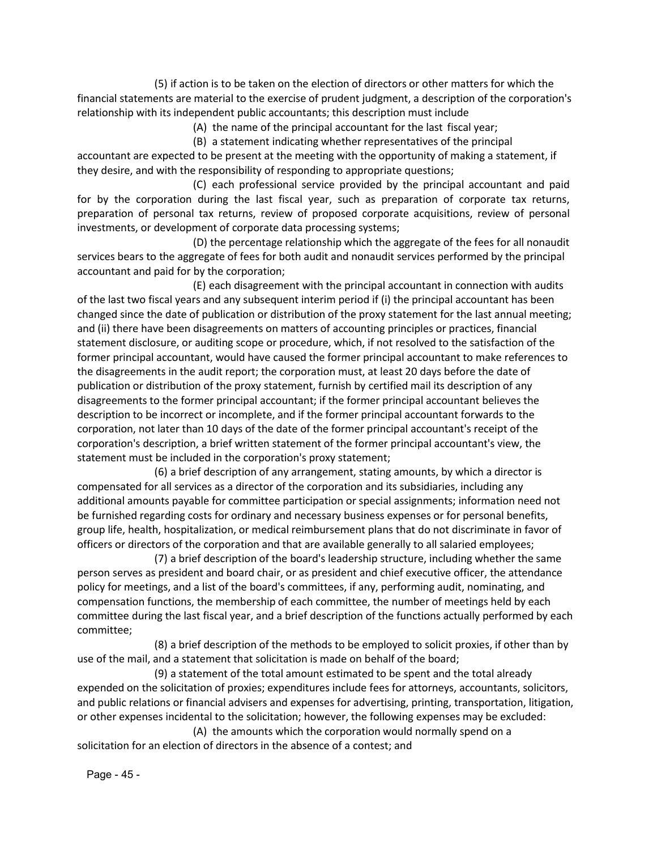(5) if action is to be taken on the election of directors or other matters for which the financial statements are material to the exercise of prudent judgment, a description of the corporation's relationship with its independent public accountants; this description must include

(A) the name of the principal accountant for the last fiscal year;

(B) a statement indicating whether representatives of the principal accountant are expected to be present at the meeting with the opportunity of making a statement, if they desire, and with the responsibility of responding to appropriate questions;

(C) each professional service provided by the principal accountant and paid for by the corporation during the last fiscal year, such as preparation of corporate tax returns, preparation of personal tax returns, review of proposed corporate acquisitions, review of personal investments, or development of corporate data processing systems;

(D) the percentage relationship which the aggregate of the fees for all nonaudit services bears to the aggregate of fees for both audit and nonaudit services performed by the principal accountant and paid for by the corporation;

(E) each disagreement with the principal accountant in connection with audits of the last two fiscal years and any subsequent interim period if (i) the principal accountant has been changed since the date of publication or distribution of the proxy statement for the last annual meeting; and (ii) there have been disagreements on matters of accounting principles or practices, financial statement disclosure, or auditing scope or procedure, which, if not resolved to the satisfaction of the former principal accountant, would have caused the former principal accountant to make references to the disagreements in the audit report; the corporation must, at least 20 days before the date of publication or distribution of the proxy statement, furnish by certified mail its description of any disagreements to the former principal accountant; if the former principal accountant believes the description to be incorrect or incomplete, and if the former principal accountant forwards to the corporation, not later than 10 days of the date of the former principal accountant's receipt of the corporation's description, a brief written statement of the former principal accountant's view, the statement must be included in the corporation's proxy statement;

(6) a brief description of any arrangement, stating amounts, by which a director is compensated for all services as a director of the corporation and its subsidiaries, including any additional amounts payable for committee participation or special assignments; information need not be furnished regarding costs for ordinary and necessary business expenses or for personal benefits, group life, health, hospitalization, or medical reimbursement plans that do not discriminate in favor of officers or directors of the corporation and that are available generally to all salaried employees;

(7) a brief description of the board's leadership structure, including whether the same person serves as president and board chair, or as president and chief executive officer, the attendance policy for meetings, and a list of the board's committees, if any, performing audit, nominating, and compensation functions, the membership of each committee, the number of meetings held by each committee during the last fiscal year, and a brief description of the functions actually performed by each committee;

(8) a brief description of the methods to be employed to solicit proxies, if other than by use of the mail, and a statement that solicitation is made on behalf of the board;

(9) a statement of the total amount estimated to be spent and the total already expended on the solicitation of proxies; expenditures include fees for attorneys, accountants, solicitors, and public relations or financial advisers and expenses for advertising, printing, transportation, litigation, or other expenses incidental to the solicitation; however, the following expenses may be excluded:

(A) the amounts which the corporation would normally spend on a solicitation for an election of directors in the absence of a contest; and

Page - 45 -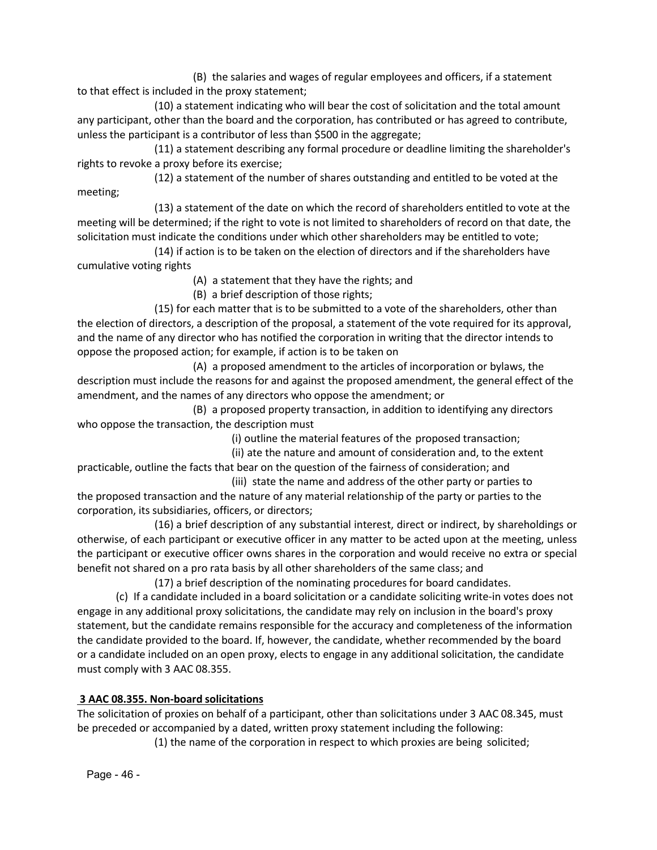(B) the salaries and wages of regular employees and officers, if a statement to that effect is included in the proxy statement;

(10) a statement indicating who will bear the cost of solicitation and the total amount any participant, other than the board and the corporation, has contributed or has agreed to contribute, unless the participant is a contributor of less than \$500 in the aggregate;

(11) a statement describing any formal procedure or deadline limiting the shareholder's rights to revoke a proxy before its exercise;

(12) a statement of the number of shares outstanding and entitled to be voted at the meeting;

(13) a statement of the date on which the record of shareholders entitled to vote at the meeting will be determined; if the right to vote is not limited to shareholders of record on that date, the solicitation must indicate the conditions under which other shareholders may be entitled to vote;

(14) if action is to be taken on the election of directors and if the shareholders have cumulative voting rights

(A) a statement that they have the rights; and

(B) a brief description of those rights;

(15) for each matter that is to be submitted to a vote of the shareholders, other than the election of directors, a description of the proposal, a statement of the vote required for its approval, and the name of any director who has notified the corporation in writing that the director intends to oppose the proposed action; for example, if action is to be taken on

(A) a proposed amendment to the articles of incorporation or bylaws, the description must include the reasons for and against the proposed amendment, the general effect of the amendment, and the names of any directors who oppose the amendment; or

(B) a proposed property transaction, in addition to identifying any directors who oppose the transaction, the description must

(i) outline the material features of the proposed transaction;

(ii) ate the nature and amount of consideration and, to the extent practicable, outline the facts that bear on the question of the fairness of consideration; and

(iii) state the name and address of the other party or parties to the proposed transaction and the nature of any material relationship of the party or parties to the corporation, its subsidiaries, officers, or directors;

(16) a brief description of any substantial interest, direct or indirect, by shareholdings or otherwise, of each participant or executive officer in any matter to be acted upon at the meeting, unless the participant or executive officer owns shares in the corporation and would receive no extra or special benefit not shared on a pro rata basis by all other shareholders of the same class; and

(17) a brief description of the nominating procedures for board candidates.

(c) If a candidate included in a board solicitation or a candidate soliciting write‐in votes does not engage in any additional proxy solicitations, the candidate may rely on inclusion in the board's proxy statement, but the candidate remains responsible for the accuracy and completeness of the information the candidate provided to the board. If, however, the candidate, whether recommended by the board or a candidate included on an open proxy, elects to engage in any additional solicitation, the candidate must comply with 3 AAC 08.355.

## **3 AAC 08.355. Non‐board solicitations**

The solicitation of proxies on behalf of a participant, other than solicitations under 3 AAC 08.345, must be preceded or accompanied by a dated, written proxy statement including the following:

(1) the name of the corporation in respect to which proxies are being solicited;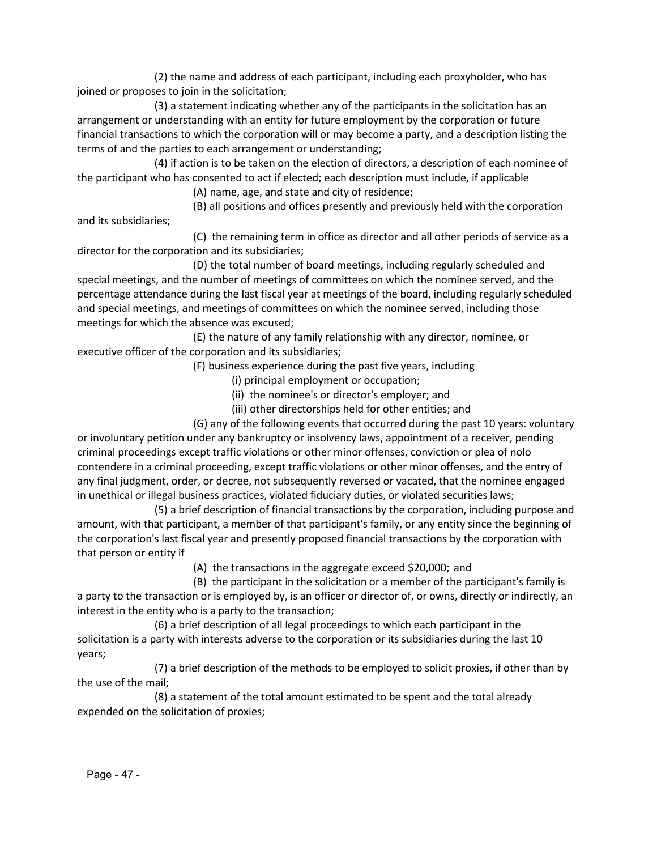(2) the name and address of each participant, including each proxyholder, who has joined or proposes to join in the solicitation;

(3) a statement indicating whether any of the participants in the solicitation has an arrangement or understanding with an entity for future employment by the corporation or future financial transactions to which the corporation will or may become a party, and a description listing the terms of and the parties to each arrangement or understanding;

(4) if action is to be taken on the election of directors, a description of each nominee of the participant who has consented to act if elected; each description must include, if applicable

(A) name, age, and state and city of residence;

(B) all positions and offices presently and previously held with the corporation and its subsidiaries;

(C) the remaining term in office as director and all other periods of service as a director for the corporation and its subsidiaries;

(D) the total number of board meetings, including regularly scheduled and special meetings, and the number of meetings of committees on which the nominee served, and the percentage attendance during the last fiscal year at meetings of the board, including regularly scheduled and special meetings, and meetings of committees on which the nominee served, including those meetings for which the absence was excused;

(E) the nature of any family relationship with any director, nominee, or executive officer of the corporation and its subsidiaries;

(F) business experience during the past five years, including

- (i) principal employment or occupation;
- (ii) the nominee's or director's employer; and
- (iii) other directorships held for other entities; and

(G) any of the following events that occurred during the past 10 years: voluntary or involuntary petition under any bankruptcy or insolvency laws, appointment of a receiver, pending criminal proceedings except traffic violations or other minor offenses, conviction or plea of nolo contendere in a criminal proceeding, except traffic violations or other minor offenses, and the entry of any final judgment, order, or decree, not subsequently reversed or vacated, that the nominee engaged in unethical or illegal business practices, violated fiduciary duties, or violated securities laws;

(5) a brief description of financial transactions by the corporation, including purpose and amount, with that participant, a member of that participant's family, or any entity since the beginning of the corporation's last fiscal year and presently proposed financial transactions by the corporation with that person or entity if

(A) the transactions in the aggregate exceed \$20,000; and

(B) the participant in the solicitation or a member of the participant's family is a party to the transaction or is employed by, is an officer or director of, or owns, directly or indirectly, an interest in the entity who is a party to the transaction;

(6) a brief description of all legal proceedings to which each participant in the solicitation is a party with interests adverse to the corporation or its subsidiaries during the last 10 years;

(7) a brief description of the methods to be employed to solicit proxies, if other than by the use of the mail;

(8) a statement of the total amount estimated to be spent and the total already expended on the solicitation of proxies;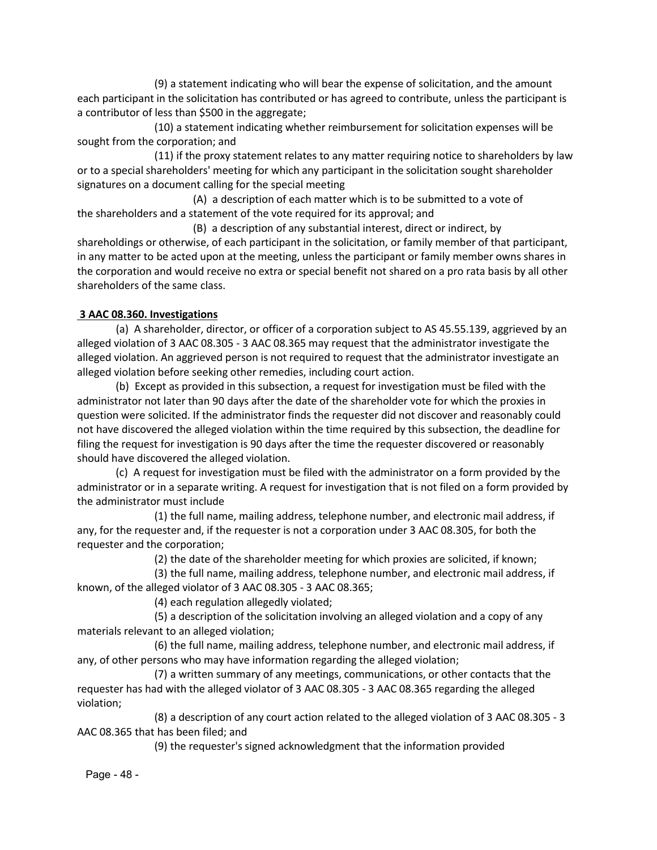(9) a statement indicating who will bear the expense of solicitation, and the amount each participant in the solicitation has contributed or has agreed to contribute, unless the participant is a contributor of less than \$500 in the aggregate;

(10) a statement indicating whether reimbursement for solicitation expenses will be sought from the corporation; and

(11) if the proxy statement relates to any matter requiring notice to shareholders by law or to a special shareholders' meeting for which any participant in the solicitation sought shareholder signatures on a document calling for the special meeting

(A) a description of each matter which is to be submitted to a vote of the shareholders and a statement of the vote required for its approval; and

(B) a description of any substantial interest, direct or indirect, by shareholdings or otherwise, of each participant in the solicitation, or family member of that participant, in any matter to be acted upon at the meeting, unless the participant or family member owns shares in the corporation and would receive no extra or special benefit not shared on a pro rata basis by all other shareholders of the same class.

### **3 AAC 08.360. Investigations**

(a) A shareholder, director, or officer of a corporation subject to AS 45.55.139, aggrieved by an alleged violation of 3 AAC 08.305 ‐ 3 AAC 08.365 may request that the administrator investigate the alleged violation. An aggrieved person is not required to request that the administrator investigate an alleged violation before seeking other remedies, including court action.

(b) Except as provided in this subsection, a request for investigation must be filed with the administrator not later than 90 days after the date of the shareholder vote for which the proxies in question were solicited. If the administrator finds the requester did not discover and reasonably could not have discovered the alleged violation within the time required by this subsection, the deadline for filing the request for investigation is 90 days after the time the requester discovered or reasonably should have discovered the alleged violation.

(c) A request for investigation must be filed with the administrator on a form provided by the administrator or in a separate writing. A request for investigation that is not filed on a form provided by the administrator must include

(1) the full name, mailing address, telephone number, and electronic mail address, if any, for the requester and, if the requester is not a corporation under 3 AAC 08.305, for both the requester and the corporation;

(2) the date of the shareholder meeting for which proxies are solicited, if known;

(3) the full name, mailing address, telephone number, and electronic mail address, if known, of the alleged violator of 3 AAC 08.305 ‐ 3 AAC 08.365;

(4) each regulation allegedly violated;

(5) a description of the solicitation involving an alleged violation and a copy of any materials relevant to an alleged violation;

(6) the full name, mailing address, telephone number, and electronic mail address, if any, of other persons who may have information regarding the alleged violation;

(7) a written summary of any meetings, communications, or other contacts that the requester has had with the alleged violator of 3 AAC 08.305 ‐ 3 AAC 08.365 regarding the alleged violation;

(8) a description of any court action related to the alleged violation of 3 AAC 08.305 ‐ 3 AAC 08.365 that has been filed; and

(9) the requester's signed acknowledgment that the information provided

Page - 48 -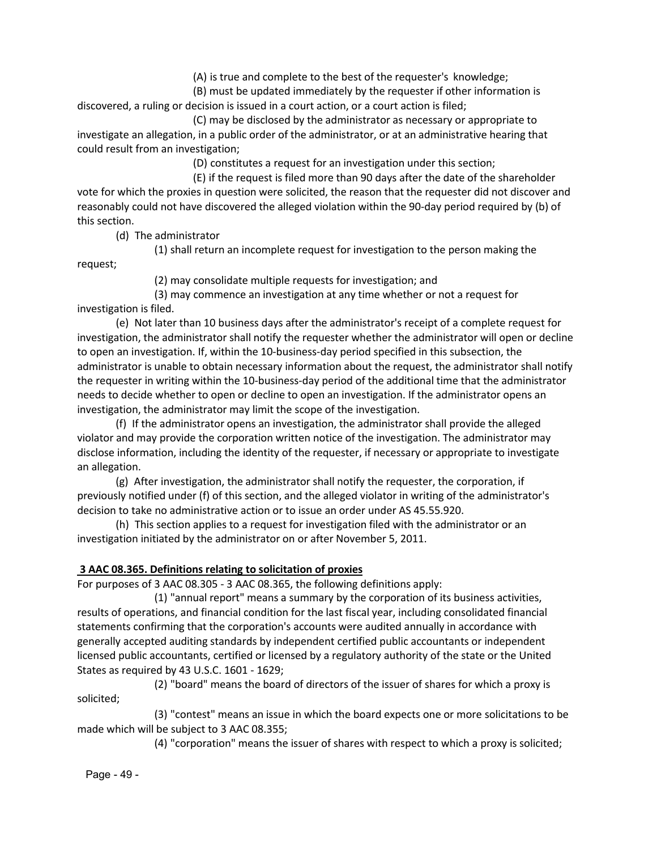(A) is true and complete to the best of the requester's knowledge;

(B) must be updated immediately by the requester if other information is discovered, a ruling or decision is issued in a court action, or a court action is filed;

(C) may be disclosed by the administrator as necessary or appropriate to investigate an allegation, in a public order of the administrator, or at an administrative hearing that could result from an investigation;

(D) constitutes a request for an investigation under this section;

(E) if the request is filed more than 90 days after the date of the shareholder vote for which the proxies in question were solicited, the reason that the requester did not discover and reasonably could not have discovered the alleged violation within the 90-day period required by (b) of this section.

(d) The administrator

(1) shall return an incomplete request for investigation to the person making the

request;

(2) may consolidate multiple requests for investigation; and

(3) may commence an investigation at any time whether or not a request for investigation is filed.

(e) Not later than 10 business days after the administrator's receipt of a complete request for investigation, the administrator shall notify the requester whether the administrator will open or decline to open an investigation. If, within the 10‐business‐day period specified in this subsection, the administrator is unable to obtain necessary information about the request, the administrator shall notify the requester in writing within the 10‐business‐day period of the additional time that the administrator needs to decide whether to open or decline to open an investigation. If the administrator opens an investigation, the administrator may limit the scope of the investigation.

(f) If the administrator opens an investigation, the administrator shall provide the alleged violator and may provide the corporation written notice of the investigation. The administrator may disclose information, including the identity of the requester, if necessary or appropriate to investigate an allegation.

(g) After investigation, the administrator shall notify the requester, the corporation, if previously notified under (f) of this section, and the alleged violator in writing of the administrator's decision to take no administrative action or to issue an order under AS 45.55.920.

(h) This section applies to a request for investigation filed with the administrator or an investigation initiated by the administrator on or after November 5, 2011.

### **3 AAC 08.365. Definitions relating to solicitation of proxies**

For purposes of 3 AAC 08.305 ‐ 3 AAC 08.365, the following definitions apply:

(1) "annual report" means a summary by the corporation of its business activities, results of operations, and financial condition for the last fiscal year, including consolidated financial statements confirming that the corporation's accounts were audited annually in accordance with generally accepted auditing standards by independent certified public accountants or independent licensed public accountants, certified or licensed by a regulatory authority of the state or the United States as required by 43 U.S.C. 1601 ‐ 1629;

(2) "board" means the board of directors of the issuer of shares for which a proxy is solicited;

(3) "contest" means an issue in which the board expects one or more solicitations to be made which will be subject to 3 AAC 08.355;

(4) "corporation" means the issuer of shares with respect to which a proxy is solicited;

Page - 49 -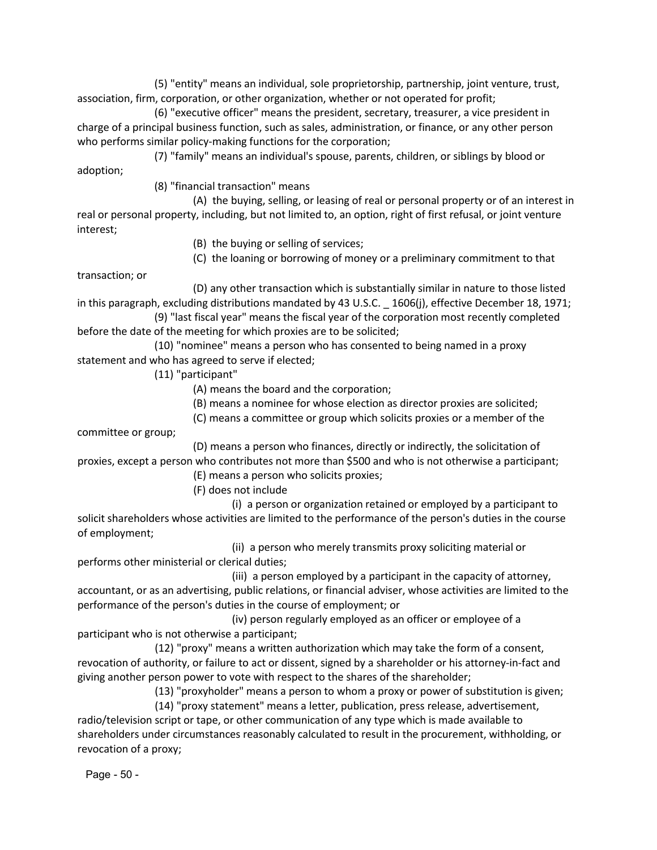(5) "entity" means an individual, sole proprietorship, partnership, joint venture, trust, association, firm, corporation, or other organization, whether or not operated for profit;

(6) "executive officer" means the president, secretary, treasurer, a vice president in charge of a principal business function, such as sales, administration, or finance, or any other person who performs similar policy-making functions for the corporation;

(7) "family" means an individual's spouse, parents, children, or siblings by blood or adoption;

(8) "financial transaction" means

(A) the buying, selling, or leasing of real or personal property or of an interest in real or personal property, including, but not limited to, an option, right of first refusal, or joint venture interest;

(B) the buying or selling of services;

(C) the loaning or borrowing of money or a preliminary commitment to that

transaction; or

(D) any other transaction which is substantially similar in nature to those listed in this paragraph, excluding distributions mandated by 43 U.S.C. \_ 1606(j), effective December 18, 1971;

(9) "last fiscal year" means the fiscal year of the corporation most recently completed before the date of the meeting for which proxies are to be solicited;

(10) "nominee" means a person who has consented to being named in a proxy statement and who has agreed to serve if elected;

(11) "participant"

(A) means the board and the corporation;

(B) means a nominee for whose election as director proxies are solicited;

(C) means a committee or group which solicits proxies or a member of the

committee or group;

(D) means a person who finances, directly or indirectly, the solicitation of proxies, except a person who contributes not more than \$500 and who is not otherwise a participant;

(E) means a person who solicits proxies;

(F) does not include

(i) a person or organization retained or employed by a participant to solicit shareholders whose activities are limited to the performance of the person's duties in the course of employment;

(ii) a person who merely transmits proxy soliciting material or performs other ministerial or clerical duties;

(iii) a person employed by a participant in the capacity of attorney, accountant, or as an advertising, public relations, or financial adviser, whose activities are limited to the performance of the person's duties in the course of employment; or

(iv) person regularly employed as an officer or employee of a participant who is not otherwise a participant;

(12) "proxy" means a written authorization which may take the form of a consent, revocation of authority, or failure to act or dissent, signed by a shareholder or his attorney‐in‐fact and giving another person power to vote with respect to the shares of the shareholder;

(13) "proxyholder" means a person to whom a proxy or power of substitution is given;

(14) "proxy statement" means a letter, publication, press release, advertisement, radio/television script or tape, or other communication of any type which is made available to shareholders under circumstances reasonably calculated to result in the procurement, withholding, or revocation of a proxy;

Page - 50 -